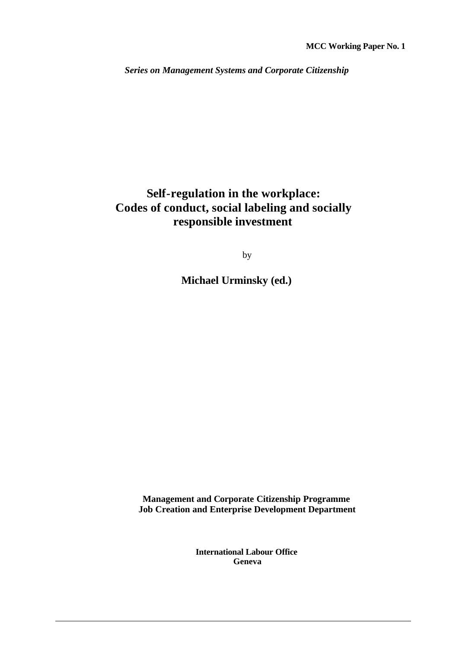*Series on Management Systems and Corporate Citizenship*

### **Self-regulation in the workplace: Codes of conduct, social labeling and socially responsible investment**

by

**Michael Urminsky (ed.)**

**Management and Corporate Citizenship Programme Job Creation and Enterprise Development Department**

> **International Labour Office Geneva**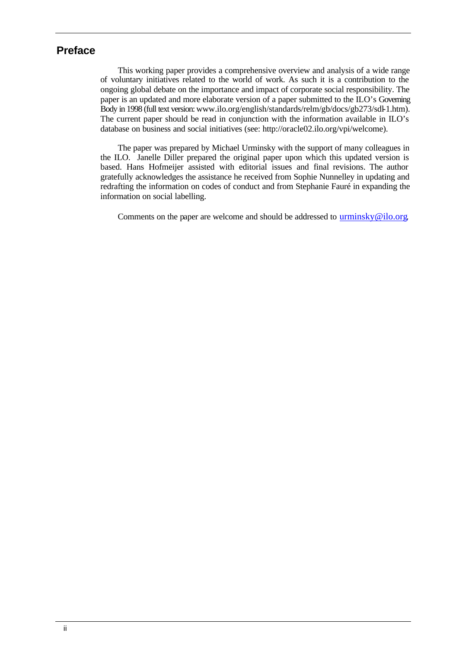#### **Preface**

This working paper provides a comprehensive overview and analysis of a wide range of voluntary initiatives related to the world of work. As such it is a contribution to the ongoing global debate on the importance and impact of corporate social responsibility. The paper is an updated and more elaborate version of a paper submitted to the ILO's Governing Body in 1998 (full text version: www.ilo.org/english/standards/relm/gb/docs/gb273/sdl-1.htm). The current paper should be read in conjunction with the information available in ILO's database on business and social initiatives (see: http://oracle02.ilo.org/vpi/welcome).

The paper was prepared by Michael Urminsky with the support of many colleagues in the ILO. Janelle Diller prepared the original paper upon which this updated version is based. Hans Hofmeijer assisted with editorial issues and final revisions. The author gratefully acknowledges the assistance he received from Sophie Nunnelley in updating and redrafting the information on codes of conduct and from Stephanie Fauré in expanding the information on social labelling.

Comments on the paper are welcome and should be addressed to urminsky@ilo.org.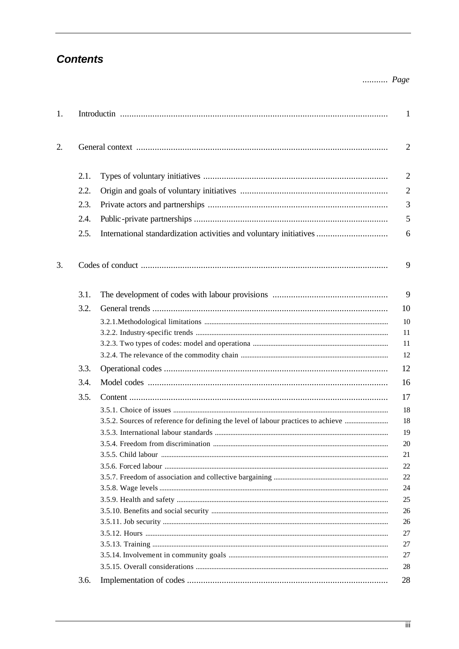### **Contents**

#### ........... Page

| 1. |      |                                                                                   | $\mathbf{1}$   |
|----|------|-----------------------------------------------------------------------------------|----------------|
| 2. |      |                                                                                   | $\overline{2}$ |
|    | 2.1. |                                                                                   | $\overline{2}$ |
|    | 2.2. |                                                                                   | $\overline{2}$ |
|    | 2.3. |                                                                                   | 3              |
|    | 2.4. |                                                                                   | 5              |
|    | 2.5. | International standardization activities and voluntary initiatives                | 6              |
| 3. |      |                                                                                   | 9              |
|    | 3.1. |                                                                                   | 9              |
|    | 3.2. |                                                                                   | 10             |
|    |      |                                                                                   | 10             |
|    |      |                                                                                   | 11             |
|    |      |                                                                                   | 11             |
|    |      |                                                                                   | 12             |
|    | 3.3. |                                                                                   | 12             |
|    | 3.4. |                                                                                   | 16             |
|    | 3.5. |                                                                                   | 17             |
|    |      |                                                                                   | 18             |
|    |      | 3.5.2. Sources of reference for defining the level of labour practices to achieve | 18             |
|    |      |                                                                                   | 19             |
|    |      |                                                                                   | 20             |
|    |      |                                                                                   | 21             |
|    |      |                                                                                   | 22             |
|    |      |                                                                                   | 22             |
|    |      |                                                                                   | 24             |
|    |      |                                                                                   | 25             |
|    |      |                                                                                   | 26             |
|    |      |                                                                                   | 26             |
|    |      |                                                                                   | 27<br>27       |
|    |      |                                                                                   | 27             |
|    |      |                                                                                   | 28             |
|    | 3.6. |                                                                                   | 28             |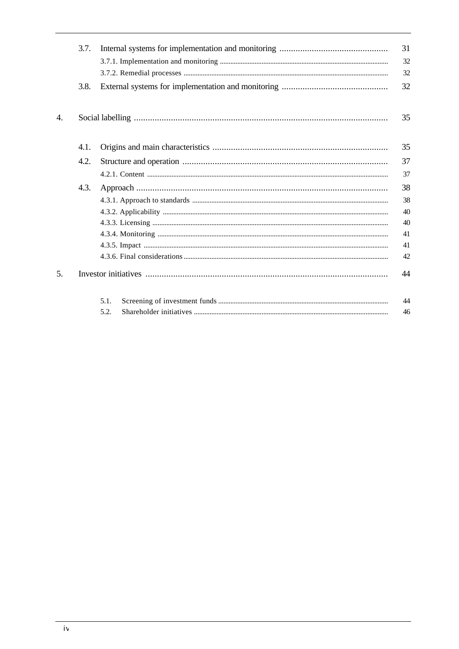|    | 3.7. |      | 31<br>32 |
|----|------|------|----------|
|    |      |      | 32       |
|    | 3.8. |      | 32       |
| 4. |      |      | 35       |
|    | 4.1. |      | 35       |
|    | 4.2. |      | 37       |
|    |      |      | 37       |
|    | 4.3. |      | 38       |
|    |      |      | 38       |
|    |      |      | 40       |
|    |      |      | 40       |
|    |      |      | 41       |
|    |      |      | 41       |
|    |      |      | 42       |
| 5. |      |      | 44       |
|    |      | 5.1. | 44       |
|    |      | 5.2. | 46       |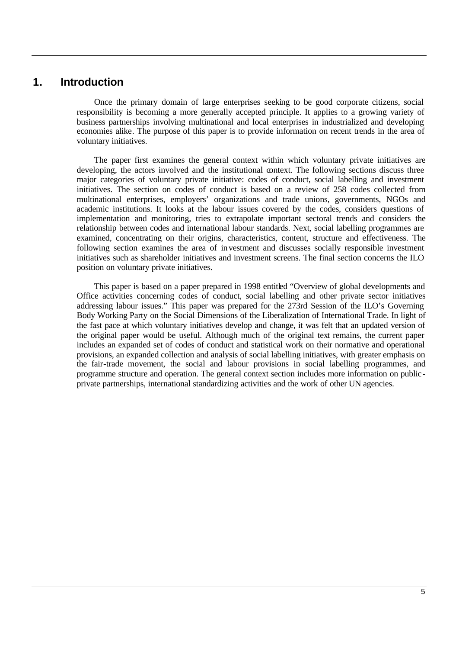#### **1. Introduction**

Once the primary domain of large enterprises seeking to be good corporate citizens, social responsibility is becoming a more generally accepted principle. It applies to a growing variety of business partnerships involving multinational and local enterprises in industrialized and developing economies alike. The purpose of this paper is to provide information on recent trends in the area of voluntary initiatives.

The paper first examines the general context within which voluntary private initiatives are developing, the actors involved and the institutional context. The following sections discuss three major categories of voluntary private initiative: codes of conduct, social labelling and investment initiatives. The section on codes of conduct is based on a review of 258 codes collected from multinational enterprises, employers' organizations and trade unions, governments, NGOs and academic institutions. It looks at the labour issues covered by the codes, considers questions of implementation and monitoring, tries to extrapolate important sectoral trends and considers the relationship between codes and international labour standards. Next, social labelling programmes are examined, concentrating on their origins, characteristics, content, structure and effectiveness. The following section examines the area of investment and discusses socially responsible investment initiatives such as shareholder initiatives and investment screens. The final section concerns the ILO position on voluntary private initiatives.

This paper is based on a paper prepared in 1998 entitled "Overview of global developments and Office activities concerning codes of conduct, social labelling and other private sector initiatives addressing labour issues." This paper was prepared for the 273rd Session of the ILO's Governing Body Working Party on the Social Dimensions of the Liberalization of International Trade. In light of the fast pace at which voluntary initiatives develop and change, it was felt that an updated version of the original paper would be useful. Although much of the original text remains, the current paper includes an expanded set of codes of conduct and statistical work on their normative and operational provisions, an expanded collection and analysis of social labelling initiatives, with greater emphasis on the fair-trade movement, the social and labour provisions in social labelling programmes, and programme structure and operation. The general context section includes more information on public private partnerships, international standardizing activities and the work of other UN agencies.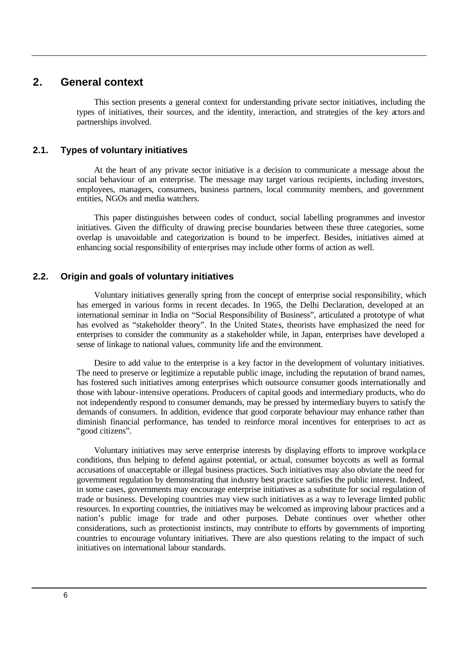#### **2. General context**

This section presents a general context for understanding private sector initiatives, including the types of initiatives, their sources, and the identity, interaction, and strategies of the key actors and partnerships involved.

#### **2.1. Types of voluntary initiatives**

At the heart of any private sector initiative is a decision to communicate a message about the social behaviour of an enterprise. The message may target various recipients, including investors, employees, managers, consumers, business partners, local community members, and government entities, NGOs and media watchers.

This paper distinguishes between codes of conduct, social labelling programmes and investor initiatives. Given the difficulty of drawing precise boundaries between these three categories, some overlap is unavoidable and categorization is bound to be imperfect. Besides, initiatives aimed at enhancing social responsibility of enterprises may include other forms of action as well.

#### **2.2. Origin and goals of voluntary initiatives**

Voluntary initiatives generally spring from the concept of enterprise social responsibility, which has emerged in various forms in recent decades. In 1965, the Delhi Declaration, developed at an international seminar in India on "Social Responsibility of Business", articulated a prototype of what has evolved as "stakeholder theory". In the United States, theorists have emphasized the need for enterprises to consider the community as a stakeholder while, in Japan, enterprises have developed a sense of linkage to national values, community life and the environment.

Desire to add value to the enterprise is a key factor in the development of voluntary initiatives. The need to preserve or legitimize a reputable public image, including the reputation of brand names, has fostered such initiatives among enterprises which outsource consumer goods internationally and those with labour-intensive operations. Producers of capital goods and intermediary products, who do not independently respond to consumer demands, may be pressed by intermediary buyers to satisfy the demands of consumers. In addition, evidence that good corporate behaviour may enhance rather than diminish financial performance, has tended to reinforce moral incentives for enterprises to act as "good citizens".

Voluntary initiatives may serve enterprise interests by displaying efforts to improve workpla ce conditions, thus helping to defend against potential, or actual, consumer boycotts as well as formal accusations of unacceptable or illegal business practices. Such initiatives may also obviate the need for government regulation by demonstrating that industry best practice satisfies the public interest. Indeed, in some cases, governments may encourage enterprise initiatives as a substitute for social regulation of trade or business. Developing countries may view such initiatives as a way to leverage limited public resources. In exporting countries, the initiatives may be welcomed as improving labour practices and a nation's public image for trade and other purposes. Debate continues over whether other considerations, such as protectionist instincts, may contribute to efforts by governments of importing countries to encourage voluntary initiatives. There are also questions relating to the impact of such initiatives on international labour standards.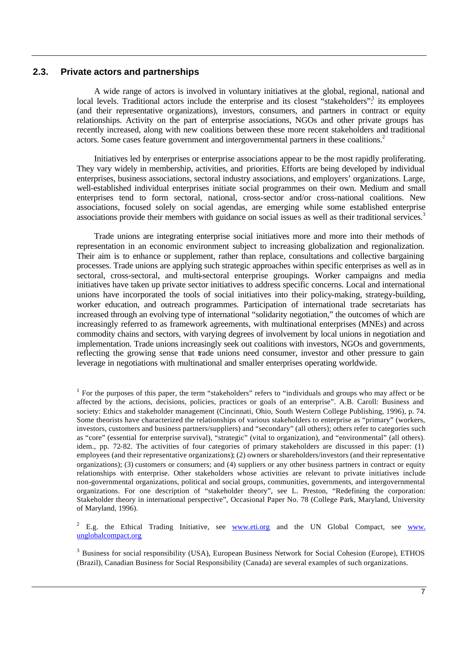#### **2.3. Private actors and partnerships**

A wide range of actors is involved in voluntary initiatives at the global, regional, national and local levels. Traditional actors include the enterprise and its closest "stakeholders": its employees (and their representative organizations), investors, consumers, and partners in contract or equity relationships. Activity on the part of enterprise associations, NGOs and other private groups has recently increased, along with new coalitions between these more recent stakeholders and traditional actors. Some cases feature government and intergovernmental partners in these coalitions.<sup>2</sup>

Initiatives led by enterprises or enterprise associations appear to be the most rapidly proliferating. They vary widely in membership, activities, and priorities. Efforts are being developed by individual enterprises, business associations, sectoral industry associations, and employers' organizations. Large, well-established individual enterprises initiate social programmes on their own. Medium and small enterprises tend to form sectoral, national, cross-sector and/or cross-national coalitions. New associations, focused solely on social agendas, are emerging while some established enterprise associations provide their members with guidance on social issues as well as their traditional services.<sup>3</sup>

Trade unions are integrating enterprise social initiatives more and more into their methods of representation in an economic environment subject to increasing globalization and regionalization. Their aim is to enhance or supplement, rather than replace, consultations and collective bargaining processes. Trade unions are applying such strategic approaches within specific enterprises as well as in sectoral, cross-sectoral, and multi-sectoral enterprise groupings. Worker campaigns and media initiatives have taken up private sector initiatives to address specific concerns. Local and international unions have incorporated the tools of social initiatives into their policy-making, strategy-building, worker education, and outreach programmes. Participation of international trade secretariats has increased through an evolving type of international "solidarity negotiation," the outcomes of which are increasingly referred to as framework agreements, with multinational enterprises (MNEs) and across commodity chains and sectors, with varying degrees of involvement by local unions in negotiation and implementation. Trade unions increasingly seek out coalitions with investors, NGOs and governments, reflecting the growing sense that trade unions need consumer, investor and other pressure to gain leverage in negotiations with multinational and smaller enterprises operating worldwide.

<sup>2</sup> E.g. the Ethical Trading Initiative, see **www.eti.org** and the UN Global Compact, see www. unglobalcompact.org

<sup>3</sup> Business for social responsibility (USA), European Business Network for Social Cohesion (Europe), ETHOS (Brazil), Canadian Business for Social Responsibility (Canada) are several examples of such organizations.

<sup>&</sup>lt;sup>1</sup> For the purposes of this paper, the term "stakeholders" refers to "individuals and groups who may affect or be affected by the actions, decisions, policies, practices or goals of an enterprise". A.B. Caroll: Business and society: Ethics and stakeholder management (Cincinnati, Ohio, South Western College Publishing, 1996), p. 74. Some theorists have characterized the relationships of various stakeholders to enterprise as "primary" (workers, investors, customers and business partners/suppliers) and "secondary" (all others); others refer to categories such as "core" (essential for enterprise survival), "strategic" (vital to organization), and "environmental" (all others). idem., pp. 72-82. The activities of four categories of primary stakeholders are discussed in this paper: (1) employees (and their representative organizations); (2) owners or shareholders/investors (and their representative organizations); (3) customers or consumers; and (4) suppliers or any other business partners in contract or equity relationships with enterprise. Other stakeholders whose activities are relevant to private initiatives include non-governmental organizations, political and social groups, communities, governments, and intergovernmental organizations. For one description of "stakeholder theory", see L. Preston, "Redefining the corporation: Stakeholder theory in international perspective", Occasional Paper No. 78 (College Park, Maryland, University of Maryland, 1996).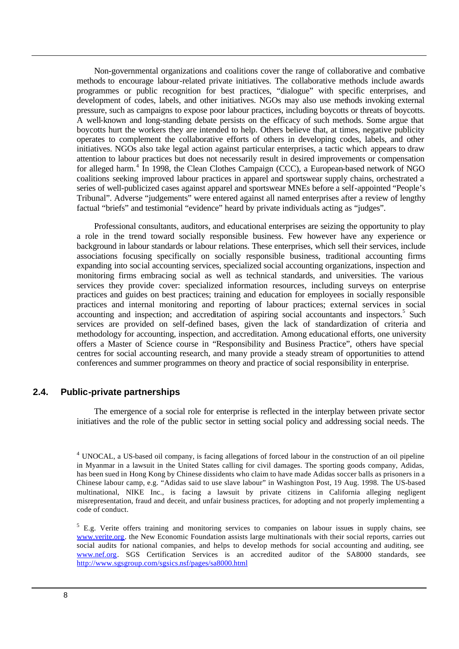Non-governmental organizations and coalitions cover the range of collaborative and combative methods to encourage labour-related private initiatives. The collaborative methods include awards programmes or public recognition for best practices, "dialogue" with specific enterprises, and development of codes, labels, and other initiatives. NGOs may also use methods invoking external pressure, such as campaigns to expose poor labour practices, including boycotts or threats of boycotts. A well-known and long-standing debate persists on the efficacy of such methods. Some argue that boycotts hurt the workers they are intended to help. Others believe that, at times, negative publicity operates to complement the collaborative efforts of others in developing codes, labels, and other initiatives. NGOs also take legal action against particular enterprises, a tactic which appears to draw attention to labour practices but does not necessarily result in desired improvements or compensation for alleged harm.<sup>4</sup> In 1998, the Clean Clothes Campaign (CCC), a European-based network of NGO coalitions seeking improved labour practices in apparel and sportswear supply chains, orchestrated a series of well-publicized cases against apparel and sportswear MNEs before a self-appointed "People's Tribunal". Adverse "judgements" were entered against all named enterprises after a review of lengthy factual "briefs" and testimonial "evidence" heard by private individuals acting as "judges".

Professional consultants, auditors, and educational enterprises are seizing the opportunity to play a role in the trend toward socially responsible business. Few however have any experience or background in labour standards or labour relations. These enterprises, which sell their services, include associations focusing specifically on socially responsible business, traditional accounting firms expanding into social accounting services, specialized social accounting organizations, inspection and monitoring firms embracing social as well as technical standards, and universities. The various services they provide cover: specialized information resources, including surveys on enterprise practices and guides on best practices; training and education for employees in socially responsible practices and internal monitoring and reporting of labour practices; external services in social accounting and inspection; and accreditation of aspiring social accountants and inspectors.<sup>5</sup> Such services are provided on self-defined bases, given the lack of standardization of criteria and methodology for accounting, inspection, and accreditation. Among educational efforts, one university offers a Master of Science course in "Responsibility and Business Practice", others have special centres for social accounting research, and many provide a steady stream of opportunities to attend conferences and summer programmes on theory and practice of social responsibility in enterprise.

#### **2.4. Public-private partnerships**

The emergence of a social role for enterprise is reflected in the interplay between private sector initiatives and the role of the public sector in setting social policy and addressing social needs. The

<sup>&</sup>lt;sup>4</sup> UNOCAL, a US-based oil company, is facing allegations of forced labour in the construction of an oil pipeline in Myanmar in a lawsuit in the United States calling for civil damages. The sporting goods company, Adidas, has been sued in Hong Kong by Chinese dissidents who claim to have made Adidas soccer balls as prisoners in a Chinese labour camp, e.g. "Adidas said to use slave labour" in Washington Post, 19 Aug. 1998. The US-based multinational, NIKE Inc., is facing a lawsuit by private citizens in California alleging negligent misrepresentation, fraud and deceit, and unfair business practices, for adopting and not properly implementing a code of conduct.

 $5$  E.g. Verite offers training and monitoring services to companies on labour issues in supply chains, see www.verite.org. the New Economic Foundation assists large multinationals with their social reports, carries out social audits for national companies, and helps to develop methods for social accounting and auditing, see www.nef.org. SGS Certification Services is an accredited auditor of the SA8000 standards, see http://www.sgsgroup.com/sgsics.nsf/pages/sa8000.html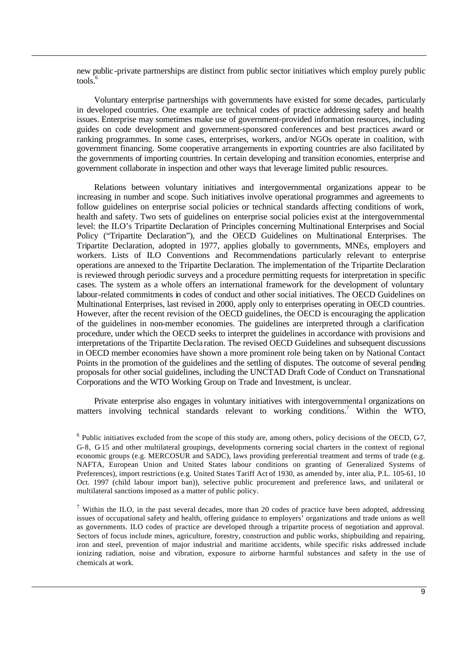new public-private partnerships are distinct from public sector initiatives which employ purely public tools.<sup>6</sup>

Voluntary enterprise partnerships with governments have existed for some decades, particularly in developed countries. One example are technical codes of practice addressing safety and health issues. Enterprise may sometimes make use of government-provided information resources, including guides on code development and government-sponsored conferences and best practices award or ranking programmes. In some cases, enterprises, workers, and/or NGOs operate in coalition, with government financing. Some cooperative arrangements in exporting countries are also facilitated by the governments of importing countries. In certain developing and transition economies, enterprise and government collaborate in inspection and other ways that leverage limited public resources.

Relations between voluntary initiatives and intergovernmental organizations appear to be increasing in number and scope. Such initiatives involve operational programmes and agreements to follow guidelines on enterprise social policies or technical standards affecting conditions of work, health and safety. Two sets of guidelines on enterprise social policies exist at the intergovernmental level: the ILO's Tripartite Declaration of Principles concerning Multinational Enterprises and Social Policy ("Tripartite Declaration"), and the OECD Guidelines on Multinational Enterprises. The Tripartite Declaration, adopted in 1977, applies globally to governments, MNEs, employers and workers. Lists of ILO Conventions and Recommendations particularly relevant to enterprise operations are annexed to the Tripartite Declaration. The implementation of the Tripartite Declaration is reviewed through periodic surveys and a procedure permitting requests for interpretation in specific cases. The system as a whole offers an international framework for the development of voluntary labour-related commitments in codes of conduct and other social initiatives. The OECD Guidelines on Multinational Enterprises, last revised in 2000, apply only to enterprises operating in OECD countries. However, after the recent revision of the OECD guidelines, the OECD is encouraging the application of the guidelines in non-member economies. The guidelines are interpreted through a clarification procedure, under which the OECD seeks to interpret the guidelines in accordance with provisions and interpretations of the Tripartite Decla ration. The revised OECD Guidelines and subsequent discussions in OECD member economies have shown a more prominent role being taken on by National Contact Points in the promotion of the guidelines and the settling of disputes. The outcome of several pending proposals for other social guidelines, including the UNCTAD Draft Code of Conduct on Transnational Corporations and the WTO Working Group on Trade and Investment, is unclear.

Private enterprise also engages in voluntary initiatives with intergovernmenta l organizations on matters involving technical standards relevant to working conditions.<sup>7</sup> Within the WTO,

 $6$  Public initiatives excluded from the scope of this study are, among others, policy decisions of the OECD, G7, G-8, G-15 and other multilateral groupings, developments cornering social charters in the context of regional economic groups (e.g. MERCOSUR and SADC), laws providing preferential treatment and terms of trade (e.g. NAFTA, European Union and United States labour conditions on granting of Generalized Systems of Preferences), import restrictions (e.g. United States Tariff Act of 1930, as amended by, inter alia, P.L. 105-61, 10 Oct. 1997 (child labour import ban)), selective public procurement and preference laws, and unilateral or multilateral sanctions imposed as a matter of public policy.

<sup>&</sup>lt;sup>7</sup> Within the ILO, in the past several decades, more than 20 codes of practice have been adopted, addressing issues of occupational safety and health, offering guidance to employers' organizations and trade unions as well as governments. ILO codes of practice are developed through a tripartite process of negotiation and approval. Sectors of focus include mines, agriculture, forestry, construction and public works, shipbuilding and repairing, iron and steel, prevention of major industrial and maritime accidents, while specific risks addressed include ionizing radiation, noise and vibration, exposure to airborne harmful substances and safety in the use of chemicals at work.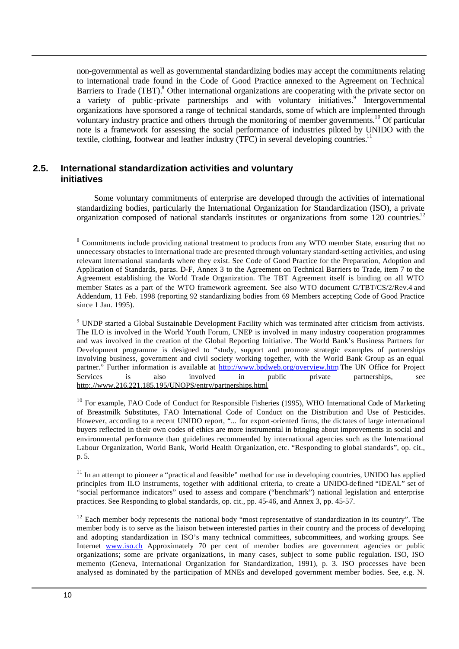non-governmental as well as governmental standardizing bodies may accept the commitments relating to international trade found in the Code of Good Practice annexed to the Agreement on Technical Barriers to Trade (TBT).<sup>8</sup> Other international organizations are cooperating with the private sector on a variety of public-private partnerships and with voluntary initiatives.<sup>9</sup> Intergovernmental organizations have sponsored a range of technical standards, some of which are implemented through voluntary industry practice and others through the monitoring of member governments.<sup>10</sup> Of particular note is a framework for assessing the social performance of industries piloted by UNIDO with the textile, clothing, footwear and leather industry (TFC) in several developing countries.<sup>1</sup>

#### **2.5. International standardization activities and voluntary initiatives**

Some voluntary commitments of enterprise are developed through the activities of international standardizing bodies, particularly the International Organization for Standardization (ISO), a private organization composed of national standards institutes or organizations from some  $120$  countries.<sup>12</sup>

<sup>8</sup> Commitments include providing national treatment to products from any WTO member State, ensuring that no unnecessary obstacles to international trade are presented through voluntary standard-setting activities, and using relevant international standards where they exist. See Code of Good Practice for the Preparation, Adoption and Application of Standards, paras. D-F, Annex 3 to the Agreement on Technical Barriers to Trade, item 7 to the Agreement establishing the World Trade Organization. The TBT Agreement itself is binding on all WTO member States as a part of the WTO framework agreement. See also WTO document G/TBT/CS/2/Rev.4 and Addendum, 11 Feb. 1998 (reporting 92 standardizing bodies from 69 Members accepting Code of Good Practice since 1 Jan. 1995).

<sup>9</sup> UNDP started a Global Sustainable Development Facility which was terminated after criticism from activists. The ILO is involved in the World Youth Forum, UNEP is involved in many industry cooperation programmes and was involved in the creation of the Global Reporting Initiative. The World Bank's Business Partners for Development programme is designed to "study, support and promote strategic examples of partnerships involving business, government and civil society working together, with the World Bank Group as an equal partner." Further information is available at http://www.bpdweb.org/overview.htm The UN Office for Project Services is also involved in public private partnerships, see http:.//www.216.221.185.195/UNOPS/entry/partnerships.html

<sup>10</sup> For example, FAO Code of Conduct for Responsible Fisheries (1995), WHO International Code of Marketing of Breastmilk Substitutes, FAO International Code of Conduct on the Distribution and Use of Pesticides. However, according to a recent UNIDO report, "... for export-oriented firms, the dictates of large international buyers reflected in their own codes of ethics are more instrumental in bringing about improvements in social and environmental performance than guidelines recommended by international agencies such as the International Labour Organization, World Bank, World Health Organization, etc. "Responding to global standards", op. cit., p. 5.

 $11$  In an attempt to pioneer a "practical and feasible" method for use in developing countries, UNIDO has applied principles from ILO instruments, together with additional criteria, to create a UNIDO-defined "IDEAL" set of "social performance indicators" used to assess and compare ("benchmark") national legislation and enterprise practices. See Responding to global standards, op. cit., pp. 45-46, and Annex 3, pp. 45-57.

 $12$  Each member body represents the national body "most representative of standardization in its country". The member body is to serve as the liaison between interested parties in their country and the process of developing and adopting standardization in ISO's many technical committees, subcommittees, and working groups. See Internet www.iso.ch Approximately 70 per cent of member bodies are government agencies or public organizations; some are private organizations, in many cases, subject to some public regulation. ISO, ISO memento (Geneva, International Organization for Standardization, 1991), p. 3. ISO processes have been analysed as dominated by the participation of MNEs and developed government member bodies. See, e.g. N.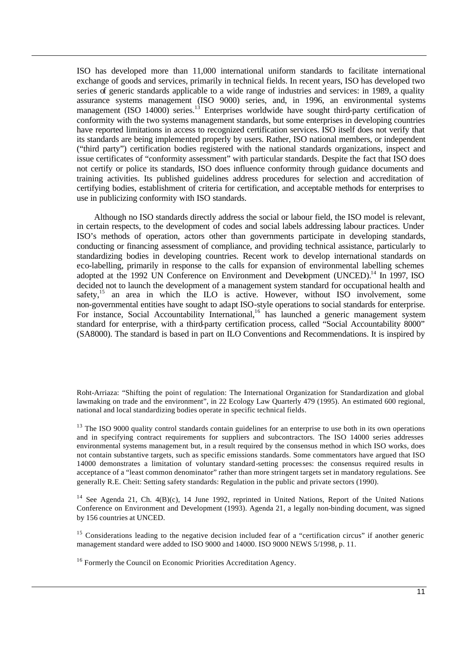ISO has developed more than 11,000 international uniform standards to facilitate international exchange of goods and services, primarily in technical fields. In recent years, ISO has developed two series of generic standards applicable to a wide range of industries and services: in 1989, a quality assurance systems management (ISO 9000) series, and, in 1996, an environmental systems management (ISO 14000) series.<sup>13</sup> Enterprises worldwide have sought third-party certification of conformity with the two systems management standards, but some enterprises in developing countries have reported limitations in access to recognized certification services. ISO itself does not verify that its standards are being implemented properly by users. Rather, ISO national members, or independent ("third party") certification bodies registered with the national standards organizations, inspect and issue certificates of "conformity assessment" with particular standards. Despite the fact that ISO does not certify or police its standards, ISO does influence conformity through guidance documents and training activities. Its published guidelines address procedures for selection and accreditation of certifying bodies, establishment of criteria for certification, and acceptable methods for enterprises to use in publicizing conformity with ISO standards.

Although no ISO standards directly address the social or labour field, the ISO model is relevant, in certain respects, to the development of codes and social labels addressing labour practices. Under ISO's methods of operation, actors other than governments participate in developing standards, conducting or financing assessment of compliance, and providing technical assistance, particularly to standardizing bodies in developing countries. Recent work to develop international standards on eco-labelling, primarily in response to the calls for expansion of environmental labelling schemes adopted at the 1992 UN Conference on Environment and Development (UNCED).<sup>14</sup> In 1997, ISO decided not to launch the development of a management system standard for occupational health and safety,<sup>15</sup> an area in which the ILO is active. However, without ISO involvement, some non-governmental entities have sought to adapt ISO-style operations to social standards for enterprise. For instance, Social Accountability International,<sup>16</sup> has launched a generic management system standard for enterprise, with a third-party certification process, called "Social Accountability 8000" (SA8000). The standard is based in part on ILO Conventions and Recommendations. It is inspired by

Roht-Arriaza: "Shifting the point of regulation: The International Organization for Standardization and global lawmaking on trade and the environment", in 22 Ecology Law Quarterly 479 (1995). An estimated 600 regional, national and local standardizing bodies operate in specific technical fields.

<sup>13</sup> The ISO 9000 quality control standards contain guidelines for an enterprise to use both in its own operations and in specifying contract requirements for suppliers and subcontractors. The ISO 14000 series addresses environmental systems management but, in a result required by the consensus method in which ISO works, does not contain substantive targets, such as specific emissions standards. Some commentators have argued that ISO 14000 demonstrates a limitation of voluntary standard-setting processes: the consensus required results in acceptance of a "least common denominator" rather than more stringent targets set in mandatory regulations. See generally R.E. Cheit: Setting safety standards: Regulation in the public and private sectors (1990).

<sup>14</sup> See Agenda 21, Ch.  $4(B)(c)$ , 14 June 1992, reprinted in United Nations, Report of the United Nations Conference on Environment and Development (1993). Agenda 21, a legally non-binding document, was signed by 156 countries at UNCED.

<sup>15</sup> Considerations leading to the negative decision included fear of a "certification circus" if another generic management standard were added to ISO 9000 and 14000. ISO 9000 NEWS 5/1998, p. 11.

<sup>16</sup> Formerly the Council on Economic Priorities Accreditation Agency.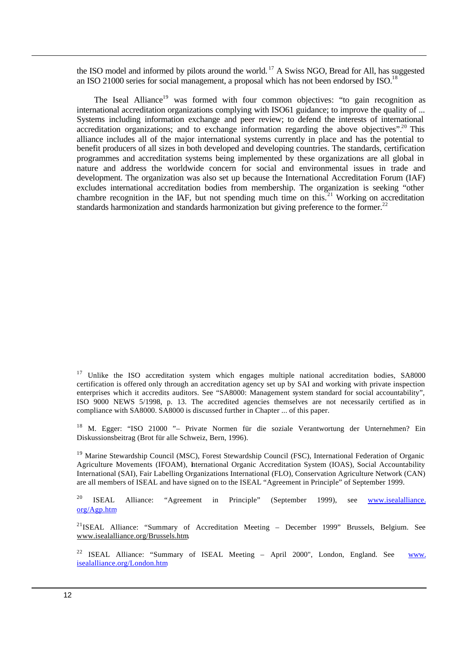the ISO model and informed by pilots around the world.<sup>17</sup> A Swiss NGO, Bread for All, has suggested an ISO 21000 series for social management, a proposal which has not been endorsed by ISO.<sup>18</sup>

The Iseal Alliance<sup>19</sup> was formed with four common objectives: "to gain recognition as international accreditation organizations complying with ISO61 guidance; to improve the quality of ... Systems including information exchange and peer review; to defend the interests of international accreditation organizations; and to exchange information regarding the above objectives".<sup>20</sup> This alliance includes all of the major international systems currently in place and has the potential to benefit producers of all sizes in both developed and developing countries. The standards, certification programmes and accreditation systems being implemented by these organizations are all global in nature and address the worldwide concern for social and environmental issues in trade and development. The organization was also set up because the International Accreditation Forum (IAF) excludes international accreditation bodies from membership. The organization is seeking "other chambre recognition in the IAF, but not spending much time on this.<sup>21</sup> Working on accreditation standards harmonization and standards harmonization but giving preference to the former.<sup>22</sup>

<sup>18</sup> M. Egger: "ISO 21000 "- Private Normen für die soziale Verantwortung der Unternehmen? Ein Diskussionsbeitrag (Brot für alle Schweiz, Bern, 1996).

<sup>19</sup> Marine Stewardship Council (MSC), Forest Stewardship Council (FSC), International Federation of Organic Agriculture Movements (IFOAM), International Organic Accreditation System (IOAS), Social Accountability International (SAI), Fair Labelling Organizations International (FLO), Conservation Agriculture Network (CAN) are all members of ISEAL and have signed on to the ISEAL "Agreement in Principle" of September 1999.

<sup>20</sup> ISEAL Alliance: "Agreement in Principle" (September 1999), see www.isealalliance.  $org/Agp.htm$ 

<sup>21</sup>ISEAL Alliance: "Summary of Accreditation Meeting – December 1999" Brussels, Belgium. See www.isealalliance.org/Brussels.htm...

<sup>22</sup> ISEAL Alliance: "Summary of ISEAL Meeting – April 2000", London, England. See www. isealalliance.org/London.htm

<sup>&</sup>lt;sup>17</sup> Unlike the ISO accreditation system which engages multiple national accreditation bodies, SA8000 certification is offered only through an accreditation agency set up by SAI and working with private inspection enterprises which it accredits auditors. See "SA8000: Management system standard for social accountability", ISO 9000 NEWS 5/1998, p. 13. The accredited agencies themselves are not necessarily certified as in compliance with SA8000. SA8000 is discussed further in Chapter ... of this paper.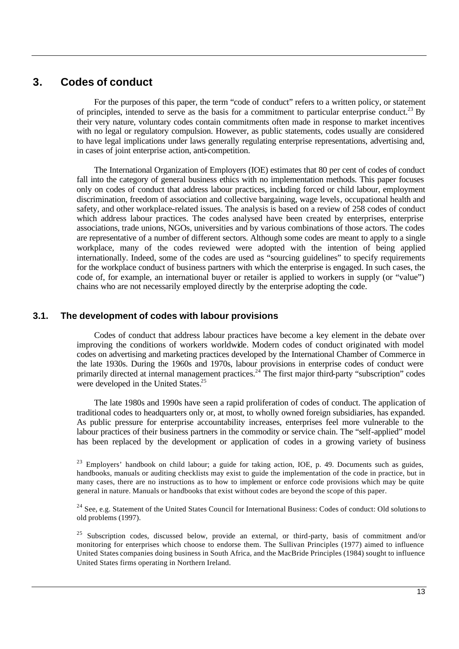#### **3. Codes of conduct**

For the purposes of this paper, the term "code of conduct" refers to a written policy, or statement of principles, intended to serve as the basis for a commitment to particular enterprise conduct.<sup>23</sup> By their very nature, voluntary codes contain commitments often made in response to market incentives with no legal or regulatory compulsion. However, as public statements, codes usually are considered to have legal implications under laws generally regulating enterprise representations, advertising and, in cases of joint enterprise action, anti-competition.

The International Organization of Employers (IOE) estimates that 80 per cent of codes of conduct fall into the category of general business ethics with no implementation methods. This paper focuses only on codes of conduct that address labour practices, including forced or child labour, employment discrimination, freedom of association and collective bargaining, wage levels*,* occupational health and safety, and other workplace-related issues. The analysis is based on a review of 258 codes of conduct which address labour practices. The codes analysed have been created by enterprises, enterprise associations, trade unions, NGOs, universities and by various combinations of those actors. The codes are representative of a number of different sectors. Although some codes are meant to apply to a single workplace, many of the codes reviewed were adopted with the intention of being applied internationally. Indeed, some of the codes are used as "sourcing guidelines" to specify requirements for the workplace conduct of business partners with which the enterprise is engaged. In such cases, the code of, for example, an international buyer or retailer is applied to workers in supply (or "value") chains who are not necessarily employed directly by the enterprise adopting the code.

#### **3.1. The development of codes with labour provisions**

Codes of conduct that address labour practices have become a key element in the debate over improving the conditions of workers worldwide. Modern codes of conduct originated with model codes on advertising and marketing practices developed by the International Chamber of Commerce in the late 1930s. During the 1960s and 1970s, labour provisions in enterprise codes of conduct were primarily directed at internal management practices.<sup>24</sup> The first major third-party "subscription" codes were developed in the United States.<sup>25</sup>

The late 1980s and 1990s have seen a rapid proliferation of codes of conduct. The application of traditional codes to headquarters only or, at most, to wholly owned foreign subsidiaries, has expanded. As public pressure for enterprise accountability increases, enterprises feel more vulnerable to the labour practices of their business partners in the commodity or service chain. The "self-applied" model has been replaced by the development or application of codes in a growing variety of business

<sup>23</sup> Employers' handbook on child labour; a guide for taking action, IOE, p. 49. Documents such as guides, handbooks, manuals or auditing checklists may exist to guide the implementation of the code in practice, but in many cases, there are no instructions as to how to implement or enforce code provisions which may be quite general in nature. Manuals or handbooks that exist without codes are beyond the scope of this paper.

<sup>24</sup> See, e.g. Statement of the United States Council for International Business: Codes of conduct: Old solutions to old problems (1997).

<sup>25</sup> Subscription codes, discussed below, provide an external, or third-party, basis of commitment and/or monitoring for enterprises which choose to endorse them. The Sullivan Principles (1977) aimed to influence United States companies doing business in South Africa, and the MacBride Principles (1984) sought to influence United States firms operating in Northern Ireland.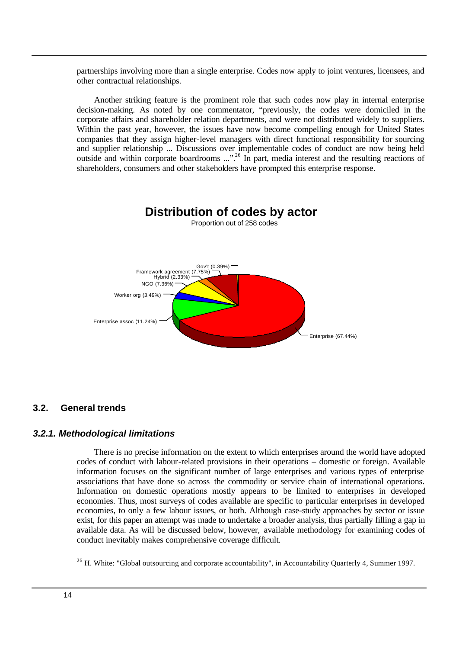partnerships involving more than a single enterprise. Codes now apply to joint ventures, licensees, and other contractual relationships.

Another striking feature is the prominent role that such codes now play in internal enterprise decision-making. As noted by one commentator, "previously, the codes were domiciled in the corporate affairs and shareholder relation departments, and were not distributed widely to suppliers. Within the past year, however, the issues have now become compelling enough for United States companies that they assign higher-level managers with direct functional responsibility for sourcing and supplier relationship ... Discussions over implementable codes of conduct are now being held outside and within corporate boardrooms ...".<sup>26</sup> In part, media interest and the resulting reactions of shareholders, consumers and other stakeholders have prompted this enterprise response.



#### **3.2. General trends**

#### *3.2.1. Methodological limitations*

There is no precise information on the extent to which enterprises around the world have adopted codes of conduct with labour-related provisions in their operations – domestic or foreign. Available information focuses on the significant number of large enterprises and various types of enterprise associations that have done so across the commodity or service chain of international operations. Information on domestic operations mostly appears to be limited to enterprises in developed economies. Thus, most surveys of codes available are specific to particular enterprises in developed economies, to only a few labour issues, or both. Although case-study approaches by sector or issue exist, for this paper an attempt was made to undertake a broader analysis, thus partially filling a gap in available data. As will be discussed below, however, available methodology for examining codes of conduct inevitably makes comprehensive coverage difficult.

 $26$  H. White: "Global outsourcing and corporate accountability", in Accountability Quarterly 4, Summer 1997.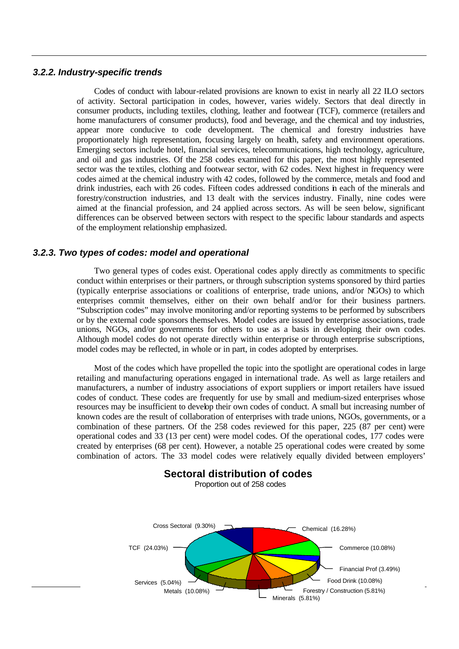#### *3.2.2. Industry-specific trends*

Codes of conduct with labour-related provisions are known to exist in nearly all 22 ILO sectors of activity. Sectoral participation in codes, however, varies widely. Sectors that deal directly in consumer products, including textiles, clothing, leather and footwear (TCF), commerce (retailers and home manufacturers of consumer products), food and beverage, and the chemical and toy industries, appear more conducive to code development. The chemical and forestry industries have proportionately high representation, focusing largely on health, safety and environment operations. Emerging sectors include hotel, financial services, telecommunications, high technology, agriculture, and oil and gas industries. Of the 258 codes examined for this paper, the most highly represented sector was the textiles, clothing and footwear sector, with 62 codes. Next highest in frequency were codes aimed at the chemical industry with 42 codes, followed by the commerce, metals and food and drink industries, each with 26 codes. Fifteen codes addressed conditions in each of the minerals and forestry/construction industries, and 13 dealt with the services industry. Finally, nine codes were aimed at the financial profession, and 24 applied across sectors. As will be seen below, significant differences can be observed between sectors with respect to the specific labour standards and aspects of the employment relationship emphasized.

#### *3.2.3. Two types of codes: model and operational*

Two general types of codes exist. Operational codes apply directly as commitments to specific conduct within enterprises or their partners, or through subscription systems sponsored by third parties (typically enterprise associations or coalitions of enterprise, trade unions, and/or NGOs) to which enterprises commit themselves, either on their own behalf and/or for their business partners. "Subscription codes" may involve monitoring and/or reporting systems to be performed by subscribers or by the external code sponsors themselves. Model codes are issued by enterprise associations, trade unions, NGOs, and/or governments for others to use as a basis in developing their own codes. Although model codes do not operate directly within enterprise or through enterprise subscriptions, model codes may be reflected, in whole or in part, in codes adopted by enterprises.

Most of the codes which have propelled the topic into the spotlight are operational codes in large retailing and manufacturing operations engaged in international trade. As well as large retailers and manufacturers, a number of industry associations of export suppliers or import retailers have issued codes of conduct. These codes are frequently for use by small and medium-sized enterprises whose resources may be insufficient to develop their own codes of conduct. A small but increasing number of known codes are the result of collaboration of enterprises with trade unions, NGOs, governments, or a combination of these partners. Of the 258 codes reviewed for this paper, 225 (87 per cent) were operational codes and 33 (13 per cent) were model codes. Of the operational codes, 177 codes were created by enterprises (68 per cent). However, a notable 25 operational codes were created by some combination of actors. The 33 model codes were relatively equally divided between employers'

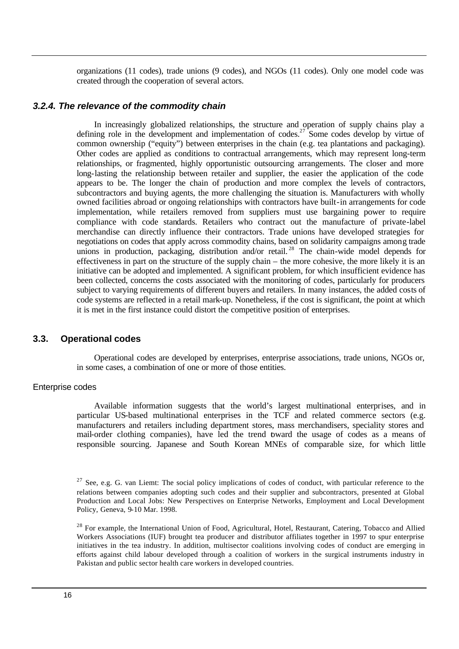organizations (11 codes), trade unions (9 codes), and NGOs (11 codes). Only one model code was created through the cooperation of several actors.

#### *3.2.4. The relevance of the commodity chain*

In increasingly globalized relationships, the structure and operation of supply chains play a defining role in the development and implementation of codes.<sup>27</sup> Some codes develop by virtue of common ownership ("equity") between enterprises in the chain (e.g. tea plantations and packaging). Other codes are applied as conditions to contractual arrangements, which may represent long-term relationships, or fragmented, highly opportunistic outsourcing arrangements. The closer and more long-lasting the relationship between retailer and supplier, the easier the application of the code appears to be. The longer the chain of production and more complex the levels of contractors, subcontractors and buying agents, the more challenging the situation is. Manufacturers with wholly owned facilities abroad or ongoing relationships with contractors have built-in arrangements for code implementation, while retailers removed from suppliers must use bargaining power to require compliance with code standards. Retailers who contract out the manufacture of private-label merchandise can directly influence their contractors. Trade unions have developed strategies for negotiations on codes that apply across commodity chains, based on solidarity campaigns among trade unions in production, packaging, distribution and/or retail.<sup>28</sup> The chain-wide model depends for effectiveness in part on the structure of the supply chain – the more cohesive, the more likely it is an initiative can be adopted and implemented. A significant problem, for which insufficient evidence has been collected, concerns the costs associated with the monitoring of codes, particularly for producers subject to varying requirements of different buyers and retailers. In many instances, the added costs of code systems are reflected in a retail mark-up. Nonetheless, if the cost is significant, the point at which it is met in the first instance could distort the competitive position of enterprises.

#### **3.3. Operational codes**

Operational codes are developed by enterprises, enterprise associations, trade unions, NGOs or, in some cases, a combination of one or more of those entities.

#### Enterprise codes

Available information suggests that the world's largest multinational enterprises, and in particular US-based multinational enterprises in the TCF and related commerce sectors (e.g. manufacturers and retailers including department stores, mass merchandisers, speciality stores and mail-order clothing companies), have led the trend toward the usage of codes as a means of responsible sourcing. Japanese and South Korean MNEs of comparable size, for which little

 $2^7$  See, e.g. G. van Liemt: The social policy implications of codes of conduct, with particular reference to the relations between companies adopting such codes and their supplier and subcontractors, presented at Global Production and Local Jobs: New Perspectives on Enterprise Networks, Employment and Local Development Policy, Geneva, 9-10 Mar. 1998.

<sup>&</sup>lt;sup>28</sup> For example, the International Union of Food, Agricultural, Hotel, Restaurant, Catering, Tobacco and Allied Workers Associations (IUF) brought tea producer and distributor affiliates together in 1997 to spur enterprise initiatives in the tea industry. In addition, multisector coalitions involving codes of conduct are emerging in efforts against child labour developed through a coalition of workers in the surgical instruments industry in Pakistan and public sector health care workers in developed countries.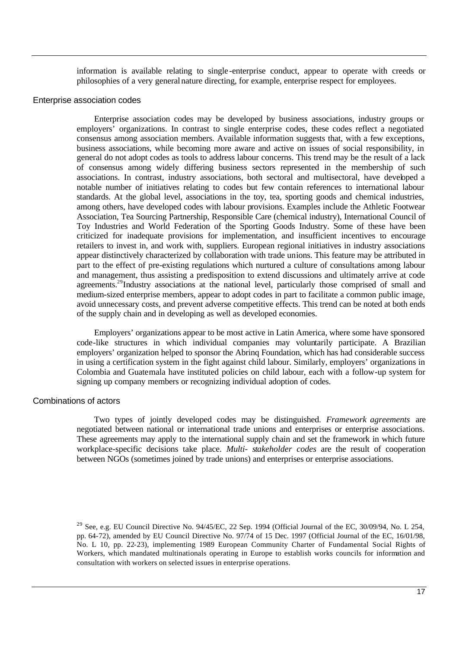information is available relating to single -enterprise conduct, appear to operate with creeds or philosophies of a very general nature directing, for example, enterprise respect for employees.

#### Enterprise association codes

Enterprise association codes may be developed by business associations, industry groups or employers' organizations. In contrast to single enterprise codes, these codes reflect a negotiated consensus among association members. Available information suggests that, with a few exceptions, business associations, while becoming more aware and active on issues of social responsibility, in general do not adopt codes as tools to address labour concerns. This trend may be the result of a lack of consensus among widely differing business sectors represented in the membership of such associations. In contrast, industry associations, both sectoral and multisectoral, have developed a notable number of initiatives relating to codes but few contain references to international labour standards. At the global level, associations in the toy, tea, sporting goods and chemical industries, among others, have developed codes with labour provisions. Examples include the Athletic Footwear Association, Tea Sourcing Partnership, Responsible Care (chemical industry), International Council of Toy Industries and World Federation of the Sporting Goods Industry. Some of these have been criticized for inadequate provisions for implementation, and insufficient incentives to encourage retailers to invest in, and work with, suppliers. European regional initiatives in industry associations appear distinctively characterized by collaboration with trade unions. This feature may be attributed in part to the effect of pre-existing regulations which nurtured a culture of consultations among labour and management, thus assisting a predisposition to extend discussions and ultimately arrive at code agreements.<sup>29</sup>Industry associations at the national level, particularly those comprised of small and medium-sized enterprise members, appear to adopt codes in part to facilitate a common public image, avoid unnecessary costs, and prevent adverse competitive effects. This trend can be noted at both ends of the supply chain and in developing as well as developed economies.

Employers' organizations appear to be most active in Latin America, where some have sponsored code-like structures in which individual companies may voluntarily participate. A Brazilian employers' organization helped to sponsor the Abrinq Foundation, which has had considerable success in using a certification system in the fight against child labour. Similarly, employers' organizations in Colombia and Guatemala have instituted policies on child labour, each with a follow-up system for signing up company members or recognizing individual adoption of codes.

#### Combinations of actors

Two types of jointly developed codes may be distinguished. *Framework agreements* are negotiated between national or international trade unions and enterprises or enterprise associations. These agreements may apply to the international supply chain and set the framework in which future workplace-specific decisions take place. *Multi- stakeholder codes* are the result of cooperation between NGOs (sometimes joined by trade unions) and enterprises or enterprise associations.

<sup>&</sup>lt;sup>29</sup> See, e.g. EU Council Directive No. 94/45/EC, 22 Sep. 1994 (Official Journal of the EC, 30/09/94, No. L 254, pp. 64-72), amended by EU Council Directive No. 97/74 of 15 Dec. 1997 (Official Journal of the EC, 16/01/98, No. L 10, pp. 22-23), implementing 1989 European Community Charter of Fundamental Social Rights of Workers, which mandated multinationals operating in Europe to establish works councils for information and consultation with workers on selected issues in enterprise operations.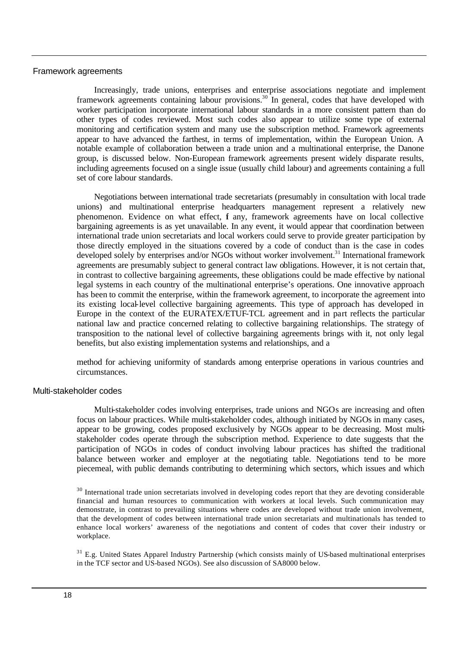#### Framework agreements

Increasingly, trade unions, enterprises and enterprise associations negotiate and implement framework agreements containing labour provisions.<sup>30</sup> In general, codes that have developed with worker participation incorporate international labour standards in a more consistent pattern than do other types of codes reviewed. Most such codes also appear to utilize some type of external monitoring and certification system and many use the subscription method. Framework agreements appear to have advanced the farthest, in terms of implementation, within the European Union. A notable example of collaboration between a trade union and a multinational enterprise, the Danone group, is discussed below. Non-European framework agreements present widely disparate results, including agreements focused on a single issue (usually child labour) and agreements containing a full set of core labour standards.

Negotiations between international trade secretariats (presumably in consultation with local trade unions) and multinational enterprise headquarters management represent a relatively new phenomenon. Evidence on what effect, if any, framework agreements have on local collective bargaining agreements is as yet unavailable. In any event, it would appear that coordination between international trade union secretariats and local workers could serve to provide greater participation by those directly employed in the situations covered by a code of conduct than is the case in codes developed solely by enterprises and/or NGOs without worker involvement.<sup>31</sup> International framework agreements are presumably subject to general contract law obligations. However, it is not certain that, in contrast to collective bargaining agreements, these obligations could be made effective by national legal systems in each country of the multinational enterprise's operations. One innovative approach has been to commit the enterprise, within the framework agreement, to incorporate the agreement into its existing local-level collective bargaining agreements. This type of approach has developed in Europe in the context of the EURATEX/ETUF-TCL agreement and in part reflects the particular national law and practice concerned relating to collective bargaining relationships. The strategy of transposition to the national level of collective bargaining agreements brings with it, not only legal benefits, but also existing implementation systems and relationships, and a

method for achieving uniformity of standards among enterprise operations in various countries and circumstances.

#### Multi-stakeholder codes

Multi-stakeholder codes involving enterprises, trade unions and NGOs are increasing and often focus on labour practices. While multi-stakeholder codes, although initiated by NGOs in many cases, appear to be growing, codes proposed exclusively by NGOs appear to be decreasing. Most multistakeholder codes operate through the subscription method. Experience to date suggests that the participation of NGOs in codes of conduct involving labour practices has shifted the traditional balance between worker and employer at the negotiating table. Negotiations tend to be more piecemeal, with public demands contributing to determining which sectors, which issues and which

<sup>30</sup> International trade union secretariats involved in developing codes report that they are devoting considerable financial and human resources to communication with workers at local levels. Such communication may demonstrate, in contrast to prevailing situations where codes are developed without trade union involvement, that the development of codes between international trade union secretariats and multinationals has tended to enhance local workers' awareness of the negotiations and content of codes that cover their industry or workplace.

 $31$  E.g. United States Apparel Industry Partnership (which consists mainly of US-based multinational enterprises in the TCF sector and US-based NGOs). See also discussion of SA8000 below.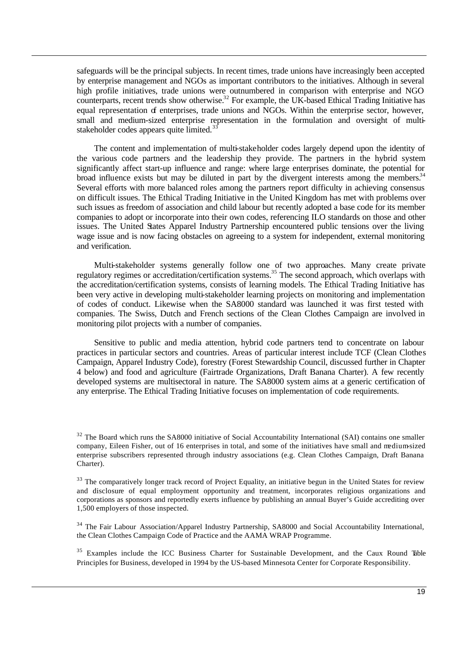safeguards will be the principal subjects. In recent times, trade unions have increasingly been accepted by enterprise management and NGOs as important contributors to the initiatives. Although in several high profile initiatives, trade unions were outnumbered in comparison with enterprise and NGO counterparts, recent trends show otherwise.<sup>32</sup> For example, the UK-based Ethical Trading Initiative has equal representation of enterprises, trade unions and NGOs. Within the enterprise sector, however, small and medium-sized enterprise representation in the formulation and oversight of multistakeholder codes appears quite limited.<sup>3</sup>

The content and implementation of multi-stakeholder codes largely depend upon the identity of the various code partners and the leadership they provide. The partners in the hybrid system significantly affect start-up influence and range: where large enterprises dominate, the potential for broad influence exists but may be diluted in part by the divergent interests among the members.<sup>34</sup> Several efforts with more balanced roles among the partners report difficulty in achieving consensus on difficult issues. The Ethical Trading Initiative in the United Kingdom has met with problems over such issues as freedom of association and child labour but recently adopted a base code for its member companies to adopt or incorporate into their own codes, referencing ILO standards on those and other issues. The United States Apparel Industry Partnership encountered public tensions over the living wage issue and is now facing obstacles on agreeing to a system for independent, external monitoring and verification.

Multi-stakeholder systems generally follow one of two approaches. Many create private regulatory regimes or accreditation/certification systems.<sup>35</sup> The second approach, which overlaps with the accreditation/certification systems, consists of learning models. The Ethical Trading Initiative has been very active in developing multi-stakeholder learning projects on monitoring and implementation of codes of conduct. Likewise when the SA8000 standard was launched it was first tested with companies. The Swiss, Dutch and French sections of the Clean Clothes Campaign are involved in monitoring pilot projects with a number of companies.

Sensitive to public and media attention, hybrid code partners tend to concentrate on labour practices in particular sectors and countries. Areas of particular interest include TCF (Clean Clothes Campaign, Apparel Industry Code), forestry (Forest Stewardship Council, discussed further in Chapter 4 below) and food and agriculture (Fairtrade Organizations, Draft Banana Charter). A few recently developed systems are multisectoral in nature. The SA8000 system aims at a generic certification of any enterprise. The Ethical Trading Initiative focuses on implementation of code requirements.

<sup>&</sup>lt;sup>32</sup> The Board which runs the SA8000 initiative of Social Accountability International (SAI) contains one smaller company, Eileen Fisher, out of 16 enterprises in total, and some of the initiatives have small and medium-sized enterprise subscribers represented through industry associations (e.g. Clean Clothes Campaign, Draft Banana Charter).

<sup>&</sup>lt;sup>33</sup> The comparatively longer track record of Project Equality, an initiative begun in the United States for review and disclosure of equal employment opportunity and treatment, incorporates religious organizations and corporations as sponsors and reportedly exerts influence by publishing an annual Buyer's Guide accrediting over 1,500 employers of those inspected.

<sup>&</sup>lt;sup>34</sup> The Fair Labour Association/Apparel Industry Partnership, SA8000 and Social Accountability International, the Clean Clothes Campaign Code of Practice and the AAMA WRAP Programme.

<sup>&</sup>lt;sup>35</sup> Examples include the ICC Business Charter for Sustainable Development, and the Caux Round Table Principles for Business, developed in 1994 by the US-based Minnesota Center for Corporate Responsibility.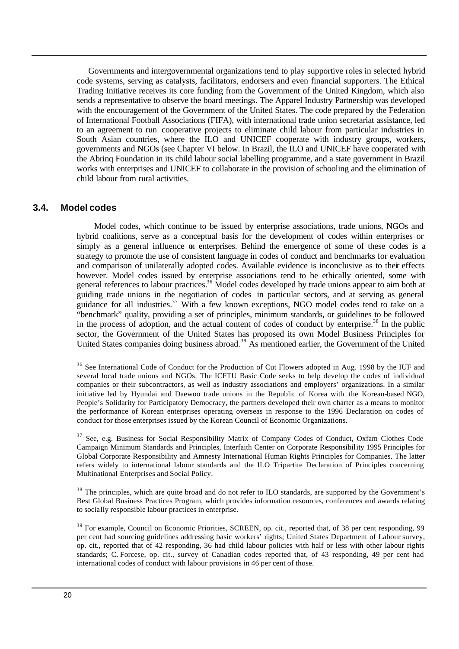Governments and intergovernmental organizations tend to play supportive roles in selected hybrid code systems, serving as catalysts, facilitators, endorsers and even financial supporters. The Ethical Trading Initiative receives its core funding from the Government of the United Kingdom, which also sends a representative to observe the board meetings. The Apparel Industry Partnership was developed with the encouragement of the Government of the United States. The code prepared by the Federation of International Football Associations (FIFA), with international trade union secretariat assistance, led to an agreement to run cooperative projects to eliminate child labour from particular industries in South Asian countries, where the ILO and UNICEF cooperate with industry groups, workers, governments and NGOs (see Chapter VI below. In Brazil, the ILO and UNICEF have cooperated with the Abrinq Foundation in its child labour social labelling programme, and a state government in Brazil works with enterprises and UNICEF to collaborate in the provision of schooling and the elimination of child labour from rural activities.

#### **3.4. Model codes**

Model codes, which continue to be issued by enterprise associations, trade unions, NGOs and hybrid coalitions, serve as a conceptual basis for the development of codes within enterprises or simply as a general influence on enterprises. Behind the emergence of some of these codes is a strategy to promote the use of consistent language in codes of conduct and benchmarks for evaluation and comparison of unilaterally adopted codes. Available evidence is inconclusive as to their effects however. Model codes issued by enterprise associations tend to be ethically oriented, some with general references to labour practices.<sup>36</sup> Model codes developed by trade unions appear to aim both at guiding trade unions in the negotiation of codes in particular sectors, and at serving as general guidance for all industries.<sup>37</sup> With a few known exceptions, NGO model codes tend to take on a "benchmark" quality, providing a set of principles, minimum standards, or guidelines to be followed in the process of adoption, and the actual content of codes of conduct by enterprise.<sup>38</sup> In the public sector, the Government of the United States has proposed its own Model Business Principles for United States companies doing business abroad.<sup>39</sup> As mentioned earlier, the Government of the United

<sup>&</sup>lt;sup>36</sup> See International Code of Conduct for the Production of Cut Flowers adopted in Aug. 1998 by the IUF and several local trade unions and NGOs. The ICFTU Basic Code seeks to help develop the codes of individual companies or their subcontractors, as well as industry associations and employers' organizations. In a similar initiative led by Hyundai and Daewoo trade unions in the Republic of Korea with the Korean-based NGO, People's Solidarity for Participatory Democracy, the partners developed their own charter as a means to monitor the performance of Korean enterprises operating overseas in response to the 1996 Declaration on codes of conduct for those enterprises issued by the Korean Council of Economic Organizations.

<sup>&</sup>lt;sup>37</sup> See, e.g. Business for Social Responsibility Matrix of Company Codes of Conduct, Oxfam Clothes Code Campaign Minimum Standards and Principles, Interfaith Center on Corporate Responsibility 1995 Principles for Global Corporate Responsibility and Amnesty International Human Rights Principles for Companies. The latter refers widely to international labour standards and the ILO Tripartite Declaration of Principles concerning Multinational Enterprises and Social Policy.

<sup>&</sup>lt;sup>38</sup> The principles, which are quite broad and do not refer to ILO standards, are supported by the Government's Best Global Business Practices Program, which provides information resources, conferences and awards relating to socially responsible labour practices in enterprise.

<sup>&</sup>lt;sup>39</sup> For example, Council on Economic Priorities, SCREEN, op. cit., reported that, of 38 per cent responding, 99 per cent had sourcing guidelines addressing basic workers' rights; United States Department of Labour survey, op. cit., reported that of 42 responding, 36 had child labour policies with half or less with other labour rights standards; C. Forcese, op. cit., survey of Canadian codes reported that, of 43 responding, 49 per cent had international codes of conduct with labour provisions in 46 per cent of those.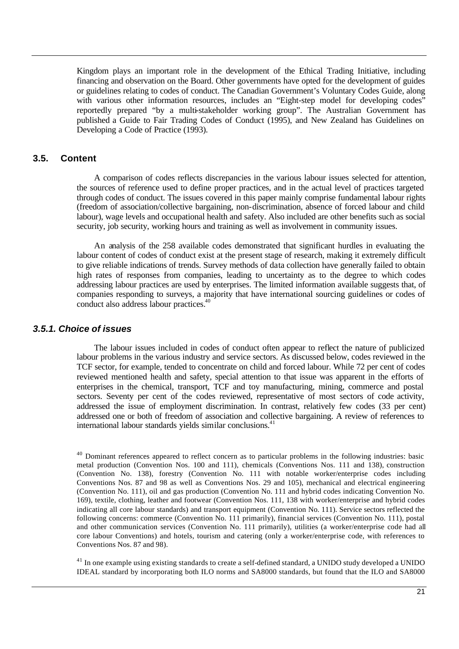Kingdom plays an important role in the development of the Ethical Trading Initiative, including financing and observation on the Board. Other governments have opted for the development of guides or guidelines relating to codes of conduct. The Canadian Government's Voluntary Codes Guide, along with various other information resources, includes an "Eight-step model for developing codes" reportedly prepared "by a multi-stakeholder working group". The Australian Government has published a Guide to Fair Trading Codes of Conduct (1995), and New Zealand has Guidelines on Developing a Code of Practice (1993).

#### **3.5. Content**

A comparison of codes reflects discrepancies in the various labour issues selected for attention, the sources of reference used to define proper practices, and in the actual level of practices targeted through codes of conduct. The issues covered in this paper mainly comprise fundamental labour rights (freedom of association/collective bargaining, non-discrimination, absence of forced labour and child labour), wage levels and occupational health and safety. Also included are other benefits such as social security, job security, working hours and training as well as involvement in community issues.

An analysis of the 258 available codes demonstrated that significant hurdles in evaluating the labour content of codes of conduct exist at the present stage of research, making it extremely difficult to give reliable indications of trends. Survey methods of data collection have generally failed to obtain high rates of responses from companies, leading to uncertainty as to the degree to which codes addressing labour practices are used by enterprises. The limited information available suggests that, of companies responding to surveys, a majority that have international sourcing guidelines or codes of conduct also address labour practices.<sup>40</sup>

#### *3.5.1. Choice of issues*

The labour issues included in codes of conduct often appear to reflect the nature of publicized labour problems in the various industry and service sectors. As discussed below, codes reviewed in the TCF sector, for example, tended to concentrate on child and forced labour. While 72 per cent of codes reviewed mentioned health and safety, special attention to that issue was apparent in the efforts of enterprises in the chemical, transport, TCF and toy manufacturing, mining, commerce and postal sectors. Seventy per cent of the codes reviewed, representative of most sectors of code activity, addressed the issue of employment discrimination. In contrast, relatively few codes (33 per cent) addressed one or both of freedom of association and collective bargaining. A review of references to international labour standards yields similar conclusions.<sup>41</sup>

<sup>41</sup> In one example using existing standards to create a self-defined standard, a UNIDO study developed a UNIDO IDEAL standard by incorporating both ILO norms and SA8000 standards, but found that the ILO and SA8000

<sup>&</sup>lt;sup>40</sup> Dominant references appeared to reflect concern as to particular problems in the following industries: basic metal production (Convention Nos. 100 and 111), chemicals (Conventions Nos. 111 and 138), construction (Convention No. 138), forestry (Convention No. 111 with notable worker/enterprise codes including Conventions Nos. 87 and 98 as well as Conventions Nos. 29 and 105), mechanical and electrical engineering (Convention No. 111), oil and gas production (Convention No. 111 and hybrid codes indicating Convention No. 169), textile, clothing, leather and footwear (Convention Nos. 111, 138 with worker/enterprise and hybrid codes indicating all core labour standards) and transport equipment (Convention No. 111). Service sectors reflected the following concerns: commerce (Convention No. 111 primarily), financial services (Convention No. 111), postal and other communication services (Convention No. 111 primarily), utilities (a worker/enterprise code had all core labour Conventions) and hotels, tourism and catering (only a worker/enterprise code, with references to Conventions Nos. 87 and 98).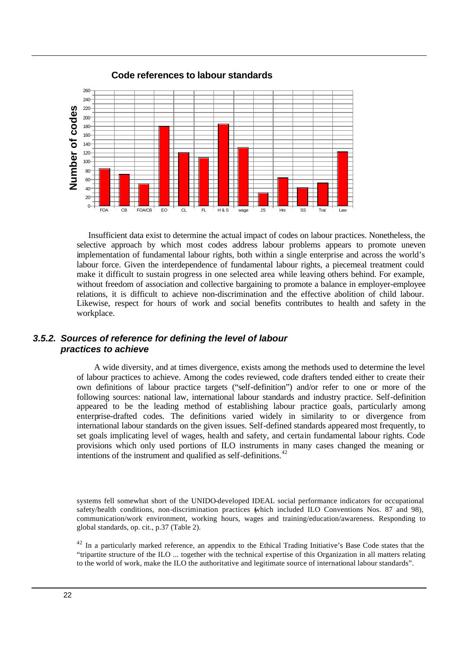

#### **Code references to labour standards**

Insufficient data exist to determine the actual impact of codes on labour practices. Nonetheless, the selective approach by which most codes address labour problems appears to promote uneven implementation of fundamental labour rights, both within a single enterprise and across the world's labour force. Given the interdependence of fundamental labour rights, a piecemeal treatment could make it difficult to sustain progress in one selected area while leaving others behind. For example, without freedom of association and collective bargaining to promote a balance in employer-employee relations, it is difficult to achieve non-discrimination and the effective abolition of child labour. Likewise, respect for hours of work and social benefits contributes to health and safety in the workplace.

#### *3.5.2. Sources of reference for defining the level of labour practices to achieve*

A wide diversity, and at times divergence, exists among the methods used to determine the level of labour practices to achieve. Among the codes reviewed, code drafters tended either to create their own definitions of labour practice targets ("self-definition") and/or refer to one or more of the following sources: national law, international labour standards and industry practice. Self-definition appeared to be the leading method of establishing labour practice goals, particularly among enterprise-drafted codes. The definitions varied widely in similarity to or divergence from international labour standards on the given issues. Self-defined standards appeared most frequently, to set goals implicating level of wages, health and safety, and certain fundamental labour rights. Code provisions which only used portions of ILO instruments in many cases changed the meaning or intentions of the instrument and qualified as self-definitions.<sup>42</sup>

systems fell somewhat short of the UNIDO-developed IDEAL social performance indicators for occupational safety/health conditions, non-discrimination practices (which included ILO Conventions Nos. 87 and 98), communication/work environment, working hours, wages and training/education/awareness. Responding to global standards, op. cit., p.37 (Table 2).

<sup>42</sup> In a particularly marked reference, an appendix to the Ethical Trading Initiative's Base Code states that the "tripartite structure of the ILO ... together with the technical expertise of this Organization in all matters relating to the world of work, make the ILO the authoritative and legitimate source of international labour standards".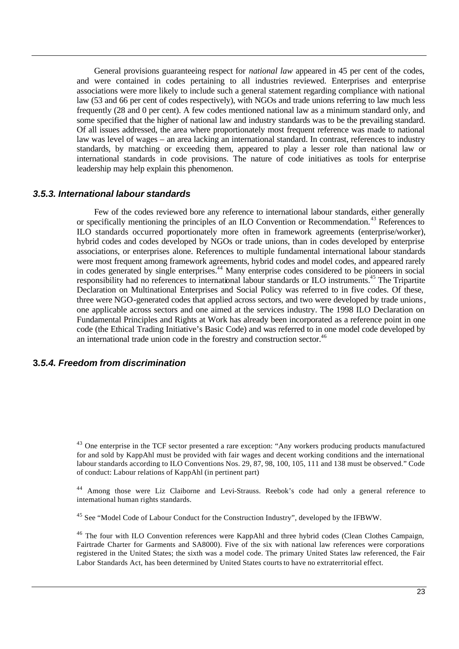General provisions guaranteeing respect for *national law* appeared in 45 per cent of the codes, and were contained in codes pertaining to all industries reviewed. Enterprises and enterprise associations were more likely to include such a general statement regarding compliance with national law (53 and 66 per cent of codes respectively), with NGOs and trade unions referring to law much less frequently (28 and 0 per cent). A few codes mentioned national law as a minimum standard only, and some specified that the higher of national law and industry standards was to be the prevailing standard. Of all issues addressed, the area where proportionately most frequent reference was made to national law was level of wages – an area lacking an international standard. In contrast, references to industry standards, by matching or exceeding them, appeared to play a lesser role than national law or international standards in code provisions. The nature of code initiatives as tools for enterprise leadership may help explain this phenomenon.

#### *3.5.3. International labour standards*

Few of the codes reviewed bore any reference to international labour standards, either generally or specifically mentioning the principles of an ILO Convention or Recommendation.<sup>43</sup> References to ILO standards occurred proportionately more often in framework agreements (enterprise/worker), hybrid codes and codes developed by NGOs or trade unions, than in codes developed by enterprise associations, or enterprises alone. References to multiple fundamental international labour standards were most frequent among framework agreements, hybrid codes and model codes, and appeared rarely in codes generated by single enterprises.<sup>44</sup> Many enterprise codes considered to be pioneers in social responsibility had no references to international labour standards or ILO instruments.<sup>45</sup> The Tripartite Declaration on Multinational Enterprises and Social Policy was referred to in five codes. Of these, three were NGO-generated codes that applied across sectors, and two were developed by trade unions, one applicable across sectors and one aimed at the services industry. The 1998 ILO Declaration on Fundamental Principles and Rights at Work has already been incorporated as a reference point in one code (the Ethical Trading Initiative's Basic Code) and was referred to in one model code developed by an international trade union code in the forestry and construction sector.<sup>46</sup>

#### **3***.5.4. Freedom from discrimination*

<sup>43</sup> One enterprise in the TCF sector presented a rare exception: "Any workers producing products manufactured for and sold by KappAhl must be provided with fair wages and decent working conditions and the international labour standards according to ILO Conventions Nos. 29, 87, 98, 100, 105, 111 and 138 must be observed." Code of conduct: Labour relations of KappAhl (in pertinent part)

<sup>44</sup> Among those were Liz Claiborne and Levi-Strauss. Reebok's code had only a general reference to international human rights standards.

<sup>45</sup> See "Model Code of Labour Conduct for the Construction Industry", developed by the IFBWW.

<sup>46</sup> The four with ILO Convention references were KappAhl and three hybrid codes (Clean Clothes Campaign, Fairtrade Charter for Garments and SA8000). Five of the six with national law references were corporations registered in the United States; the sixth was a model code. The primary United States law referenced, the Fair Labor Standards Act, has been determined by United States courts to have no extraterritorial effect.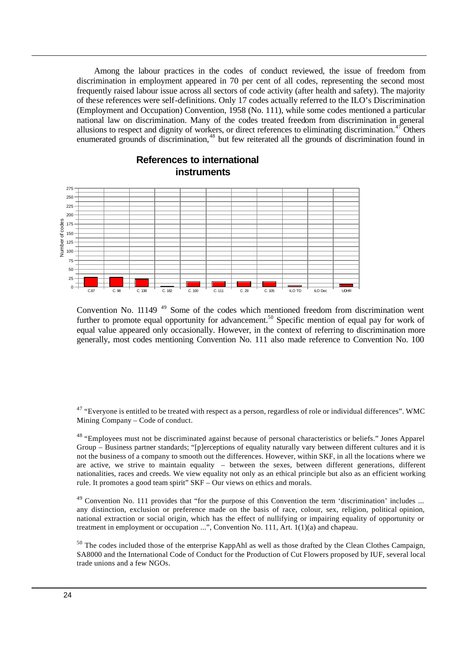Among the labour practices in the codes of conduct reviewed, the issue of freedom from discrimination in employment appeared in 70 per cent of all codes, representing the second most frequently raised labour issue across all sectors of code activity (after health and safety). The majority of these references were self-definitions. Only 17 codes actually referred to the ILO's Discrimination (Employment and Occupation) Convention, 1958 (No. 111), while some codes mentioned a particular national law on discrimination. Many of the codes treated freedom from discrimination in general allusions to respect and dignity of workers, or direct references to eliminating discrimination. $47$  Others enumerated grounds of discrimination,<sup>48</sup> but few reiterated all the grounds of discrimination found in



#### **References to international instruments**

Convention No. 11149<sup>49</sup> Some of the codes which mentioned freedom from discrimination went further to promote equal opportunity for advancement.<sup>50</sup> Specific mention of equal pay for work of equal value appeared only occasionally. However, in the context of referring to discrimination more generally, most codes mentioning Convention No. 111 also made reference to Convention No. 100

> $47$  "Everyone is entitled to be treated with respect as a person, regardless of role or individual differences". WMC Mining Company – Code of conduct.

> <sup>48</sup> "Employees must not be discriminated against because of personal characteristics or beliefs." Jones Apparel Group – Business partner standards; "[p]erceptions of equality naturally vary between different cultures and it is not the business of a company to smooth out the differences. However, within SKF, in all the locations where we are active, we strive to maintain equality – between the sexes, between different generations, different nationalities, races and creeds. We view equality not only as an ethical principle but also as an efficient working rule. It promotes a good team spirit" SKF – Our views on ethics and morals.

> <sup>49</sup> Convention No. 111 provides that "for the purpose of this Convention the term 'discrimination' includes ... any distinction, exclusion or preference made on the basis of race, colour, sex, religion, political opinion, national extraction or social origin, which has the effect of nullifying or impairing equality of opportunity or treatment in employment or occupation  $\ldots$ ", Convention No. 111, Art. 1(1)(a) and chapeau.

> <sup>50</sup> The codes included those of the enterprise KappAhl as well as those drafted by the Clean Clothes Campaign, SA8000 and the International Code of Conduct for the Production of Cut Flowers proposed by IUF, several local trade unions and a few NGOs.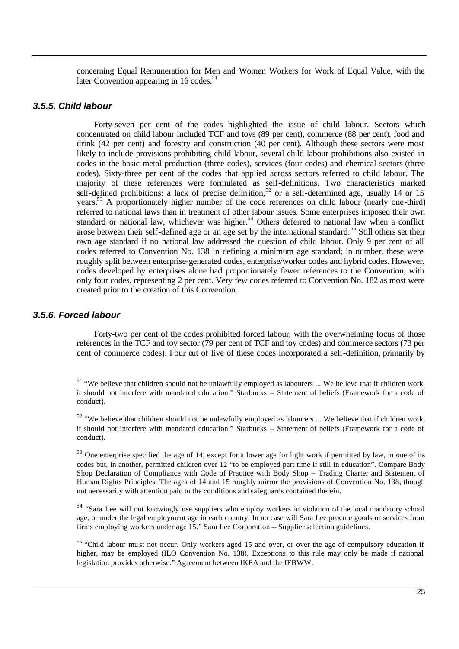concerning Equal Remuneration for Men and Women Workers for Work of Equal Value, with the later Convention appearing in 16 codes. $51$ 

#### *3.5.5. Child labour*

Forty-seven per cent of the codes highlighted the issue of child labour. Sectors which concentrated on child labour included TCF and toys (89 per cent), commerce (88 per cent), food and drink (42 per cent) and forestry and construction (40 per cent). Although these sectors were most likely to include provisions prohibiting child labour, several child labour prohibitions also existed in codes in the basic metal production (three codes), services (four codes) and chemical sectors (three codes). Sixty-three per cent of the codes that applied across sectors referred to child labour. The majority of these references were formulated as self-definitions. Two characteristics marked self-defined prohibitions: a lack of precise definition,<sup>52</sup> or a self-determined age, usually 14 or 15 years. <sup>53</sup> A proportionately higher number of the code references on child labour (nearly one-third) referred to national laws than in treatment of other labour issues. Some enterprises imposed their own standard or national law, whichever was higher.<sup>54</sup> Others deferred to national law when a conflict arose between their self-defined age or an age set by the international standard.<sup>55</sup> Still others set their own age standard if no national law addressed the question of child labour. Only 9 per cent of all codes referred to Convention No. 138 in defining a minimum age standard; in number, these were roughly split between enterprise-generated codes, enterprise/worker codes and hybrid codes. However, codes developed by enterprises alone had proportionately fewer references to the Convention, with only four codes, representing 2 per cent. Very few codes referred to Convention No. 182 as most were created prior to the creation of this Convention.

#### *3.5.6. Forced labour*

Forty-two per cent of the codes prohibited forced labour, with the overwhelming focus of those references in the TCF and toy sector (79 per cent of TCF and toy codes) and commerce sectors (73 per cent of commerce codes). Four out of five of these codes incorporated a self-definition, primarily by

<sup>51</sup> "We believe that children should not be unlawfully employed as labourers ... We believe that if children work, it should not interfere with mandated education." Starbucks – Statement of beliefs (Framework for a code of conduct).

 $52$  "We believe that children should not be unlawfully employed as labourers ... We believe that if children work, it should not interfere with mandated education." Starbucks – Statement of beliefs (Framework for a code of conduct).

<sup>53</sup> One enterprise specified the age of 14, except for a lower age for light work if permitted by law, in one of its codes but, in another, permitted children over 12 "to be employed part time if still in education". Compare Body Shop Declaration of Compliance with Code of Practice with Body Shop – Trading Charter and Statement of Human Rights Principles. The ages of 14 and 15 roughly mirror the provisions of Convention No. 138, though not necessarily with attention paid to the conditions and safeguards contained therein.

<sup>54</sup> "Sara Lee will not knowingly use suppliers who employ workers in violation of the local mandatory school age, or under the legal employment age in each country. In no case will Sara Lee procure goods or services from firms employing workers under age 15." Sara Lee Corporation -- Supplier selection guidelines.

<sup>55</sup> "Child labour mu st not occur. Only workers aged 15 and over, or over the age of compulsory education if higher, may be employed (ILO Convention No. 138). Exceptions to this rule may only be made if national legislation provides otherwise." Agreement between IKEA and the IFBWW.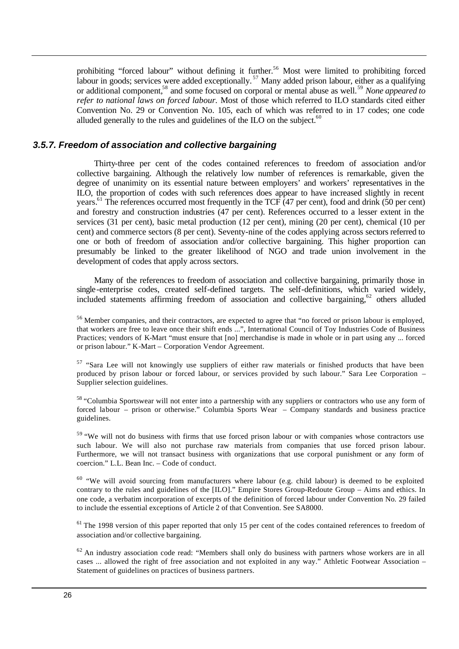prohibiting "forced labour" without defining it further.<sup>56</sup> Most were limited to prohibiting forced labour in goods; services were added exceptionally.<sup>57</sup> Many added prison labour, either as a qualifying or additional component,<sup>58</sup> and some focused on corporal or mental abuse as well.<sup>59</sup> *None appeared to refer to national laws on forced labour.* Most of those which referred to ILO standards cited either Convention No. 29 or Convention No. 105, each of which was referred to in 17 codes; one code alluded generally to the rules and guidelines of the ILO on the subject. $60$ 

#### *3.5.7. Freedom of association and collective bargaining*

Thirty-three per cent of the codes contained references to freedom of association and/or collective bargaining. Although the relatively low number of references is remarkable, given the degree of unanimity on its essential nature between employers' and workers' representatives in the ILO, the proportion of codes with such references does appear to have increased slightly in recent years.<sup>61</sup> The references occurred most frequently in the TCF (47 per cent), food and drink (50 per cent) and forestry and construction industries (47 per cent). References occurred to a lesser extent in the services (31 per cent), basic metal production (12 per cent), mining (20 per cent), chemical (10 per cent) and commerce sectors (8 per cent). Seventy-nine of the codes applying across sectors referred to one or both of freedom of association and/or collective bargaining. This higher proportion can presumably be linked to the greater likelihood of NGO and trade union involvement in the development of codes that apply across sectors.

Many of the references to freedom of association and collective bargaining, primarily those in single-enterprise codes, created self-defined targets. The self-definitions, which varied widely, included statements affirming freedom of association and collective bargaining, $62$  others alluded

<sup>56</sup> Member companies, and their contractors, are expected to agree that "no forced or prison labour is employed, that workers are free to leave once their shift ends ...", International Council of Toy Industries Code of Business Practices; vendors of K-Mart "must ensure that [no] merchandise is made in whole or in part using any ... forced or prison labour." K-Mart – Corporation Vendor Agreement.

<sup>57</sup> "Sara Lee will not knowingly use suppliers of either raw materials or finished products that have been produced by prison labour or forced labour, or services provided by such labour." Sara Lee Corporation – Supplier selection guidelines.

<sup>58</sup> "Columbia Sportswear will not enter into a partnership with any suppliers or contractors who use any form of forced labour – prison or otherwise." Columbia Sports Wear – Company standards and business practice guidelines.

<sup>59</sup> "We will not do business with firms that use forced prison labour or with companies whose contractors use such labour. We will also not purchase raw materials from companies that use forced prison labour. Furthermore, we will not transact business with organizations that use corporal punishment or any form of coercion." L.L. Bean Inc. – Code of conduct.

<sup>60</sup> "We will avoid sourcing from manufacturers where labour (e.g. child labour) is deemed to be exploited contrary to the rules and guidelines of the [ILO]." Empire Stores Group-Redoute Group – Aims and ethics. In one code, a verbatim incorporation of excerpts of the definition of forced labour under Convention No. 29 failed to include the essential exceptions of Article 2 of that Convention. See SA8000.

 $61$  The 1998 version of this paper reported that only 15 per cent of the codes contained references to freedom of association and/or collective bargaining.

 $62$  An industry association code read: "Members shall only do business with partners whose workers are in all cases ... allowed the right of free association and not exploited in any way." Athletic Footwear Association – Statement of guidelines on practices of business partners.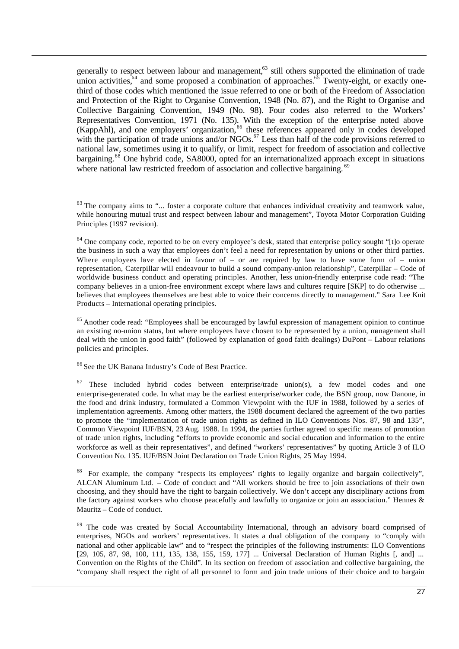generally to respect between labour and management,<sup>63</sup> still others supported the elimination of trade union activities, $64$  and some proposed a combination of approaches. $65$  Twenty-eight, or exactly onethird of those codes which mentioned the issue referred to one or both of the Freedom of Association and Protection of the Right to Organise Convention, 1948 (No. 87), and the Right to Organise and Collective Bargaining Convention, 1949 (No. 98). Four codes also referred to the Workers' Representatives Convention, 1971 (No. 135). With the exception of the enterprise noted above (KappAhl), and one employers' organization,<sup>66</sup> these references appeared only in codes developed with the participation of trade unions and/or NGOs.<sup>67</sup> Less than half of the code provisions referred to national law, sometimes using it to qualify, or limit, respect for freedom of association and collective bargaining.<sup>68</sup> One hybrid code, SA8000, opted for an internationalized approach except in situations where national law restricted freedom of association and collective bargaining. <sup>69</sup>

<sup>63</sup> The company aims to "... foster a corporate culture that enhances individual creativity and teamwork value, while honouring mutual trust and respect between labour and management", Toyota Motor Corporation Guiding Principles (1997 revision).

<sup>64</sup> One company code, reported to be on every employee's desk, stated that enterprise policy sought "[t]o operate the business in such a way that employees don't feel a need for representation by unions or other third parties. Where employees have elected in favour of – or are required by law to have some form of – union representation, Caterpillar will endeavour to build a sound company-union relationship", Caterpillar – Code of worldwide business conduct and operating principles. Another, less union-friendly enterprise code read: "The company believes in a union-free environment except where laws and cultures require [SKP] to do otherwise ... believes that employees themselves are best able to voice their concerns directly to management." Sara Lee Knit Products – International operating principles.

<sup>65</sup> Another code read: "Employees shall be encouraged by lawful expression of management opinion to continue an existing no-union status, but where employees have chosen to be represented by a union, management shall deal with the union in good faith" (followed by explanation of good faith dealings) DuPont – Labour relations policies and principles.

<sup>66</sup> See the UK Banana Industry's Code of Best Practice.

 $67$  These included hybrid codes between enterprise/trade union(s), a few model codes and one enterprise-generated code. In what may be the earliest enterprise/worker code, the BSN group, now Danone, in the food and drink industry, formulated a Common Viewpoint with the IUF in 1988, followed by a series of implementation agreements. Among other matters, the 1988 document declared the agreement of the two parties to promote the "implementation of trade union rights as defined in ILO Conventions Nos. 87, 98 and 135", Common Viewpoint IUF/BSN, 23 Aug. 1988. In 1994, the parties further agreed to specific means of promotion of trade union rights, including "efforts to provide economic and social education and information to the entire workforce as well as their representatives", and defined "workers' representatives" by quoting Article 3 of ILO Convention No. 135. IUF/BSN Joint Declaration on Trade Union Rights, 25 May 1994.

<sup>68</sup> For example, the company "respects its employees' rights to legally organize and bargain collectively", ALCAN Aluminum Ltd. – Code of conduct and "All workers should be free to join associations of their own choosing, and they should have the right to bargain collectively. We don't accept any disciplinary actions from the factory against workers who choose peacefully and lawfully to organize or join an association." Hennes & Mauritz – Code of conduct.

<sup>69</sup> The code was created by Social Accountability International, through an advisory board comprised of enterprises, NGOs and workers' representatives. It states a dual obligation of the company to "comply with national and other applicable law" and to "respect the principles of the following instruments: ILO Conventions [29, 105, 87, 98, 100, 111, 135, 138, 155, 159, 177] ... Universal Declaration of Human Rights [, and] ... Convention on the Rights of the Child". In its section on freedom of association and collective bargaining, the "company shall respect the right of all personnel to form and join trade unions of their choice and to bargain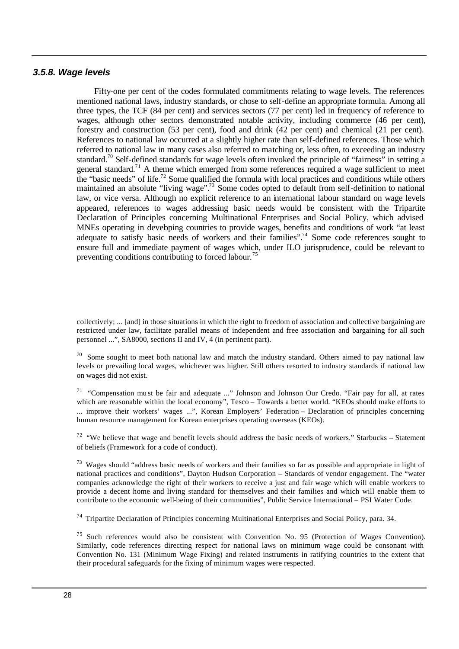#### *3.5.8. Wage levels*

Fifty-one per cent of the codes formulated commitments relating to wage levels. The references mentioned national laws, industry standards, or chose to self-define an appropriate formula. Among all three types, the TCF (84 per cent) and services sectors (77 per cent) led in frequency of reference to wages, although other sectors demonstrated notable activity, including commerce (46 per cent), forestry and construction (53 per cent), food and drink (42 per cent) and chemical (21 per cent). References to national law occurred at a slightly higher rate than self-defined references. Those which referred to national law in many cases also referred to matching or, less often, to exceeding an industry standard.<sup>70</sup> Self-defined standards for wage levels often invoked the principle of "fairness" in setting a general standard.<sup>71</sup> A theme which emerged from some references required a wage sufficient to meet the "basic needs" of life.<sup>72</sup> Some qualified the formula with local practices and conditions while others maintained an absolute "living wage".<sup>73</sup> Some codes opted to default from self-definition to national law, or vice versa. Although no explicit reference to an international labour standard on wage levels appeared, references to wages addressing basic needs would be consistent with the Tripartite Declaration of Principles concerning Multinational Enterprises and Social Policy, which advised MNEs operating in developing countries to provide wages, benefits and conditions of work "at least adequate to satisfy basic needs of workers and their families".<sup>74</sup> Some code references sought to ensure full and immediate payment of wages which, under ILO jurisprudence, could be relevant to preventing conditions contributing to forced labour.<sup>75</sup>

collectively; ... [and] in those situations in which the right to freedom of association and collective bargaining are restricted under law, facilitate parallel means of independent and free association and bargaining for all such personnel ...", SA8000, sections II and IV, 4 (in pertinent part).

 $70$  Some sought to meet both national law and match the industry standard. Others aimed to pay national law levels or prevailing local wages, whichever was higher. Still others resorted to industry standards if national law on wages did not exist.

<sup>71</sup> "Compensation mu st be fair and adequate ..." Johnson and Johnson Our Credo. "Fair pay for all, at rates which are reasonable within the local economy", Tesco – Towards a better world. "KEOs should make efforts to ... improve their workers' wages ...", Korean Employers' Federation – Declaration of principles concerning human resource management for Korean enterprises operating overseas (KEOs).

 $72$  "We believe that wage and benefit levels should address the basic needs of workers." Starbucks – Statement of beliefs (Framework for a code of conduct).

<sup>73</sup> Wages should "address basic needs of workers and their families so far as possible and appropriate in light of national practices and conditions", Dayton Hudson Corporation – Standards of vendor engagement. The "water companies acknowledge the right of their workers to receive a just and fair wage which will enable workers to provide a decent home and living standard for themselves and their families and which will enable them to contribute to the economic well-being of their communities", Public Service International – PSI Water Code.

<sup>74</sup> Tripartite Declaration of Principles concerning Multinational Enterprises and Social Policy, para. 34.

<sup>75</sup> Such references would also be consistent with Convention No. 95 (Protection of Wages Convention). Similarly, code references directing respect for national laws on minimum wage could be consonant with Convention No. 131 (Minimum Wage Fixing) and related instruments in ratifying countries to the extent that their procedural safeguards for the fixing of minimum wages were respected.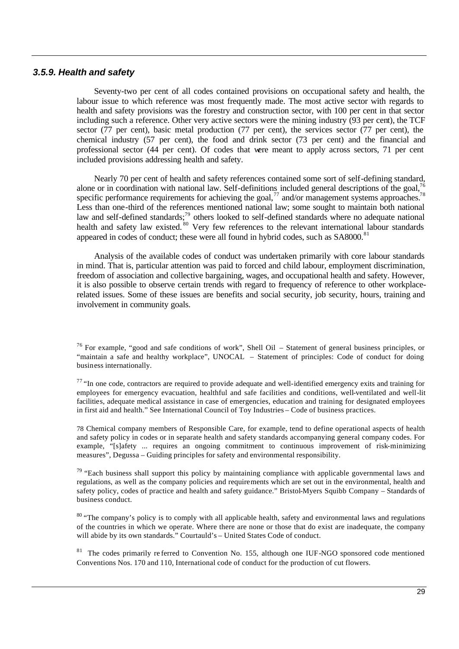#### *3.5.9. Health and safety*

Seventy-two per cent of all codes contained provisions on occupational safety and health, the labour issue to which reference was most frequently made. The most active sector with regards to health and safety provisions was the forestry and construction sector, with 100 per cent in that sector including such a reference. Other very active sectors were the mining industry (93 per cent), the TCF sector (77 per cent), basic metal production (77 per cent), the services sector (77 per cent), the chemical industry (57 per cent), the food and drink sector (73 per cent) and the financial and professional sector (44 per cent). Of codes that were meant to apply across sectors, 71 per cent included provisions addressing health and safety.

Nearly 70 per cent of health and safety references contained some sort of self-defining standard, alone or in coordination with national law. Self-definitions included general descriptions of the goal,  $7<sup>6</sup>$ specific performance requirements for achieving the goal,  $77$  and/or management systems approaches.<sup>78</sup> Less than one-third of the references mentioned national law; some sought to maintain both national law and self-defined standards;<sup>79</sup> others looked to self-defined standards where no adequate national health and safety law existed.<sup>80</sup> Very few references to the relevant international labour standards appeared in codes of conduct; these were all found in hybrid codes, such as SA8000.<sup>81</sup>

Analysis of the available codes of conduct was undertaken primarily with core labour standards in mind. That is, particular attention was paid to forced and child labour, employment discrimination, freedom of association and collective bargaining, wages, and occupational health and safety. However, it is also possible to observe certain trends with regard to frequency of reference to other workplacerelated issues. Some of these issues are benefits and social security, job security, hours, training and involvement in community goals.

78 Chemical company members of Responsible Care, for example, tend to define operational aspects of health and safety policy in codes or in separate health and safety standards accompanying general company codes. For example, "[s]afety ... requires an ongoing commitment to continuous improvement of risk-minimizing measures", Degussa – Guiding principles for safety and environmental responsibility.

<sup>79</sup> "Each business shall support this policy by maintaining compliance with applicable governmental laws and regulations, as well as the company policies and requirements which are set out in the environmental, health and safety policy, codes of practice and health and safety guidance." Bristol-Myers Squibb Company – Standards of business conduct.

<sup>80</sup> "The company's policy is to comply with all applicable health, safety and environmental laws and regulations of the countries in which we operate. Where there are none or those that do exist are inadequate, the company will abide by its own standards." Courtauld's - United States Code of conduct.

<sup>81</sup> The codes primarily referred to Convention No. 155, although one IUF-NGO sponsored code mentioned Conventions Nos. 170 and 110, International code of conduct for the production of cut flowers.

 $76$  For example, "good and safe conditions of work", Shell Oil – Statement of general business principles, or "maintain a safe and healthy workplace", UNOCAL – Statement of principles: Code of conduct for doing business internationally.

 $77$  "In one code, contractors are required to provide adequate and well-identified emergency exits and training for employees for emergency evacuation, healthful and safe facilities and conditions, well-ventilated and well-lit facilities, adequate medical assistance in case of emergencies, education and training for designated employees in first aid and health." See International Council of Toy Industries – Code of business practices.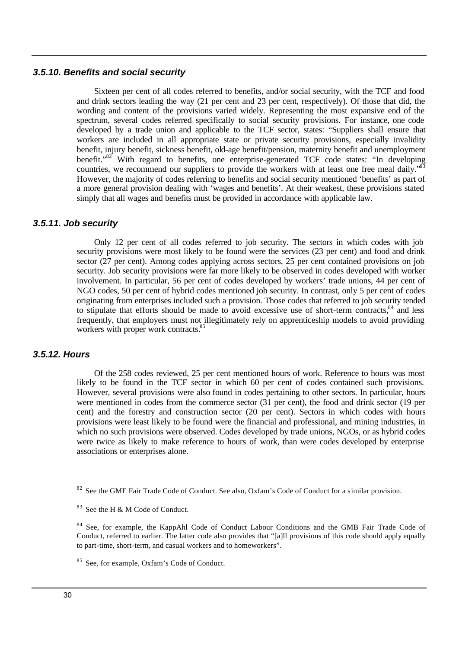#### *3.5.10. Benefits and social security*

Sixteen per cent of all codes referred to benefits, and/or social security, with the TCF and food and drink sectors leading the way (21 per cent and 23 per cent, respectively). Of those that did, the wording and content of the provisions varied widely. Representing the most expansive end of the spectrum, several codes referred specifically to social security provisions. For instance, one code developed by a trade union and applicable to the TCF sector, states: "Suppliers shall ensure that workers are included in all appropriate state or private security provisions, especially invalidity benefit, injury benefit, sickness benefit, old-age benefit/pension, maternity benefit and unemployment benefit."<sup>82</sup> With regard to benefits, one enterprise-generated TCF code states: "In developing countries, we recommend our suppliers to provide the workers with at least one free meal daily.<sup>83</sup> However, the majority of codes referring to benefits and social security mentioned 'benefits' as part of a more general provision dealing with 'wages and benefits'. At their weakest, these provisions stated simply that all wages and benefits must be provided in accordance with applicable law.

#### *3.5.11. Job security*

Only 12 per cent of all codes referred to job security. The sectors in which codes with job security provisions were most likely to be found were the services (23 per cent) and food and drink sector (27 per cent). Among codes applying across sectors, 25 per cent contained provisions on job security. Job security provisions were far more likely to be observed in codes developed with worker involvement. In particular, 56 per cent of codes developed by workers' trade unions, 44 per cent of NGO codes, 50 per cent of hybrid codes mentioned job security. In contrast, only 5 per cent of codes originating from enterprises included such a provision. Those codes that referred to job security tended to stipulate that efforts should be made to avoid excessive use of short-term contracts, $84$  and less frequently, that employers must not illegitimately rely on apprenticeship models to avoid providing workers with proper work contracts.<sup>8</sup>

#### *3.5.12. Hours*

Of the 258 codes reviewed, 25 per cent mentioned hours of work. Reference to hours was most likely to be found in the TCF sector in which 60 per cent of codes contained such provisions. However, several provisions were also found in codes pertaining to other sectors. In particular, hours were mentioned in codes from the commerce sector (31 per cent), the food and drink sector (19 per cent) and the forestry and construction sector (20 per cent). Sectors in which codes with hours provisions were least likely to be found were the financial and professional, and mining industries, in which no such provisions were observed. Codes developed by trade unions, NGOs, or as hybrid codes were twice as likely to make reference to hours of work, than were codes developed by enterprise associations or enterprises alone.

<sup>82</sup> See the GME Fair Trade Code of Conduct. See also, Oxfam's Code of Conduct for a similar provision.

 $83$  See the H & M Code of Conduct.

<sup>84</sup> See, for example, the KappAhl Code of Conduct Labour Conditions and the GMB Fair Trade Code of Conduct, referred to earlier. The latter code also provides that "[a]ll provisions of this code should apply equally to part-time, short-term, and casual workers and to homeworkers".

<sup>85</sup> See, for example, Oxfam's Code of Conduct.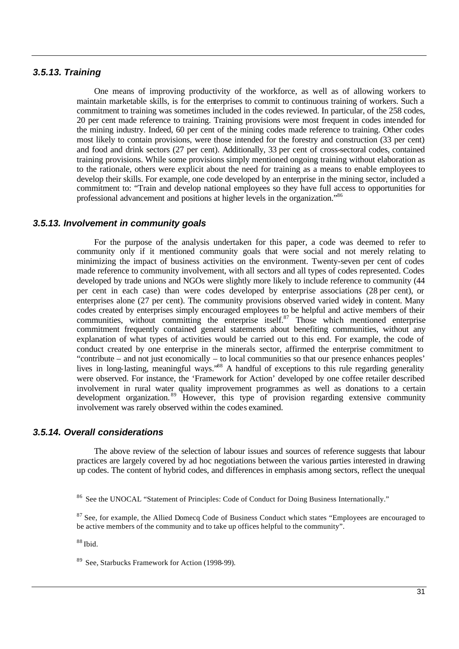#### *3.5.13. Training*

One means of improving productivity of the workforce, as well as of allowing workers to maintain marketable skills, is for the enterprises to commit to continuous training of workers. Such a commitment to training was sometimes included in the codes reviewed. In particular, of the 258 codes, 20 per cent made reference to training. Training provisions were most frequent in codes intended for the mining industry. Indeed, 60 per cent of the mining codes made reference to training. Other codes most likely to contain provisions, were those intended for the forestry and construction (33 per cent) and food and drink sectors (27 per cent). Additionally, 33 per cent of cross-sectoral codes, contained training provisions. While some provisions simply mentioned ongoing training without elaboration as to the rationale, others were explicit about the need for training as a means to enable employees to develop their skills. For example, one code developed by an enterprise in the mining sector, included a commitment to: "Train and develop national employees so they have full access to opportunities for professional advancement and positions at higher levels in the organization."<sup>86</sup>

#### *3.5.13. Involvement in community goals*

For the purpose of the analysis undertaken for this paper, a code was deemed to refer to community only if it mentioned community goals that were social and not merely relating to minimizing the impact of business activities on the environment. Twenty-seven per cent of codes made reference to community involvement, with all sectors and all types of codes represented. Codes developed by trade unions and NGOs were slightly more likely to include reference to community (44 per cent in each case) than were codes developed by enterprise associations (28 per cent), or enterprises alone (27 per cent). The community provisions observed varied widely in content. Many codes created by enterprises simply encouraged employees to be helpful and active members of their communities, without committing the enterprise itself.<sup>87</sup> Those which mentioned enterprise commitment frequently contained general statements about benefiting communities, without any explanation of what types of activities would be carried out to this end. For example, the code of conduct created by one enterprise in the minerals sector, affirmed the enterprise commitment to "contribute – and not just economically – to local communities so that our presence enhances peoples' lives in long-lasting, meaningful ways.<sup>88</sup> A handful of exceptions to this rule regarding generality were observed. For instance, the 'Framework for Action' developed by one coffee retailer described involvement in rural water quality improvement programmes as well as donations to a certain development organization. <sup>89</sup> However, this type of provision regarding extensive community involvement was rarely observed within the codes examined.

#### *3.5.14. Overall considerations*

The above review of the selection of labour issues and sources of reference suggests that labour practices are largely covered by ad hoc negotiations between the various parties interested in drawing up codes. The content of hybrid codes, and differences in emphasis among sectors, reflect the unequal

<sup>87</sup> See, for example, the Allied Domecq Code of Business Conduct which states "Employees are encouraged to be active members of the community and to take up offices helpful to the community".

 $88$  Ibid.

<sup>89</sup> See, Starbucks Framework for Action (1998-99).

<sup>&</sup>lt;sup>86</sup> See the UNOCAL "Statement of Principles: Code of Conduct for Doing Business Internationally."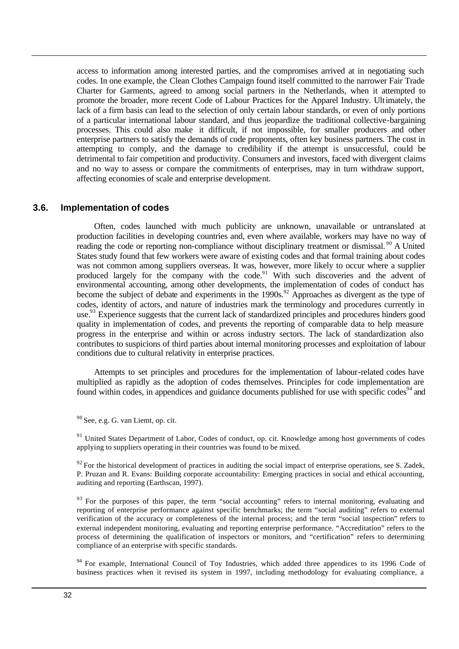access to information among interested parties, and the compromises arrived at in negotiating such codes. In one example, the Clean Clothes Campaign found itself committed to the narrower Fair Trade Charter for Garments, agreed to among social partners in the Netherlands, when it attempted to promote the broader, more recent Code of Labour Practices for the Apparel Industry. Ultimately, the lack of a firm basis can lead to the selection of only certain labour standards, or even of only portions of a particular international labour standard, and thus jeopardize the traditional collective-bargaining processes. This could also make it difficult, if not impossible, for smaller producers and other enterprise partners to satisfy the demands of code proponents, often key business partners. The cost in attempting to comply, and the damage to credibility if the attempt is unsuccessful, could be detrimental to fair competition and productivity. Consumers and investors, faced with divergent claims and no way to assess or compare the commitments of enterprises, may in turn withdraw support, affecting economies of scale and enterprise development.

#### **3.6. Implementation of codes**

Often, codes launched with much publicity are unknown, unavailable or untranslated at production facilities in developing countries and, even where available, workers may have no way of reading the code or reporting non-compliance without disciplinary treatment or dismissal.<sup>90</sup> A United States study found that few workers were aware of existing codes and that formal training about codes was not common among suppliers overseas. It was, however, more likely to occur where a supplier produced largely for the company with the code.<sup>91</sup> With such discoveries and the advent of environmental accounting, among other developments, the implementation of codes of conduct has become the subject of debate and experiments in the  $1990s$ .<sup>92</sup> Approaches as divergent as the type of codes, identity of actors, and nature of industries mark the terminology and procedures currently in use.<sup>93</sup> Experience suggests that the current lack of standardized principles and procedures hinders good quality in implementation of codes, and prevents the reporting of comparable data to help measure progress in the enterprise and within or across industry sectors. The lack of standardization also contributes to suspicions of third parties about internal monitoring processes and exploitation of labour conditions due to cultural relativity in enterprise practices.

Attempts to set principles and procedures for the implementation of labour-related codes have multiplied as rapidly as the adoption of codes themselves. Principles for code implementation are found within codes, in appendices and guidance documents published for use with specific codes<sup>94</sup> and

 $90$  See, e.g. G. van Liemt, op. cit.

<sup>91</sup> United States Department of Labor, Codes of conduct, op. cit. Knowledge among host governments of codes applying to suppliers operating in their countries was found to be mixed.

 $92$  For the historical development of practices in auditing the social impact of enterprise operations, see S. Zadek, P. Pruzan and R. Evans: Building corporate accountability: Emerging practices in social and ethical accounting, auditing and reporting (Earthscan, 1997).

<sup>93</sup> For the purposes of this paper, the term "social accounting" refers to internal monitoring, evaluating and reporting of enterprise performance against specific benchmarks; the term "social auditing" refers to external verification of the accuracy or completeness of the internal process; and the term "social inspection" refers to external independent monitoring, evaluating and reporting enterprise performance. "Accreditation" refers to the process of determining the qualification of inspectors or monitors, and "certification" refers to determining compliance of an enterprise with specific standards.

<sup>94</sup> For example, International Council of Toy Industries, which added three appendices to its 1996 Code of business practices when it revised its system in 1997, including methodology for evaluating compliance, a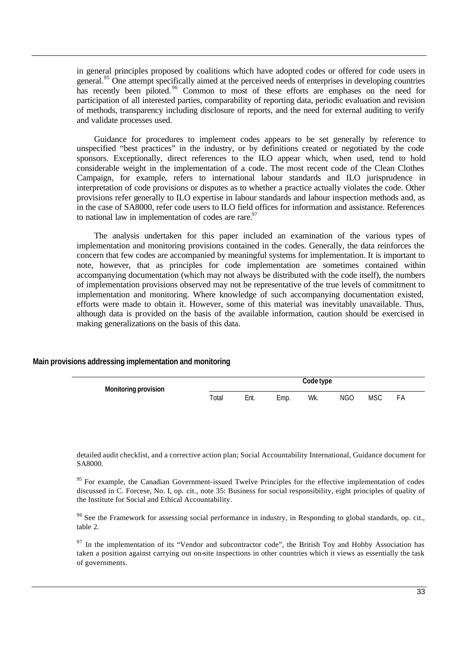in general principles proposed by coalitions which have adopted codes or offered for code users in general.<sup>95</sup> One attempt specifically aimed at the perceived needs of enterprises in developing countries has recently been piloted.<sup>96</sup> Common to most of these efforts are emphases on the need for participation of all interested parties, comparability of reporting data, periodic evaluation and revision of methods, transparency including disclosure of reports, and the need for external auditing to verify and validate processes used.

Guidance for procedures to implement codes appears to be set generally by reference to unspecified "best practices" in the industry, or by definitions created or negotiated by the code sponsors. Exceptionally, direct references to the ILO appear which, when used, tend to hold considerable weight in the implementation of a code. The most recent code of the Clean Clothes Campaign, for example, refers to international labour standards and ILO jurisprudence in interpretation of code provisions or disputes as to whether a practice actually violates the code. Other provisions refer generally to ILO expertise in labour standards and labour inspection methods and, as in the case of SA8000, refer code users to ILO field offices for information and assistance. References to national law in implementation of codes are rare. $97$ 

The analysis undertaken for this paper included an examination of the various types of implementation and monitoring provisions contained in the codes. Generally, the data reinforces the concern that few codes are accompanied by meaningful systems for implementation. It is important to note, however, that as principles for code implementation are sometimes contained within accompanying documentation (which may not always be distributed with the code itself), the numbers of implementation provisions observed may not be representative of the true levels of commitment to implementation and monitoring. Where knowledge of such accompanying documentation existed, efforts were made to obtain it. However, some of this material was inevitably unavailable. Thus, although data is provided on the basis of the available information, caution should be exercised in making generalizations on the basis of this data.

| <b>Monitoring provision</b> |       |      |      | Code type |            |            |    |  |
|-----------------------------|-------|------|------|-----------|------------|------------|----|--|
|                             | Total | Ent. | Emp. | Wk.       | <b>NGO</b> | <b>MSC</b> | FA |  |

#### **Main provisions addressing implementation and monitoring**

detailed audit checklist, and a corrective action plan; Social Accountability International, Guidance document for SA8000.

<sup>95</sup> For example, the Canadian Government-issued Twelve Principles for the effective implementation of codes discussed in C. Forcese, No. I, op. cit., note 35: Business for social responsibility, eight principles of quality of the Institute for Social and Ethical Accountability.

<sup>96</sup> See the Framework for assessing social performance in industry, in Responding to global standards, op. cit., table 2.

 $97$  In the implementation of its "Vendor and subcontractor code", the British Toy and Hobby Association has taken a position against carrying out on-site inspections in other countries which it views as essentially the task of governments.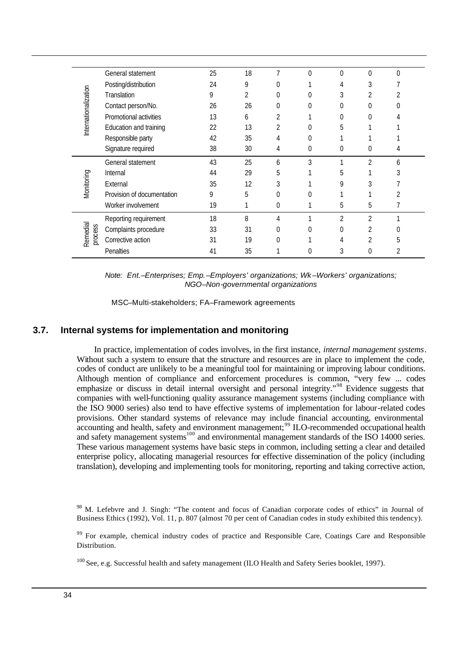|                      | General statement          | 25 | 18 | 7              | $\Omega$       | $\Omega$       | $\Omega$       | $\Omega$ |  |
|----------------------|----------------------------|----|----|----------------|----------------|----------------|----------------|----------|--|
|                      | Posting/distribution       | 24 | 9  | 0              |                | 4              | 3              |          |  |
|                      | Translation                | 9  | 2  | 0              | 0              | 3              | 2              | 2        |  |
|                      | Contact person/No.         | 26 | 26 | 0              | 0              | 0              |                |          |  |
|                      | Promotional activities     | 13 | 6  | 2              |                | 0              |                |          |  |
| Internationalization | Education and training     | 22 | 13 | $\overline{2}$ | 0              | 5              |                |          |  |
|                      | Responsible party          | 42 | 35 | 4              | $\Omega$       |                |                |          |  |
|                      | Signature required         | 38 | 30 | 4              | $\overline{0}$ | 0              | 0              |          |  |
|                      | General statement          | 43 | 25 | 6              | 3              |                | $\overline{2}$ | 6        |  |
|                      | Internal                   | 44 | 29 | 5              |                | 5              |                | 3        |  |
| Monitoring           | External                   | 35 | 12 | 3              |                | 9              | 3              |          |  |
|                      | Provision of documentation | 9  | 5  | 0              |                |                |                | 2        |  |
|                      | Worker involvement         | 19 |    | 0              |                | 5              | 5              |          |  |
|                      | Reporting requirement      | 18 | 8  | 4              |                | $\overline{2}$ | $\overline{2}$ |          |  |
| Remedial<br>process  | Complaints procedure       | 33 | 31 | 0              | 0              | 0              | 2              |          |  |
|                      | Corrective action          | 31 | 19 | 0              |                | 4              | 2              | 5        |  |
|                      | Penalties                  | 41 | 35 | ◀              |                | 3              | 0              | 2        |  |

*Note: Ent.–Enterprises; Emp.–Employers' organizations; Wk –Workers' organizations; NGO–Non-governmental organizations*

MSC–Multi-stakeholders; FA–Framework agreements

#### **3.7. Internal systems for implementation and monitoring**

In practice, implementation of codes involves, in the first instance, *internal management systems*. Without such a system to ensure that the structure and resources are in place to implement the code. codes of conduct are unlikely to be a meaningful tool for maintaining or improving labour conditions. Although mention of compliance and enforcement procedures is common, "very few ... codes emphasize or discuss in detail internal oversight and personal integrity."<sup>98</sup> Evidence suggests that companies with well-functioning quality assurance management systems (including compliance with the ISO 9000 series) also tend to have effective systems of implementation for labour-related codes provisions. Other standard systems of relevance may include financial accounting, environmental accounting and health, safety and environment management;<sup>99</sup> ILO-recommended occupational health and safety management systems<sup>100</sup> and environmental management standards of the ISO 14000 series. These various management systems have basic steps in common, including setting a clear and detailed enterprise policy, allocating managerial resources for effective dissemination of the policy (including translation), developing and implementing tools for monitoring, reporting and taking corrective action,

M. Lefebvre and J. Singh: "The content and focus of Canadian corporate codes of ethics" in Journal of Business Ethics (1992), Vol. 11, p. 807 (almost 70 per cent of Canadian codes in study exhibited this tendency).

<sup>&</sup>lt;sup>99</sup> For example, chemical industry codes of practice and Responsible Care, Coatings Care and Responsible Distribution.

<sup>&</sup>lt;sup>100</sup> See, e.g. Successful health and safety management (ILO Health and Safety Series booklet, 1997).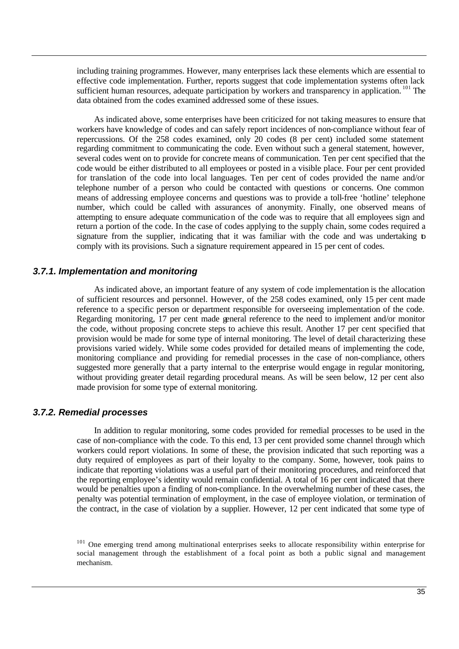including training programmes. However, many enterprises lack these elements which are essential to effective code implementation. Further, reports suggest that code implementation systems often lack sufficient human resources, adequate participation by workers and transparency in application. <sup>101</sup> The data obtained from the codes examined addressed some of these issues.

As indicated above, some enterprises have been criticized for not taking measures to ensure that workers have knowledge of codes and can safely report incidences of non-compliance without fear of repercussions. Of the 258 codes examined, only 20 codes (8 per cent) included some statement regarding commitment to communicating the code. Even without such a general statement, however, several codes went on to provide for concrete means of communication. Ten per cent specified that the code would be either distributed to all employees or posted in a visible place. Four per cent provided for translation of the code into local languages. Ten per cent of codes provided the name and/or telephone number of a person who could be contacted with questions or concerns. One common means of addressing employee concerns and questions was to provide a toll-free 'hotline' telephone number, which could be called with assurances of anonymity. Finally, one observed means of attempting to ensure adequate communication of the code was to require that all employees sign and return a portion of the code. In the case of codes applying to the supply chain, some codes required a signature from the supplier, indicating that it was familiar with the code and was undertaking to comply with its provisions. Such a signature requirement appeared in 15 per cent of codes.

#### *3.7.1. Implementation and monitoring*

As indicated above, an important feature of any system of code implementation is the allocation of sufficient resources and personnel. However, of the 258 codes examined, only 15 per cent made reference to a specific person or department responsible for overseeing implementation of the code. Regarding monitoring, 17 per cent made general reference to the need to implement and/or monitor the code, without proposing concrete steps to achieve this result. Another 17 per cent specified that provision would be made for some type of internal monitoring. The level of detail characterizing these provisions varied widely. While some codes provided for detailed means of implementing the code, monitoring compliance and providing for remedial processes in the case of non-compliance, others suggested more generally that a party internal to the enterprise would engage in regular monitoring, without providing greater detail regarding procedural means. As will be seen below, 12 per cent also made provision for some type of external monitoring.

#### *3.7.2. Remedial processes*

In addition to regular monitoring, some codes provided for remedial processes to be used in the case of non-compliance with the code. To this end, 13 per cent provided some channel through which workers could report violations. In some of these, the provision indicated that such reporting was a duty required of employees as part of their loyalty to the company. Some, however, took pains to indicate that reporting violations was a useful part of their monitoring procedures, and reinforced that the reporting employee's identity would remain confidential. A total of 16 per cent indicated that there would be penalties upon a finding of non-compliance. In the overwhelming number of these cases, the penalty was potential termination of employment, in the case of employee violation, or termination of the contract, in the case of violation by a supplier. However, 12 per cent indicated that some type of

<sup>&</sup>lt;sup>101</sup> One emerging trend among multinational enterprises seeks to allocate responsibility within enterprise for social management through the establishment of a focal point as both a public signal and management mechanism.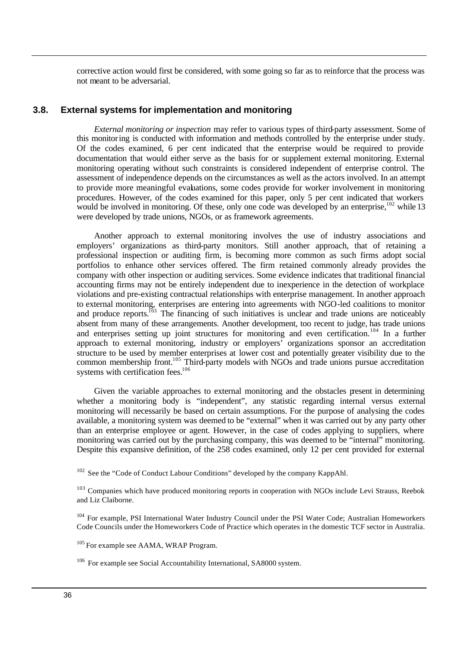corrective action would first be considered, with some going so far as to reinforce that the process was not meant to be adversarial.

#### **3.8. External systems for implementation and monitoring**

*External monitoring or inspection* may refer to various types of third-party assessment. Some of this monitoring is conducted with information and methods controlled by the enterprise under study. Of the codes examined, 6 per cent indicated that the enterprise would be required to provide documentation that would either serve as the basis for or supplement external monitoring. External monitoring operating without such constraints is considered independent of enterprise control. The assessment of independence depends on the circumstances as well as the actors involved. In an attempt to provide more meaningful evaluations, some codes provide for worker involvement in monitoring procedures. However, of the codes examined for this paper, only 5 per cent indicated that workers would be involved in monitoring. Of these, only one code was developed by an enterprise,<sup>102</sup> while 13 were developed by trade unions, NGOs, or as framework agreements.

Another approach to external monitoring involves the use of industry associations and employers' organizations as third-party monitors. Still another approach, that of retaining a professional inspection or auditing firm, is becoming more common as such firms adopt social portfolios to enhance other services offered. The firm retained commonly already provides the company with other inspection or auditing services. Some evidence indicates that traditional financial accounting firms may not be entirely independent due to inexperience in the detection of workplace violations and pre-existing contractual relationships with enterprise management. In another approach to external monitoring, enterprises are entering into agreements with NGO-led coalitions to monitor and produce reports.<sup>103</sup> The financing of such initiatives is unclear and trade unions are noticeably absent from many of these arrangements. Another development, too recent to judge, has trade unions and enterprises setting up joint structures for monitoring and even certification.<sup>104</sup> In a further approach to external monitoring, industry or employers' organizations sponsor an accreditation structure to be used by member enterprises at lower cost and potentially greater visibility due to the common membership front.<sup>105</sup> Third-party models with NGOs and trade unions pursue accreditation systems with certification fees.<sup>106</sup>

Given the variable approaches to external monitoring and the obstacles present in determining whether a monitoring body is "independent", any statistic regarding internal versus external monitoring will necessarily be based on certain assumptions. For the purpose of analysing the codes available, a monitoring system was deemed to be "external" when it was carried out by any party other than an enterprise employee or agent. However, in the case of codes applying to suppliers, where monitoring was carried out by the purchasing company, this was deemed to be "internal" monitoring. Despite this expansive definition, of the 258 codes examined, only 12 per cent provided for external

<sup>&</sup>lt;sup>102</sup> See the "Code of Conduct Labour Conditions" developed by the company KappAhl.

 $103$  Companies which have produced monitoring reports in cooperation with NGOs include Levi Strauss, Reebok and Liz Claiborne.

<sup>&</sup>lt;sup>104</sup> For example, PSI International Water Industry Council under the PSI Water Code; Australian Homeworkers Code Councils under the Homeworkers Code of Practice which operates in the domestic TCF sector in Australia.

<sup>&</sup>lt;sup>105</sup> For example see AAMA, WRAP Program.

 $106$  For example see Social Accountability International, SA8000 system.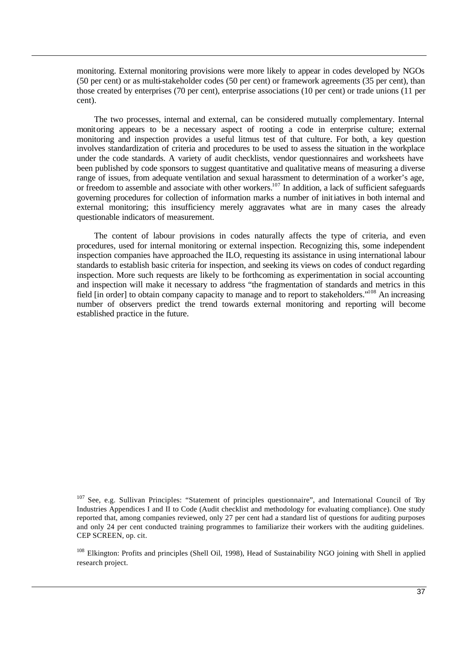monitoring. External monitoring provisions were more likely to appear in codes developed by NGOs (50 per cent) or as multi-stakeholder codes (50 per cent) or framework agreements (35 per cent), than those created by enterprises (70 per cent), enterprise associations (10 per cent) or trade unions (11 per cent).

The two processes, internal and external, can be considered mutually complementary. Internal monitoring appears to be a necessary aspect of rooting a code in enterprise culture; external monitoring and inspection provides a useful litmus test of that culture. For both, a key question involves standardization of criteria and procedures to be used to assess the situation in the workplace under the code standards. A variety of audit checklists, vendor questionnaires and worksheets have been published by code sponsors to suggest quantitative and qualitative means of measuring a diverse range of issues, from adequate ventilation and sexual harassment to determination of a worker's age, or freedom to assemble and associate with other workers.<sup>107</sup> In addition, a lack of sufficient safeguards governing procedures for collection of information marks a number of initiatives in both internal and external monitoring; this insufficiency merely aggravates what are in many cases the already questionable indicators of measurement.

The content of labour provisions in codes naturally affects the type of criteria, and even procedures, used for internal monitoring or external inspection. Recognizing this, some independent inspection companies have approached the ILO, requesting its assistance in using international labour standards to establish basic criteria for inspection, and seeking its views on codes of conduct regarding inspection. More such requests are likely to be forthcoming as experimentation in social accounting and inspection will make it necessary to address "the fragmentation of standards and metrics in this field [in order] to obtain company capacity to manage and to report to stakeholders."<sup>108</sup> An increasing number of observers predict the trend towards external monitoring and reporting will become established practice in the future.

 $107$  See, e.g. Sullivan Principles: "Statement of principles questionnaire", and International Council of Toy Industries Appendices I and II to Code (Audit checklist and methodology for evaluating compliance). One study reported that, among companies reviewed, only 27 per cent had a standard list of questions for auditing purposes and only 24 per cent conducted training programmes to familiarize their workers with the auditing guidelines. CEP SCREEN, op. cit.

<sup>&</sup>lt;sup>108</sup> Elkington: Profits and principles (Shell Oil, 1998), Head of Sustainability NGO joining with Shell in applied research project.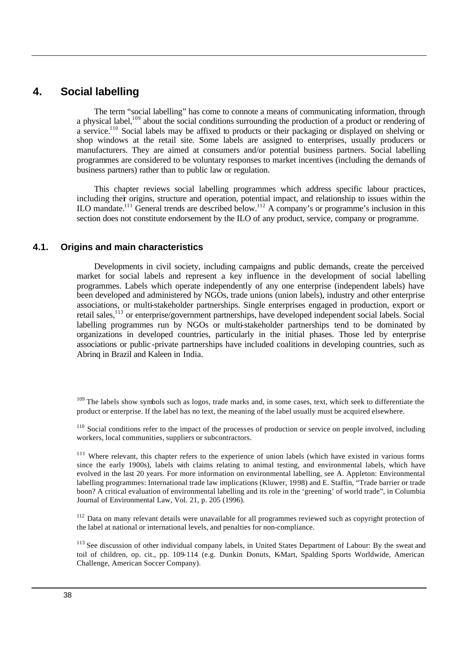#### **4. Social labelling**

The term "social labelling" has come to connote a means of communicating information, through a physical label,<sup>109</sup> about the social conditions surrounding the production of a product or rendering of a service.<sup>110</sup> Social labels may be affixed to products or their packaging or displayed on shelving or shop windows at the retail site. Some labels are assigned to enterprises, usually producers or manufacturers. They are aimed at consumers and/or potential business partners. Social labelling programmes are considered to be voluntary responses to market incentives (including the demands of business partners) rather than to public law or regulation.

This chapter reviews social labelling programmes which address specific labour practices, including their origins, structure and operation, potential impact, and relationship to issues within the ILO mandate.<sup>111</sup> General trends are described below.<sup>112</sup> A company's or programme's inclusion in this section does not constitute endorsement by the ILO of any product, service, company or programme.

#### **4.1. Origins and main characteristics**

Developments in civil society, including campaigns and public demands, create the perceived market for social labels and represent a key influence in the development of social labelling programmes. Labels which operate independently of any one enterprise (independent labels) have been developed and administered by NGOs, trade unions (union labels), industry and other enterprise associations, or multi-stakeholder partnerships. Single enterprises engaged in production, export or retail sales,<sup>113</sup> or enterprise/government partnerships, have developed independent social labels. Social labelling programmes run by NGOs or multi-stakeholder partnerships tend to be dominated by organizations in developed countries, particularly in the initial phases. Those led by enterprise associations or public -private partnerships have included coalitions in developing countries, such as Abrinq in Brazil and Kaleen in India.

 $109$  The labels show symbols such as logos, trade marks and, in some cases, text, which seek to differentiate the product or enterprise. If the label has no text, the meaning of the label usually must be acquired elsewhere.

 $110$  Social conditions refer to the impact of the processes of production or service on people involved, including workers, local communities, suppliers or subcontractors.

<sup>&</sup>lt;sup>111</sup> Where relevant, this chapter refers to the experience of union labels (which have existed in various forms since the early 1900s), labels with claims relating to animal testing, and environmental labels, which have evolved in the last 20 years. For more information on environmental labelling, see A. Appleton: Environmental labelling programmes: International trade law implications (Kluwer, 1998) and E. Staffin, "Trade barrier or trade boon? A critical evaluation of environmental labelling and its role in the 'greening' of world trade", in Columbia Journal of Environmental Law, Vol. 21, p. 205 (1996).

<sup>&</sup>lt;sup>112</sup> Data on many relevant details were unavailable for all programmes reviewed such as copyright protection of the label at national or international levels, and penalties for non-compliance.

<sup>&</sup>lt;sup>113</sup> See discussion of other individual company labels, in United States Department of Labour: By the sweat and toil of children, op. cit., pp. 109-114 (e.g. Dunkin Donuts, K-Mart, Spalding Sports Worldwide, American Challenge, American Soccer Company).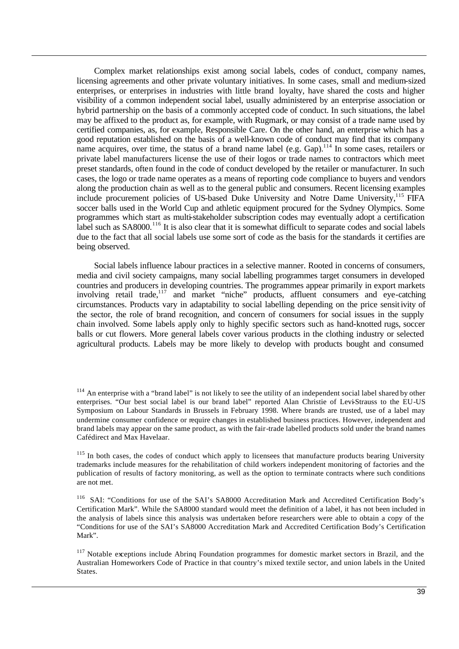Complex market relationships exist among social labels, codes of conduct, company names, licensing agreements and other private voluntary initiatives. In some cases, small and medium-sized enterprises, or enterprises in industries with little brand loyalty, have shared the costs and higher visibility of a common independent social label, usually administered by an enterprise association or hybrid partnership on the basis of a commonly accepted code of conduct. In such situations, the label may be affixed to the product as, for example, with Rugmark, or may consist of a trade name used by certified companies, as, for example, Responsible Care. On the other hand, an enterprise which has a good reputation established on the basis of a well-known code of conduct may find that its company name acquires, over time, the status of a brand name label (e.g. Gap).<sup>114</sup> In some cases, retailers or private label manufacturers license the use of their logos or trade names to contractors which meet preset standards, often found in the code of conduct developed by the retailer or manufacturer. In such cases, the logo or trade name operates as a means of reporting code compliance to buyers and vendors along the production chain as well as to the general public and consumers. Recent licensing examples include procurement policies of US-based Duke University and Notre Dame University,<sup>115</sup> FIFA soccer balls used in the World Cup and athletic equipment procured for the Sydney Olympics. Some programmes which start as multi-stakeholder subscription codes may eventually adopt a certification label such as SA8000.<sup>116</sup> It is also clear that it is somewhat difficult to separate codes and social labels due to the fact that all social labels use some sort of code as the basis for the standards it certifies are being observed.

Social labels influence labour practices in a selective manner. Rooted in concerns of consumers, media and civil society campaigns, many social labelling programmes target consumers in developed countries and producers in developing countries. The programmes appear primarily in export markets involving retail trade,<sup>117</sup> and market "niche" products, affluent consumers and eye-catching circumstances. Products vary in adaptability to social labelling depending on the price sensitivity of the sector, the role of brand recognition, and concern of consumers for social issues in the supply chain involved. Some labels apply only to highly specific sectors such as hand-knotted rugs, soccer balls or cut flowers. More general labels cover various products in the clothing industry or selected agricultural products. Labels may be more likely to develop with products bought and consumed

 $114$  An enterprise with a "brand label" is not likely to see the utility of an independent social label shared by other enterprises. "Our best social label is our brand label" reported Alan Christie of Levi-Strauss to the EU-US Symposium on Labour Standards in Brussels in February 1998. Where brands are trusted, use of a label may undermine consumer confidence or require changes in established business practices. However, independent and brand labels may appear on the same product, as with the fair-trade labelled products sold under the brand names Cafédirect and Max Havelaar.

<sup>&</sup>lt;sup>115</sup> In both cases, the codes of conduct which apply to licensees that manufacture products bearing University trademarks include measures for the rehabilitation of child workers independent monitoring of factories and the publication of results of factory monitoring, as well as the option to terminate contracts where such conditions are not met.

<sup>&</sup>lt;sup>116</sup> SAI: "Conditions for use of the SAI's SA8000 Accreditation Mark and Accredited Certification Body's Certification Mark". While the SA8000 standard would meet the definition of a label, it has not been included in the analysis of labels since this analysis was undertaken before researchers were able to obtain a copy of the "Conditions for use of the SAI's SA8000 Accreditation Mark and Accredited Certification Body's Certification Mark".

<sup>&</sup>lt;sup>117</sup> Notable exceptions include Abrinq Foundation programmes for domestic market sectors in Brazil, and the Australian Homeworkers Code of Practice in that country's mixed textile sector, and union labels in the United States.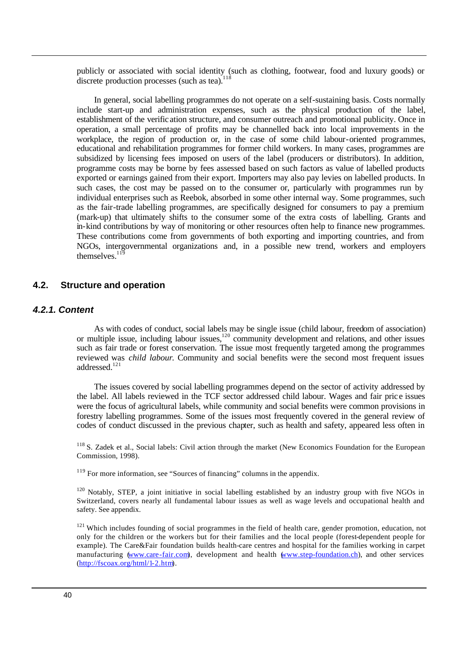publicly or associated with social identity (such as clothing, footwear, food and luxury goods) or discrete production processes (such as tea).<sup>118</sup>

In general, social labelling programmes do not operate on a self-sustaining basis. Costs normally include start-up and administration expenses, such as the physical production of the label, establishment of the verific ation structure, and consumer outreach and promotional publicity. Once in operation, a small percentage of profits may be channelled back into local improvements in the workplace, the region of production or, in the case of some child labour-oriented programmes, educational and rehabilitation programmes for former child workers. In many cases, programmes are subsidized by licensing fees imposed on users of the label (producers or distributors). In addition, programme costs may be borne by fees assessed based on such factors as value of labelled products exported or earnings gained from their export. Importers may also pay levies on labelled products. In such cases, the cost may be passed on to the consumer or, particularly with programmes run by individual enterprises such as Reebok, absorbed in some other internal way. Some programmes, such as the fair-trade labelling programmes, are specifically designed for consumers to pay a premium (mark-up) that ultimately shifts to the consumer some of the extra costs of labelling. Grants and in-kind contributions by way of monitoring or other resources often help to finance new programmes. These contributions come from governments of both exporting and importing countries, and from NGOs, intergovernmental organizations and, in a possible new trend, workers and employers themselves<sup>119</sup>

#### **4.2. Structure and operation**

#### *4.2.1. Content*

As with codes of conduct, social labels may be single issue (child labour, freedom of association) or multiple issue, including labour issues,<sup>120</sup> community development and relations, and other issues such as fair trade or forest conservation. The issue most frequently targeted among the programmes reviewed was *child labour*. Community and social benefits were the second most frequent issues addressed.<sup>121</sup>

The issues covered by social labelling programmes depend on the sector of activity addressed by the label. All labels reviewed in the TCF sector addressed child labour. Wages and fair pric e issues were the focus of agricultural labels, while community and social benefits were common provisions in forestry labelling programmes. Some of the issues most frequently covered in the general review of codes of conduct discussed in the previous chapter, such as health and safety, appeared less often in

<sup>118</sup> S. Zadek et al., Social labels: Civil action through the market (New Economics Foundation for the European Commission, 1998).

<sup>119</sup> For more information, see "Sources of financing" columns in the appendix.

 $120$  Notably, STEP, a joint initiative in social labelling established by an industry group with five NGOs in Switzerland, covers nearly all fundamental labour issues as well as wage levels and occupational health and safety. See appendix.

<sup>121</sup> Which includes founding of social programmes in the field of health care, gender promotion, education, not only for the children or the workers but for their families and the local people (forest-dependent people for example). The Care&Fair foundation builds health-care centres and hospital for the families working in carpet manufacturing (www.care-fair.com), development and health (www.step-foundation.ch), and other services (http://fscoax.org/html/1-2.htm).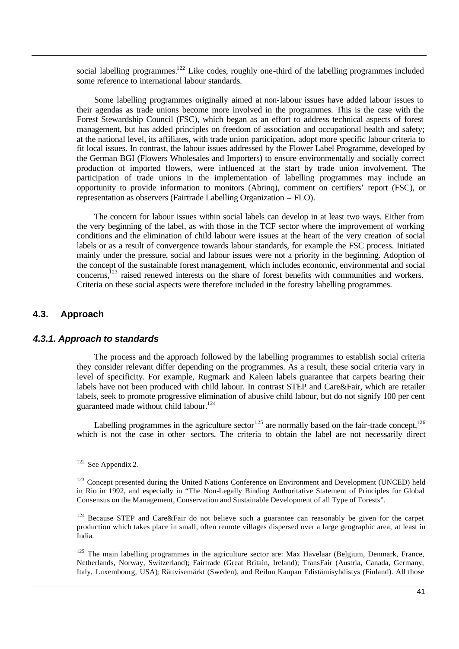social labelling programmes.<sup>122</sup> Like codes, roughly one-third of the labelling programmes included some reference to international labour standards.

Some labelling programmes originally aimed at non-labour issues have added labour issues to their agendas as trade unions become more involved in the programmes. This is the case with the Forest Stewardship Council (FSC), which began as an effort to address technical aspects of forest management, but has added principles on freedom of association and occupational health and safety; at the national level, its affiliates, with trade union participation, adopt more specific labour criteria to fit local issues. In contrast, the labour issues addressed by the Flower Label Programme, developed by the German BGI (Flowers Wholesales and Importers) to ensure environmentally and socially correct production of imported flowers, were influenced at the start by trade union involvement. The participation of trade unions in the implementation of labelling programmes may include an opportunity to provide information to monitors (Abrinq), comment on certifiers' report (FSC), or representation as observers (Fairtrade Labelling Organization – FLO).

The concern for labour issues within social labels can develop in at least two ways. Either from the very beginning of the label, as with those in the TCF sector where the improvement of working conditions and the elimination of child labour were issues at the heart of the very creation of social labels or as a result of convergence towards labour standards, for example the FSC process. Initiated mainly under the pressure, social and labour issues were not a priority in the beginning. Adoption of the concept of the sustainable forest management, which includes economic, environmental and social concerns,<sup>123</sup> raised renewed interests on the share of forest benefits with communities and workers. Criteria on these social aspects were therefore included in the forestry labelling programmes.

#### **4.3. Approach**

#### *4.3.1. Approach to standards*

The process and the approach followed by the labelling programmes to establish social criteria they consider relevant differ depending on the programmes. As a result, these social criteria vary in level of specificity. For example, Rugmark and Kaleen labels guarantee that carpets bearing their labels have not been produced with child labour. In contrast STEP and Care&Fair, which are retailer labels, seek to promote progressive elimination of abusive child labour, but do not signify 100 per cent guaranteed made without child labour.<sup>124</sup>

Labelling programmes in the agriculture sector<sup>125</sup> are normally based on the fair-trade concept.<sup>126</sup> which is not the case in other sectors. The criteria to obtain the label are not necessarily direct

 $122$  See Appendix 2.

<sup>123</sup> Concept presented during the United Nations Conference on Environment and Development (UNCED) held in Rio in 1992, and especially in "The Non-Legally Binding Authoritative Statement of Principles for Global Consensus on the Management, Conservation and Sustainable Development of all Type of Forests".

 $124$  Because STEP and Care&Fair do not believe such a guarantee can reasonably be given for the carpet production which takes place in small, often remote villages dispersed over a large geographic area, at least in India.

<sup>125</sup> The main labelling programmes in the agriculture sector are: Max Havelaar (Belgium, Denmark, France, Netherlands, Norway, Switzerland); Fairtrade (Great Britain, Ireland); TransFair (Austria, Canada, Germany, Italy, Luxembourg, USA); Rättvisemärkt (Sweden), and Reilun Kaupan Edistämisyhdistys (Finland). All those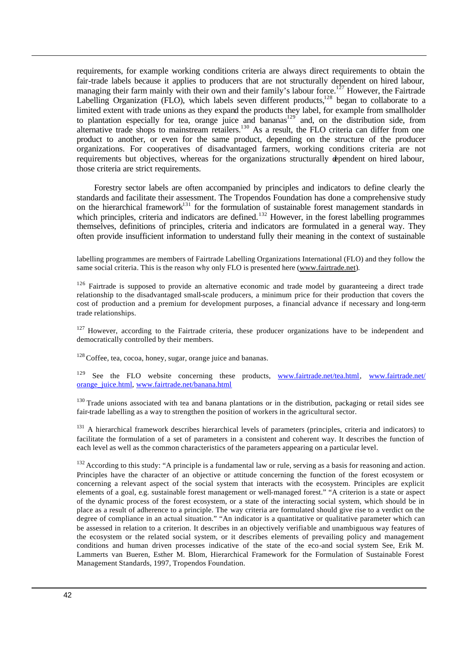requirements, for example working conditions criteria are always direct requirements to obtain the fair-trade labels because it applies to producers that are not structurally dependent on hired labour, managing their farm mainly with their own and their family's labour force.<sup>127</sup> However, the Fairtrade Labelling Organization (FLO), which labels seven different products, $128$  began to collaborate to a limited extent with trade unions as they expand the products they label, for example from smallholder to plantation especially for tea, orange juice and bananas<sup>129</sup> and, on the distribution side, from alternative trade shops to mainstream retailers.<sup>130</sup> As a result, the FLO criteria can differ from one product to another, or even for the same product, depending on the structure of the producer organizations. For cooperatives of disadvantaged farmers, working conditions criteria are not requirements but objectives, whereas for the organizations structurally dependent on hired labour, those criteria are strict requirements.

Forestry sector labels are often accompanied by principles and indicators to define clearly the standards and facilitate their assessment. The Tropendos Foundation has done a comprehensive study on the hierarchical framework<sup>131</sup> for the formulation of sustainable forest management standards in which principles, criteria and indicators are defined.<sup>132</sup> However, in the forest labelling programmes themselves, definitions of principles, criteria and indicators are formulated in a general way. They often provide insufficient information to understand fully their meaning in the context of sustainable

labelling programmes are members of Fairtrade Labelling Organizations International (FLO) and they follow the same social criteria. This is the reason why only FLO is presented here (www.fairtrade.net).).

<sup>126</sup> Fairtrade is supposed to provide an alternative economic and trade model by guaranteeing a direct trade relationship to the disadvantaged small-scale producers, a minimum price for their production that covers the cost of production and a premium for development purposes, a financial advance if necessary and long-term trade relationships.

<sup>127</sup> However, according to the Fairtrade criteria, these producer organizations have to be independent and democratically controlled by their members.

 $128$  Coffee, tea, cocoa, honey, sugar, orange juice and bananas.

See the FLO website concerning these products, www.fairtrade.net/tea.html, www.fairtrade.net/ orange\_juice.html, www.fairtrade.net/banana.html

<sup>130</sup>Trade unions associated with tea and banana plantations or in the distribution, packaging or retail sides see fair-trade labelling as a way to strengthen the position of workers in the agricultural sector.

<sup>131</sup> A hierarchical framework describes hierarchical levels of parameters (principles, criteria and indicators) to facilitate the formulation of a set of parameters in a consistent and coherent way. It describes the function of each level as well as the common characteristics of the parameters appearing on a particular level.

<sup>132</sup> According to this study: "A principle is a fundamental law or rule, serving as a basis for reasoning and action. Principles have the character of an objective or attitude concerning the function of the forest ecosystem or concerning a relevant aspect of the social system that interacts with the ecosystem. Principles are explicit elements of a goal, e.g. sustainable forest management or well-managed forest." "A criterion is a state or aspect of the dynamic process of the forest ecosystem, or a state of the interacting social system, which should be in place as a result of adherence to a principle. The way criteria are formulated should give rise to a verdict on the degree of compliance in an actual situation." "An indicator is a quantitative or qualitative parameter which can be assessed in relation to a criterion. It describes in an objectively verifiable and unambiguous way features of the ecosystem or the related social system, or it describes elements of prevailing policy and management conditions and human driven processes indicative of the state of the eco-and social system See, Erik M. Lammerts van Bueren, Esther M. Blom, Hierarchical Framework for the Formulation of Sustainable Forest Management Standards, 1997, Tropendos Foundation.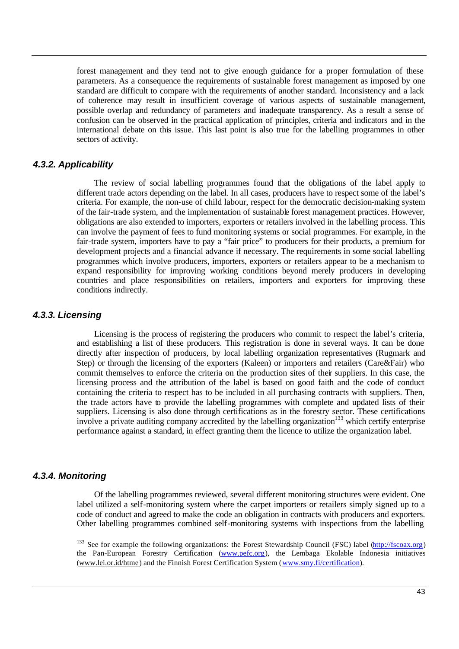forest management and they tend not to give enough guidance for a proper formulation of these parameters. As a consequence the requirements of sustainable forest management as imposed by one standard are difficult to compare with the requirements of another standard. Inconsistency and a lack of coherence may result in insufficient coverage of various aspects of sustainable management, possible overlap and redundancy of parameters and inadequate transparency. As a result a sense of confusion can be observed in the practical application of principles, criteria and indicators and in the international debate on this issue. This last point is also true for the labelling programmes in other sectors of activity.

#### *4.3.2. Applicability*

The review of social labelling programmes found that the obligations of the label apply to different trade actors depending on the label. In all cases, producers have to respect some of the label's criteria. For example, the non-use of child labour, respect for the democratic decision-making system of the fair-trade system, and the implementation of sustainable forest management practices. However, obligations are also extended to importers, exporters or retailers involved in the labelling process. This can involve the payment of fees to fund monitoring systems or social programmes. For example, in the fair-trade system, importers have to pay a "fair price" to producers for their products, a premium for development projects and a financial advance if necessary. The requirements in some social labelling programmes which involve producers, importers, exporters or retailers appear to be a mechanism to expand responsibility for improving working conditions beyond merely producers in developing countries and place responsibilities on retailers, importers and exporters for improving these conditions indirectly.

#### *4.3.3. Licensing*

Licensing is the process of registering the producers who commit to respect the label's criteria, and establishing a list of these producers. This registration is done in several ways. It can be done directly after inspection of producers, by local labelling organization representatives (Rugmark and Step) or through the licensing of the exporters (Kaleen) or importers and retailers (Care&Fair) who commit themselves to enforce the criteria on the production sites of their suppliers. In this case, the licensing process and the attribution of the label is based on good faith and the code of conduct containing the criteria to respect has to be included in all purchasing contracts with suppliers. Then, the trade actors have to provide the labelling programmes with complete and updated lists of their suppliers. Licensing is also done through certifications as in the forestry sector. These certifications involve a private auditing company accredited by the labelling organization<sup>133</sup> which certify enterprise performance against a standard, in effect granting them the licence to utilize the organization label.

#### *4.3.4. Monitoring*

Of the labelling programmes reviewed, several different monitoring structures were evident. One label utilized a self-monitoring system where the carpet importers or retailers simply signed up to a code of conduct and agreed to make the code an obligation in contracts with producers and exporters. Other labelling programmes combined self-monitoring systems with inspections from the labelling

<sup>133</sup> See for example the following organizations: the Forest Stewardship Council (FSC) label (http://fscoax.org) the Pan-European Forestry Certification (www.pefc.org), the Lembaga Ekolable Indonesia initiatives (www.lei.or.id/htme) and the Finnish Forest Certification System (www.smy.fi/certification).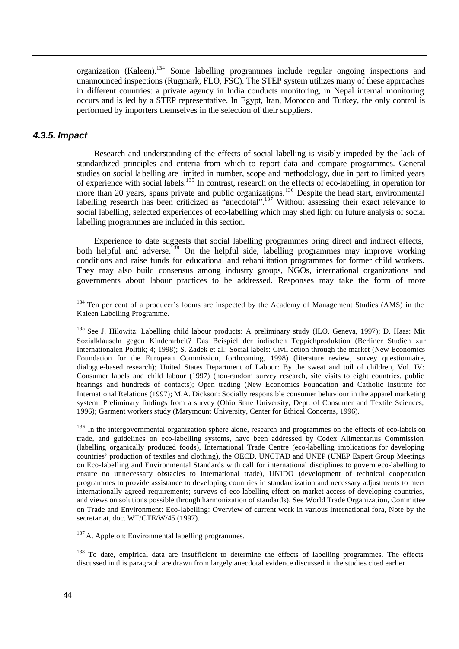organization (Kaleen).<sup>134</sup> Some labelling programmes include regular ongoing inspections and unannounced inspections (Rugmark, FLO, FSC). The STEP system utilizes many of these approaches in different countries: a private agency in India conducts monitoring, in Nepal internal monitoring occurs and is led by a STEP representative. In Egypt, Iran, Morocco and Turkey, the only control is performed by importers themselves in the selection of their suppliers.

#### *4.3.5. Impact*

Research and understanding of the effects of social labelling is visibly impeded by the lack of standardized principles and criteria from which to report data and compare programmes. General studies on social labelling are limited in number, scope and methodology, due in part to limited years of experience with social labels.<sup>135</sup> In contrast, research on the effects of eco-labelling, in operation for more than 20 years, spans private and public organizations.<sup>136</sup> Despite the head start, environmental labelling research has been criticized as "anecdotal".<sup>137</sup> Without assessing their exact relevance to social labelling, selected experiences of eco-labelling which may shed light on future analysis of social labelling programmes are included in this section.

Experience to date suggests that social labelling programmes bring direct and indirect effects, both helpful and adverse.<sup>138</sup> On the helpful side, labelling programmes may improve working conditions and raise funds for educational and rehabilitation programmes for former child workers. They may also build consensus among industry groups, NGOs, international organizations and governments about labour practices to be addressed. Responses may take the form of more

<sup>134</sup> Ten per cent of a producer's looms are inspected by the Academy of Management Studies (AMS) in the Kaleen Labelling Programme.

<sup>135</sup> See J. Hilowitz: Labelling child labour products: A preliminary study (ILO, Geneva, 1997); D. Haas: Mit Sozialklauseln gegen Kinderarbeit? Das Beispiel der indischen Teppichproduktion (Berliner Studien zur Internationalen Politik; 4; 1998); S. Zadek et al.: Social labels: Civil action through the market (New Economics Foundation for the European Commission, forthcoming, 1998) (literature review, survey questionnaire, dialogue-based research); United States Department of Labour: By the sweat and toil of children, Vol. IV: Consumer labels and child labour (1997) (non-random survey research, site visits to eight countries, public hearings and hundreds of contacts); Open trading (New Economics Foundation and Catholic Institute for International Relations (1997); M.A. Dickson: Socially responsible consumer behaviour in the apparel marketing system: Preliminary findings from a survey (Ohio State University, Dept. of Consumer and Textile Sciences, 1996); Garment workers study (Marymount University, Center for Ethical Concerns, 1996).

<sup>136</sup> In the intergovernmental organization sphere alone, research and programmes on the effects of eco-labels on trade, and guidelines on eco-labelling systems, have been addressed by Codex Alimentarius Commission (labelling organically produced foods), International Trade Centre (eco-labelling implications for developing countries' production of textiles and clothing), the OECD, UNCTAD and UNEP (UNEP Expert Group Meetings on Eco-labelling and Environmental Standards with call for international disciplines to govern eco-labelling to ensure no unnecessary obstacles to international trade), UNIDO (development of technical cooperation programmes to provide assistance to developing countries in standardization and necessary adjustments to meet internationally agreed requirements; surveys of eco-labelling effect on market access of developing countries, and views on solutions possible through harmonization of standards). See World Trade Organization, Committee on Trade and Environment: Eco-labelling: Overview of current work in various international fora, Note by the secretariat, doc. WT/CTE/W/45 (1997).

 $137$  A. Appleton: Environmental labelling programmes.

<sup>138</sup> To date, empirical data are insufficient to determine the effects of labelling programmes. The effects discussed in this paragraph are drawn from largely anecdotal evidence discussed in the studies cited earlier.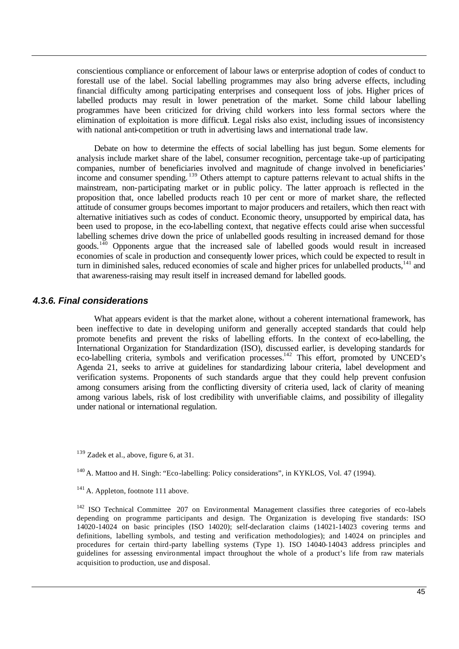conscientious compliance or enforcement of labour laws or enterprise adoption of codes of conduct to forestall use of the label. Social labelling programmes may also bring adverse effects, including financial difficulty among participating enterprises and consequent loss of jobs. Higher prices of labelled products may result in lower penetration of the market. Some child labour labelling programmes have been criticized for driving child workers into less formal sectors where the elimination of exploitation is more difficult. Legal risks also exist, including issues of inconsistency with national anti-competition or truth in advertising laws and international trade law.

Debate on how to determine the effects of social labelling has just begun. Some elements for analysis include market share of the label, consumer recognition, percentage take-up of participating companies, number of beneficiaries involved and magnitude of change involved in beneficiaries' income and consumer spending. <sup>139</sup> Others attempt to capture patterns relevant to actual shifts in the mainstream, non-participating market or in public policy. The latter approach is reflected in the proposition that, once labelled products reach 10 per cent or more of market share, the reflected attitude of consumer groups becomes important to major producers and retailers, which then react with alternative initiatives such as codes of conduct. Economic theory, unsupported by empirical data, has been used to propose, in the eco-labelling context, that negative effects could arise when successful labelling schemes drive down the price of unlabelled goods resulting in increased demand for those goods.<sup>140</sup> Opponents argue that the increased sale of labelled goods would result in increased economies of scale in production and consequently lower prices, which could be expected to result in turn in diminished sales, reduced economies of scale and higher prices for unlabelled products, $141$  and that awareness-raising may result itself in increased demand for labelled goods.

#### *4.3.6. Final considerations*

What appears evident is that the market alone, without a coherent international framework, has been ineffective to date in developing uniform and generally accepted standards that could help promote benefits and prevent the risks of labelling efforts. In the context of eco-labelling, the International Organization for Standardization (ISO), discussed earlier, is developing standards for eco-labelling criteria, symbols and verification processes.<sup>142</sup> This effort, promoted by UNCED's Agenda 21, seeks to arrive at guidelines for standardizing labour criteria, label development and verification systems. Proponents of such standards argue that they could help prevent confusion among consumers arising from the conflicting diversity of criteria used, lack of clarity of meaning among various labels, risk of lost credibility with unverifiable claims, and possibility of illegality under national or international regulation.

 $139$  Zadek et al., above, figure 6, at 31.

<sup>&</sup>lt;sup>140</sup> A. Mattoo and H. Singh: "Eco-labelling: Policy considerations", in KYKLOS, Vol. 47 (1994).

<sup>&</sup>lt;sup>141</sup> A. Appleton, footnote 111 above.

<sup>&</sup>lt;sup>142</sup> ISO Technical Committee 207 on Environmental Management classifies three categories of eco-labels depending on programme participants and design. The Organization is developing five standards: ISO 14020-14024 on basic principles (ISO 14020); self-declaration claims (14021-14023 covering terms and definitions, labelling symbols, and testing and verification methodologies); and 14024 on principles and procedures for certain third-party labelling systems (Type 1). ISO 14040-14043 address principles and guidelines for assessing environmental impact throughout the whole of a product's life from raw materials acquisition to production, use and disposal.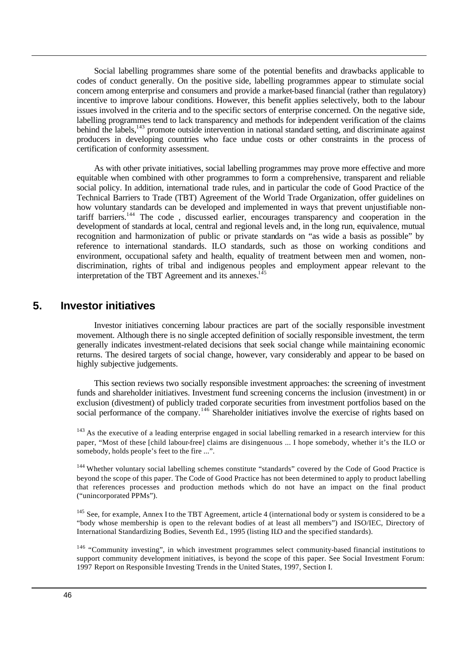Social labelling programmes share some of the potential benefits and drawbacks applicable to codes of conduct generally. On the positive side, labelling programmes appear to stimulate social concern among enterprise and consumers and provide a market-based financial (rather than regulatory) incentive to improve labour conditions. However, this benefit applies selectively, both to the labour issues involved in the criteria and to the specific sectors of enterprise concerned. On the negative side, labelling programmes tend to lack transparency and methods for independent verification of the claims behind the labels,<sup>143</sup> promote outside intervention in national standard setting, and discriminate against producers in developing countries who face undue costs or other constraints in the process of certification of conformity assessment.

As with other private initiatives, social labelling programmes may prove more effective and more equitable when combined with other programmes to form a comprehensive, transparent and reliable social policy. In addition, international trade rules, and in particular the code of Good Practice of the Technical Barriers to Trade (TBT) Agreement of the World Trade Organization, offer guidelines on how voluntary standards can be developed and implemented in ways that prevent unjustifiable nontariff barriers.<sup>144</sup> The code , discussed earlier, encourages transparency and cooperation in the development of standards at local, central and regional levels and, in the long run, equivalence, mutual recognition and harmonization of public or private standards on "as wide a basis as possible" by reference to international standards. ILO standards, such as those on working conditions and environment, occupational safety and health, equality of treatment between men and women, nondiscrimination, rights of tribal and indigenous peoples and employment appear relevant to the interpretation of the TBT Agreement and its annexes.<sup>145</sup>

#### **5. Investor initiatives**

Investor initiatives concerning labour practices are part of the socially responsible investment movement. Although there is no single accepted definition of socially responsible investment, the term generally indicates investment-related decisions that seek social change while maintaining economic returns. The desired targets of social change, however, vary considerably and appear to be based on highly subjective judgements.

This section reviews two socially responsible investment approaches: the screening of investment funds and shareholder initiatives. Investment fund screening concerns the inclusion (investment) in or exclusion (divestment) of publicly traded corporate securities from investment portfolios based on the social performance of the company.<sup>146</sup> Shareholder initiatives involve the exercise of rights based on

 $143$  As the executive of a leading enterprise engaged in social labelling remarked in a research interview for this paper, "Most of these [child labour-free] claims are disingenuous ... I hope somebody, whether it's the ILO or somebody, holds people's feet to the fire ...".

<sup>144</sup> Whether voluntary social labelling schemes constitute "standards" covered by the Code of Good Practice is beyond the scope of this paper. The Code of Good Practice has not been determined to apply to product labelling that references processes and production methods which do not have an impact on the final product ("unincorporated PPMs").

<sup>145</sup> See, for example, Annex I to the TBT Agreement, article 4 (international body or system is considered to be a "body whose membership is open to the relevant bodies of at least all members") and ISO/IEC, Directory of International Standardizing Bodies, Seventh Ed., 1995 (listing ILO and the specified standards).

<sup>146</sup> "Community investing", in which investment programmes select community-based financial institutions to support community development initiatives, is beyond the scope of this paper. See Social Investment Forum: 1997 Report on Responsible Investing Trends in the United States, 1997, Section I.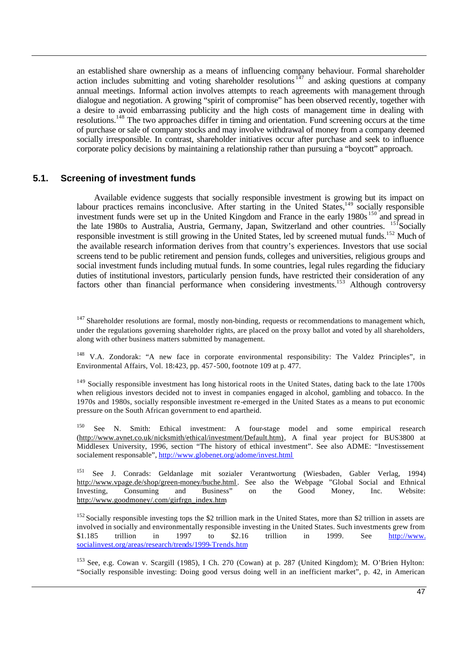an established share ownership as a means of influencing company behaviour. Formal shareholder action includes submitting and voting shareholder resolutions  $147$  and asking questions at company annual meetings. Informal action involves attempts to reach agreements with management through dialogue and negotiation. A growing "spirit of compromise" has been observed recently, together with a desire to avoid embarrassing publicity and the high costs of management time in dealing with resolutions.<sup>148</sup> The two approaches differ in timing and orientation. Fund screening occurs at the time of purchase or sale of company stocks and may involve withdrawal of money from a company deemed socially irresponsible. In contrast, shareholder initiatives occur after purchase and seek to influence corporate policy decisions by maintaining a relationship rather than pursuing a "boycott" approach.

#### **5.1. Screening of investment funds**

Available evidence suggests that socially responsible investment is growing but its impact on labour practices remains inconclusive. After starting in the United States,<sup>149</sup> socially responsible investment funds were set up in the United Kingdom and France in the early 1980s<sup>150</sup> and spread in the late 1980s to Australia, Austria, Germany, Japan, Switzerland and other countries. <sup>151</sup>Socially responsible investment is still growing in the United States, led by screened mutual funds.<sup>152</sup> Much of the available research information derives from that country's experiences. Investors that use social screens tend to be public retirement and pension funds, colleges and universities, religious groups and social investment funds including mutual funds. In some countries, legal rules regarding the fiduciary duties of institutional investors, particularly pension funds, have restricted their consideration of any factors other than financial performance when considering investments.<sup>153</sup> Although controversy

<sup>148</sup> V.A. Zondorak: "A new face in corporate environmental responsibility: The Valdez Principles", in Environmental Affairs, Vol. 18:423, pp. 457-500, footnote 109 at p. 477.

<sup>149</sup> Socially responsible investment has long historical roots in the United States, dating back to the late 1700s when religious investors decided not to invest in companies engaged in alcohol, gambling and tobacco. In the 1970s and 1980s, socially responsible investment re-emerged in the United States as a means to put economic pressure on the South African government to end apartheid.

<sup>150</sup> See N. Smith: Ethical investment: A four-stage model and some empirical research (http://www.avnet.co.uk/nicksmith/ethical/investment/Default.htm), A final year project for BUS3800 at Middlesex University, 1996, section "The history of ethical investment". See also ADME: "Investissement socialement responsable", http://www.globenet.org/adome/invest.html

<sup>151</sup> See J. Conrads: Geldanlage mit sozialer Verantwortung (Wiesbaden, Gabler Verlag, 1994) http://www.vpage.de/shop/green-money/buche.html . See also the Webpage "Global Social and Ethnical Investing, Consuming and Business" on the Good Money, Inc. Website: http://www.goodmoney/.com/girfrgn\_index.htm

 $152$  Socially responsible investing tops the \$2 trillion mark in the United States, more than \$2 trillion in assets are involved in socially and environmentally responsible investing in the United States. Such investments grew from \$1.185 trillion in 1997 to \$2.16 trillion in 1999. See http://www. socialinvest.org/areas/research/trends/1999-Trends.htm

<sup>153</sup> See, e.g. Cowan v. Scargill (1985), I Ch. 270 (Cowan) at p. 287 (United Kingdom); M. O'Brien Hylton: "Socially responsible investing: Doing good versus doing well in an inefficient market", p. 42, in American

<sup>&</sup>lt;sup>147</sup> Shareholder resolutions are formal, mostly non-binding, requests or recommendations to management which, under the regulations governing shareholder rights, are placed on the proxy ballot and voted by all shareholders, along with other business matters submitted by management.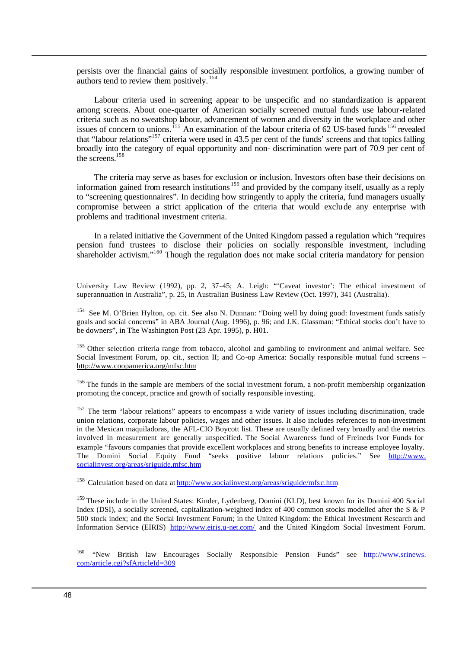persists over the financial gains of socially responsible investment portfolios, a growing number of authors tend to review them positively.  $154$ 

Labour criteria used in screening appear to be unspecific and no standardization is apparent among screens. About one-quarter of American socially screened mutual funds use labour-related criteria such as no sweatshop labour, advancement of women and diversity in the workplace and other issues of concern to unions.<sup>155</sup> An examination of the labour criteria of  $62$  US-based funds<sup>156</sup> revealed that "labour relations"<sup>157</sup> criteria were used in 43.5 per cent of the funds' screens and that topics falling broadly into the category of equal opportunity and non- discrimination were part of 70.9 per cent of the screens.<sup>158</sup>

The criteria may serve as bases for exclusion or inclusion. Investors often base their decisions on information gained from research institutions<sup>159</sup> and provided by the company itself, usually as a reply to "screening questionnaires". In deciding how stringently to apply the criteria, fund managers usually compromise between a strict application of the criteria that would exclude any enterprise with problems and traditional investment criteria.

In a related initiative the Government of the United Kingdom passed a regulation which "requires pension fund trustees to disclose their policies on socially responsible investment, including shareholder activism."<sup>160</sup> Though the regulation does not make social criteria mandatory for pension

University Law Review (1992), pp. 2, 37-45; A. Leigh: "'Caveat investor': The ethical investment of superannuation in Australia", p. 25, in Australian Business Law Review (Oct. 1997), 341 (Australia).

<sup>154</sup> See M. O'Brien Hylton, op. cit. See also N. Dunnan: "Doing well by doing good: Investment funds satisfy goals and social concerns" in ABA Journal (Aug. 1996), p. 96; and J.K. Glassman: "Ethical stocks don't have to be downers", in The Washington Post (23 Apr. 1995), p. H01.

<sup>155</sup> Other selection criteria range from tobacco, alcohol and gambling to environment and animal welfare. See Social Investment Forum, op. cit., section II; and Co-op America: Socially responsible mutual fund screens – http://www.coopamerica.org/mfsc.htm

<sup>156</sup>The funds in the sample are members of the social investment forum, a non-profit membership organization promoting the concept, practice and growth of socially responsible investing.

<sup>157</sup> The term "labour relations" appears to encompass a wide variety of issues including discrimination, trade union relations, corporate labour policies, wages and other issues. It also includes references to non-investment in the Mexican maquiladoras, the AFL-CIO Boycott list. These are usually defined very broadly and the metrics involved in measurement are generally unspecified. The Social Awareness fund of Freineds Ivor Funds for example "favours companies that provide excellent workplaces and strong benefits to increase employee loyalty. The Domini Social Equity Fund "seeks positive labour relations policies." See http://www. socialinvest.org/areas/sriguide.mfsc.htm

<sup>158</sup> Calculation based on data at http://www.socialinvest.org/areas/sriguide/mfsc.htm

<sup>159</sup>These include in the United States: Kinder, Lydenberg, Domini (KLD), best known for its Domini 400 Social Index (DSI), a socially screened, capitalization-weighted index of 400 common stocks modelled after the S & P 500 stock index; and the Social Investment Forum; in the United Kingdom: the Ethical Investment Research and Information Service (EIRIS) http://www.eiris.u-net.com/ and the United Kingdom Social Investment Forum.

<sup>160</sup> "New British law Encourages Socially Responsible Pension Funds" see http://www.srinews. com/article.cgi?sfArticleId=309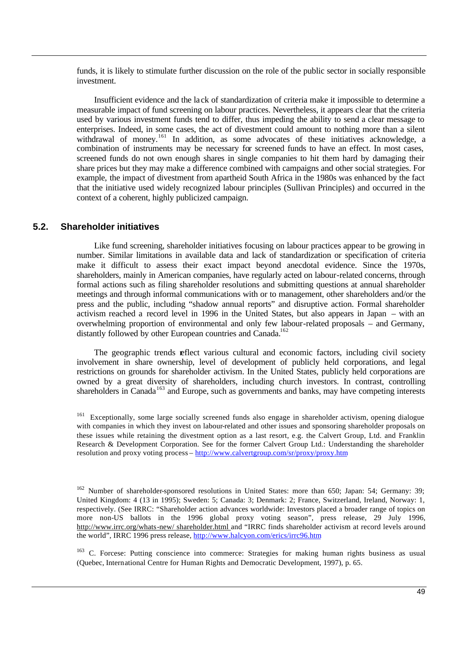funds, it is likely to stimulate further discussion on the role of the public sector in socially responsible investment.

Insufficient evidence and the la ck of standardization of criteria make it impossible to determine a measurable impact of fund screening on labour practices. Nevertheless, it appears clear that the criteria used by various investment funds tend to differ, thus impeding the ability to send a clear message to enterprises. Indeed, in some cases, the act of divestment could amount to nothing more than a silent withdrawal of money.<sup>161</sup> In addition, as some advocates of these initiatives acknowledge, a combination of instruments may be necessary for screened funds to have an effect. In most cases, screened funds do not own enough shares in single companies to hit them hard by damaging their share prices but they may make a difference combined with campaigns and other social strategies. For example, the impact of divestment from apartheid South Africa in the 1980s was enhanced by the fact that the initiative used widely recognized labour principles (Sullivan Principles) and occurred in the context of a coherent, highly publicized campaign.

#### **5.2. Shareholder initiatives**

Like fund screening, shareholder initiatives focusing on labour practices appear to be growing in number. Similar limitations in available data and lack of standardization or specification of criteria make it difficult to assess their exact impact beyond anecdotal evidence. Since the 1970s, shareholders, mainly in American companies, have regularly acted on labour-related concerns, through formal actions such as filing shareholder resolutions and submitting questions at annual shareholder meetings and through informal communications with or to management, other shareholders and/or the press and the public, including "shadow annual reports" and disruptive action. Formal shareholder activism reached a record level in 1996 in the United States, but also appears in Japan – with an overwhelming proportion of environmental and only few labour-related proposals – and Germany, distantly followed by other European countries and Canada.<sup>162</sup>

The geographic trends reflect various cultural and economic factors, including civil society involvement in share ownership, level of development of publicly held corporations, and legal restrictions on grounds for shareholder activism. In the United States, publicly held corporations are owned by a great diversity of shareholders, including church investors. In contrast, controlling shareholders in Canada<sup>163</sup> and Europe, such as governments and banks, may have competing interests

<sup>163</sup> C. Forcese: Putting conscience into commerce: Strategies for making human rights business as usual (Quebec, International Centre for Human Rights and Democratic Development, 1997), p. 65.

<sup>&</sup>lt;sup>161</sup> Exceptionally, some large socially screened funds also engage in shareholder activism, opening dialogue with companies in which they invest on labour-related and other issues and sponsoring shareholder proposals on these issues while retaining the divestment option as a last resort, e.g. the Calvert Group, Ltd. and Franklin Research & Development Corporation. See for the former Calvert Group Ltd.: Understanding the shareholder resolution and proxy voting process – http://www.calvertgroup.com/sr/proxy/proxy.htm

<sup>&</sup>lt;sup>162</sup> Number of shareholder-sponsored resolutions in United States: more than 650; Japan: 54; Germany: 39; United Kingdom: 4 (13 in 1995); Sweden: 5; Canada: 3; Denmark: 2; France, Switzerland, Ireland, Norway: 1, respectively. (See IRRC: "Shareholder action advances worldwide: Investors placed a broader range of topics on more non-US ballots in the 1996 global proxy voting season", press release, 29 July 1996, http://www.irrc.org/whats-new/ shareholder.html and "IRRC finds shareholder activism at record levels around the world", IRRC 1996 press release, http://www.halcyon.com/erics/irrc96.htm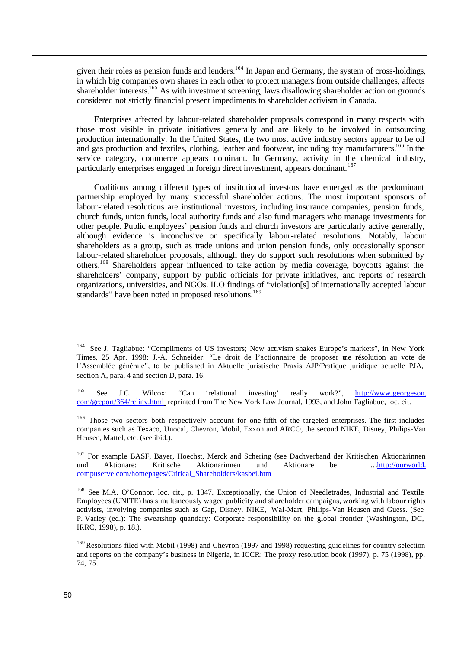given their roles as pension funds and lenders.<sup>164</sup> In Japan and Germany, the system of cross-holdings, in which big companies own shares in each other to protect managers from outside challenges, affects shareholder interests.<sup>165</sup> As with investment screening, laws disallowing shareholder action on grounds considered not strictly financial present impediments to shareholder activism in Canada.

Enterprises affected by labour-related shareholder proposals correspond in many respects with those most visible in private initiatives generally and are likely to be involved in outsourcing production internationally. In the United States, the two most active industry sectors appear to be oil and gas production and textiles, clothing, leather and footwear, including toy manufacturers.<sup>166</sup> In the service category, commerce appears dominant. In Germany, activity in the chemical industry, particularly enterprises engaged in foreign direct investment, appears dominant.<sup>167</sup>

Coalitions among different types of institutional investors have emerged as the predominant partnership employed by many successful shareholder actions. The most important sponsors of labour-related resolutions are institutional investors, including insurance companies, pension funds, church funds, union funds, local authority funds and also fund managers who manage investments for other people. Public employees' pension funds and church investors are particularly active generally, although evidence is inconclusive on specifically labour-related resolutions. Notably, labour shareholders as a group, such as trade unions and union pension funds, only occasionally sponsor labour-related shareholder proposals, although they do support such resolutions when submitted by others.<sup>168</sup> Shareholders appear influenced to take action by media coverage, boycotts against the shareholders' company, support by public officials for private initiatives, and reports of research organizations, universities, and NGOs. ILO findings of "violation[s] of internationally accepted labour standards" have been noted in proposed resolutions.<sup>169</sup>

<sup>167</sup> For example BASF, Bayer, Hoechst, Merck and Schering (see Dachverband der Kritischen Aktionärinnen und Aktionäre: Kritische Aktionärinnen und Aktionäre bei …http://ourworld. compuserve.com/homepages/Critical\_Shareholders/kasbei.htm

<sup>168</sup> See M.A. O'Connor, loc. cit., p. 1347. Exceptionally, the Union of Needletrades, Industrial and Textile Employees (UNITE) has simultaneously waged publicity and shareholder campaigns, working with labour rights activists, involving companies such as Gap, Disney, NIKE, Wal-Mart, Philips-Van Heusen and Guess. (See P. Varley (ed.): The sweatshop quandary: Corporate responsibility on the global frontier (Washington, DC, IRRC, 1998), p. 18.).

<sup>169</sup> Resolutions filed with Mobil (1998) and Chevron (1997 and 1998) requesting guidelines for country selection and reports on the company's business in Nigeria, in ICCR: The proxy resolution book (1997), p. 75 (1998), pp. 74, 75.

<sup>&</sup>lt;sup>164</sup> See J. Tagliabue: "Compliments of US investors; New activism shakes Europe's markets", in New York Times, 25 Apr. 1998; J.-A. Schneider: "Le droit de l'actionnaire de proposer une résolution au vote de l'Assemblée générale", to be published in Aktuelle juristische Praxis AJP/Pratique juridique actuelle PJA, section A, para. 4 and section D, para. 16.

<sup>165</sup> See J.C. Wilcox: "Can 'relational investing' really work?", http://www.georgeson. com/greport/364/relinv.html reprinted from The New York Law Journal, 1993, and John Tagliabue, loc. cit.

<sup>&</sup>lt;sup>166</sup> Those two sectors both respectively account for one-fifth of the targeted enterprises. The first includes companies such as Texaco, Unocal, Chevron, Mobil, Exxon and ARCO, the second NIKE, Disney, Philips-Van Heusen, Mattel, etc. (see ibid.).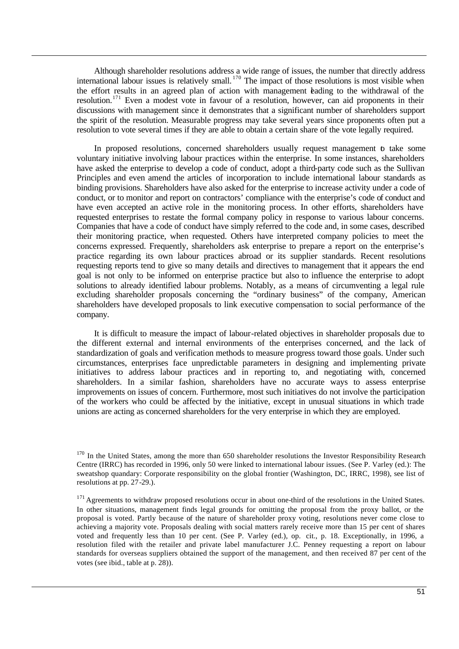Although shareholder resolutions address a wide range of issues, the number that directly address international labour issues is relatively small.<sup>170</sup> The impact of those resolutions is most visible when the effort results in an agreed plan of action with management bading to the withdrawal of the resolution.<sup>171</sup> Even a modest vote in favour of a resolution, however, can aid proponents in their discussions with management since it demonstrates that a significant number of shareholders support the spirit of the resolution. Measurable progress may take several years since proponents often put a resolution to vote several times if they are able to obtain a certain share of the vote legally required.

In proposed resolutions, concerned shareholders usually request management to take some voluntary initiative involving labour practices within the enterprise. In some instances, shareholders have asked the enterprise to develop a code of conduct, adopt a third-party code such as the Sullivan Principles and even amend the articles of incorporation to include international labour standards as binding provisions. Shareholders have also asked for the enterprise to increase activity under a code of conduct, or to monitor and report on contractors' compliance with the enterprise's code of conduct and have even accepted an active role in the monitoring process. In other efforts, shareholders have requested enterprises to restate the formal company policy in response to various labour concerns. Companies that have a code of conduct have simply referred to the code and, in some cases, described their monitoring practice, when requested. Others have interpreted company policies to meet the concerns expressed. Frequently, shareholders ask enterprise to prepare a report on the enterprise's practice regarding its own labour practices abroad or its supplier standards. Recent resolutions requesting reports tend to give so many details and directives to management that it appears the end goal is not only to be informed on enterprise practice but also to influence the enterprise to adopt solutions to already identified labour problems. Notably, as a means of circumventing a legal rule excluding shareholder proposals concerning the "ordinary business" of the company, American shareholders have developed proposals to link executive compensation to social performance of the company.

It is difficult to measure the impact of labour-related objectives in shareholder proposals due to the different external and internal environments of the enterprises concerned, and the lack of standardization of goals and verification methods to measure progress toward those goals. Under such circumstances, enterprises face unpredictable parameters in designing and implementing private initiatives to address labour practices and in reporting to, and negotiating with, concerned shareholders. In a similar fashion, shareholders have no accurate ways to assess enterprise improvements on issues of concern. Furthermore, most such initiatives do not involve the participation of the workers who could be affected by the initiative, except in unusual situations in which trade unions are acting as concerned shareholders for the very enterprise in which they are employed.

<sup>&</sup>lt;sup>170</sup> In the United States, among the more than 650 shareholder resolutions the Investor Responsibility Research Centre (IRRC) has recorded in 1996, only 50 were linked to international labour issues. (See P. Varley (ed.): The sweatshop quandary: Corporate responsibility on the global frontier (Washington, DC, IRRC, 1998), see list of resolutions at pp. 27-29.).

 $171$  Agreements to withdraw proposed resolutions occur in about one-third of the resolutions in the United States. In other situations, management finds legal grounds for omitting the proposal from the proxy ballot, or the proposal is voted. Partly because of the nature of shareholder proxy voting, resolutions never come close to achieving a majority vote. Proposals dealing with social matters rarely receive more than 15 per cent of shares voted and frequently less than 10 per cent. (See P. Varley (ed.), op. cit., p. 18. Exceptionally, in 1996, a resolution filed with the retailer and private label manufacturer J.C. Penney requesting a report on labour standards for overseas suppliers obtained the support of the management, and then received 87 per cent of the votes (see ibid., table at p. 28)).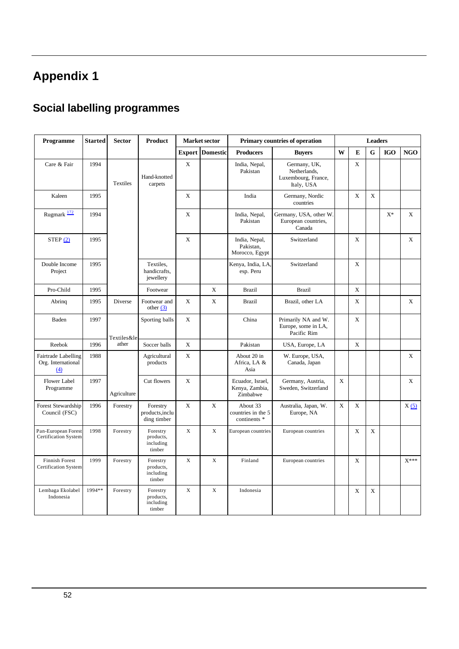# **Appendix 1**

# **Social labelling programmes**

| Programme                                          | <b>Started</b> | <b>Sector</b> | <b>Product</b>                               |               | Market sector   |                                                | Primary countries of operation                                    |          |   | <b>Leaders</b> |            |                    |
|----------------------------------------------------|----------------|---------------|----------------------------------------------|---------------|-----------------|------------------------------------------------|-------------------------------------------------------------------|----------|---|----------------|------------|--------------------|
|                                                    |                |               |                                              | <b>Export</b> | <b>Domestic</b> | <b>Producers</b>                               | <b>Buyers</b>                                                     | W        | E | G              | <b>IGO</b> | <b>NGO</b>         |
| Care & Fair                                        | 1994           | Textiles      | Hand-knotted<br>carpets                      | $\mathbf X$   |                 | India, Nepal,<br>Pakistan                      | Germany, UK,<br>Netherlands,<br>Luxembourg, France,<br>Italy, USA |          | X |                |            |                    |
| Kaleen                                             | 1995           |               |                                              | X             |                 | India                                          | Germany, Nordic<br>countries                                      |          | X | X              |            |                    |
| Rugmark 172                                        | 1994           |               |                                              | $\mathbf x$   |                 | India, Nepal,<br>Pakistan                      | Germany, USA, other W.<br>European countries,<br>Canada           |          |   |                | $X^*$      | X                  |
| STEP(2)                                            | 1995           |               |                                              | $\mathbf X$   |                 | India, Nepal,<br>Pakistan.<br>Morocco, Egypt   | Switzerland                                                       |          | X |                |            | X                  |
| Double Income<br>Project                           | 1995           |               | Textiles.<br>handicrafts,<br>jewellery       |               |                 | Kenya, India, LA<br>esp. Peru                  | Switzerland                                                       |          | X |                |            |                    |
| Pro-Child                                          | 1995           |               | Footwear                                     |               | $\mathbf X$     | <b>Brazil</b>                                  | <b>Brazil</b>                                                     |          | X |                |            |                    |
| Abring                                             | 1995           | Diverse       | Footwear and<br>other $(3)$                  | X             | $\mathbf X$     | <b>Brazil</b>                                  | Brazil, other LA                                                  |          | X |                |            | X                  |
| Baden                                              | 1997           | Textiles≤     | Sporting balls                               | $\mathbf X$   |                 | China                                          | Primarily NA and W.<br>Europe, some in LA,<br>Pacific Rim         |          | X |                |            |                    |
| Reebok                                             | 1996           | ather         | Soccer balls                                 | $\mathbf X$   |                 | Pakistan                                       | USA, Europe, LA                                                   |          | X |                |            |                    |
| Fairtrade Labelling<br>Org. International<br>(4)   | 1988           |               | Agricultural<br>products                     | $\mathbf X$   |                 | About 20 in<br>Africa, LA &<br>Asia            | W. Europe, USA,<br>Canada, Japan                                  |          |   |                |            | X                  |
| <b>Flower Label</b><br>Programme                   | 1997           | Agriculture   | Cut flowers                                  | X             |                 | Ecuador, Israel,<br>Kenya, Zambia,<br>Zimbabwe | Germany, Austria,<br>Sweden, Switzerland                          | $\bf{X}$ |   |                |            | X                  |
| Forest Stewardship<br>Council (FSC)                | 1996           | Forestry      | Forestry<br>products, inclu<br>ding timber   | X             | X               | About 33<br>countries in the 5<br>continents * | Australia, Japan, W.<br>Europe, NA                                | X        | X |                |            | X(5)               |
| Pan-European Forest<br><b>Certification System</b> | 1998           | Forestry      | Forestry<br>products,<br>including<br>timber | X             | X               | European countries                             | European countries                                                |          | X | X              |            |                    |
| Finnish Forest<br><b>Certification System</b>      | 1999           | Forestry      | Forestry<br>products,<br>including<br>timber | X             | X               | Finland                                        | European countries                                                |          | X |                |            | $\mathbf{X}^{***}$ |
| Lembaga Ekolabel<br>Indonesia                      | 1994**         | Forestry      | Forestry<br>products,<br>including<br>timber | $\mathbf X$   | $\mathbf X$     | Indonesia                                      |                                                                   |          | X | X              |            |                    |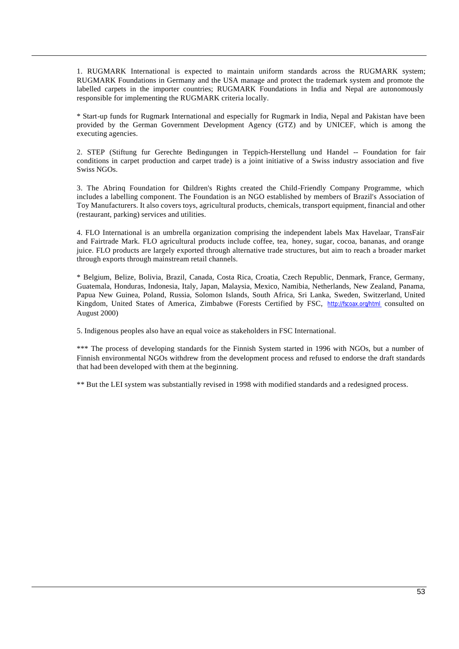1. RUGMARK International is expected to maintain uniform standards across the RUGMARK system; RUGMARK Foundations in Germany and the USA manage and protect the trademark system and promote the labelled carpets in the importer countries; RUGMARK Foundations in India and Nepal are autonomously responsible for implementing the RUGMARK criteria locally.

\* Start-up funds for Rugmark International and especially for Rugmark in India, Nepal and Pakistan have been provided by the German Government Development Agency (GTZ) and by UNICEF, which is among the executing agencies.

2. STEP (Stiftung fur Gerechte Bedingungen in Teppich-Herstellung und Handel -- Foundation for fair conditions in carpet production and carpet trade) is a joint initiative of a Swiss industry association and five Swiss NGOs.

3. The Abrinq Foundation for Children's Rights created the Child-Friendly Company Programme, which includes a labelling component. The Foundation is an NGO established by members of Brazil's Association of Toy Manufacturers. It also covers toys, agricultural products, chemicals, transport equipment, financial and other (restaurant, parking) services and utilities.

4. FLO International is an umbrella organization comprising the independent labels Max Havelaar, TransFair and Fairtrade Mark. FLO agricultural products include coffee, tea, honey, sugar, cocoa, bananas, and orange juice. FLO products are largely exported through alternative trade structures, but aim to reach a broader market through exports through mainstream retail channels.

\* Belgium, Belize, Bolivia, Brazil, Canada, Costa Rica, Croatia, Czech Republic, Denmark, France, Germany, Guatemala, Honduras, Indonesia, Italy, Japan, Malaysia, Mexico, Namibia, Netherlands, New Zealand, Panama, Papua New Guinea, Poland, Russia, Solomon Islands, South Africa, Sri Lanka, Sweden, Switzerland, United Kingdom, United States of America, Zimbabwe (Forests Certified by FSC, http://fscoax.org/html consulted on August 2000)

5. Indigenous peoples also have an equal voice as stakeholders in FSC International.

\*\*\* The process of developing standards for the Finnish System started in 1996 with NGOs, but a number of Finnish environmental NGOs withdrew from the development process and refused to endorse the draft standards that had been developed with them at the beginning.

\*\* But the LEI system was substantially revised in 1998 with modified standards and a redesigned process.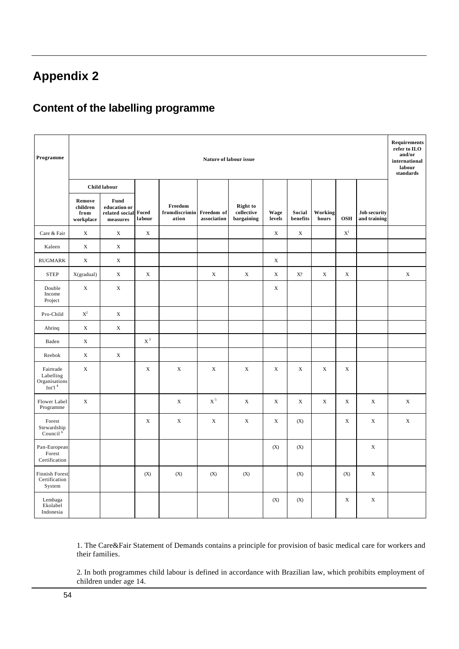# **Appendix 2**

### **Content of the labelling programme**

| Programme                                            |                                         |                                                                         |                 |                                   |                           | Nature of labour issue                                       |                |                     |                  |                         |                                     | <b>Requirements</b><br>refer to ILO<br>and/or<br>international<br>labour<br>standards |
|------------------------------------------------------|-----------------------------------------|-------------------------------------------------------------------------|-----------------|-----------------------------------|---------------------------|--------------------------------------------------------------|----------------|---------------------|------------------|-------------------------|-------------------------------------|---------------------------------------------------------------------------------------|
|                                                      |                                         | <b>Child labour</b>                                                     |                 |                                   |                           |                                                              |                |                     |                  |                         |                                     |                                                                                       |
|                                                      | Remove<br>children<br>from<br>workplace | Fund<br>education or<br>related social<br>$\label{1} \textbf{measures}$ | Foced<br>labour | Freedom<br>fromdiscrimin<br>ation | Freedom of<br>association | <b>Right</b> to<br>$\operatorname{collective}$<br>bargaining | Wage<br>levels | Social<br>benefits  | Working<br>hours | <b>OSH</b>              | <b>Job security</b><br>and training |                                                                                       |
| Care & Fair                                          | $\mathbf X$                             | $\mathbf X$                                                             | $\mathbf X$     |                                   |                           |                                                              | $\mathbf X$    | $\mathbf X$         |                  | $\mathbf{X}^{\text{l}}$ |                                     |                                                                                       |
| Kaleen                                               | $\mathbf X$                             | X                                                                       |                 |                                   |                           |                                                              |                |                     |                  |                         |                                     |                                                                                       |
| <b>RUGMARK</b>                                       | $\mathbf X$                             | $\mathbf X$                                                             |                 |                                   |                           |                                                              | $\mathbf X$    |                     |                  |                         |                                     |                                                                                       |
| <b>STEP</b>                                          | X(gradual)                              | $\mathbf X$                                                             | $\mathbf X$     |                                   | X                         | $\mathbf X$                                                  | $\mathbf X$    | $\mathbf{X}^{\eta}$ | $\mathbf X$      | $\mathbf X$             |                                     | $\mathbf X$                                                                           |
| Double<br>Income<br>Project                          | $\mathbf X$                             | $\mathbf X$                                                             |                 |                                   |                           |                                                              | X              |                     |                  |                         |                                     |                                                                                       |
| Pro-Child                                            | $\mathbf{X}^2$                          | $\mathbf X$                                                             |                 |                                   |                           |                                                              |                |                     |                  |                         |                                     |                                                                                       |
| Abrinq                                               | $\mathbf X$                             | $\mathbf X$                                                             |                 |                                   |                           |                                                              |                |                     |                  |                         |                                     |                                                                                       |
| Baden                                                | $\mathbf X$                             |                                                                         | $\mathbf{X}^3$  |                                   |                           |                                                              |                |                     |                  |                         |                                     |                                                                                       |
| Reebok                                               | $\mathbf X$                             | $\mathbf X$                                                             |                 |                                   |                           |                                                              |                |                     |                  |                         |                                     |                                                                                       |
| Fairtrade<br>Labelling<br>Organisations<br>Int'l $4$ | X                                       |                                                                         | X               | $\mathbf X$                       | X                         | X                                                            | X              | X                   | $\mathbf X$      | X                       |                                     |                                                                                       |
| Flower Label<br>Programme                            | $\mathbf X$                             |                                                                         |                 | $\mathbf X$                       | $X^5$                     | $\mathbf X$                                                  | $\mathbf X$    | $\mathbf X$         | $\mathbf X$      | X                       | X                                   | $\mathbf X$                                                                           |
| Forest<br>Stewardship<br>Council <sup>6</sup>        |                                         |                                                                         | $\mathbf X$     | $\mathbf X$                       | $\mathbf X$               | $\mathbf X$                                                  | X              | (X)                 |                  | $\mathbf X$             | X                                   | $\mathbf X$                                                                           |
| Pan-European<br>Forest<br>Certification              |                                         |                                                                         |                 |                                   |                           |                                                              | (X)            | (X)                 |                  |                         | $\mathbf X$                         |                                                                                       |
| <b>Finnish Forest</b><br>Certification<br>System     |                                         |                                                                         | (X)             | (X)                               | (X)                       | (X)                                                          |                | (X)                 |                  | (X)                     | $\mathbf X$                         |                                                                                       |
| Lembaga<br>Ekolabel<br>Indonesia                     |                                         |                                                                         |                 |                                   |                           |                                                              | (X)            | (X)                 |                  | $\mathbf X$             | $\mathbf X$                         |                                                                                       |

1. The Care&Fair Statement of Demands contains a principle for provision of basic medical care for workers and their families.

2. In both programmes child labour is defined in accordance with Brazilian law, which prohibits employment of children under age 14.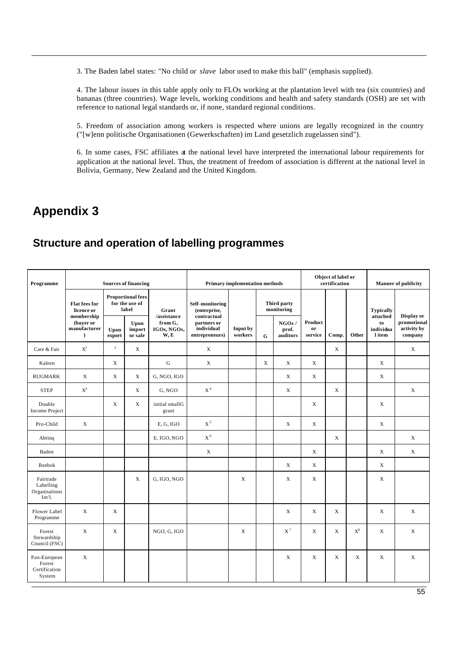3. The Baden label states: "No child or *slave* labor used to make this ball" (emphasis supplied).

4. The labour issues in this table apply only to FLOs working at the plantation level with tea (six countries) and bananas (three countries). Wage levels, working conditions and health and safety standards (OSH) are set with reference to national legal standards or, if none, standard regional conditions.

5. Freedom of association among workers is respected where unions are legally recognized in the country ("[w]enn politische Organisationen (Gewerkschaften) im Land gesetzlich zugelassen sind").

6. In some cases, FSC affiliates at the national level have interpreted the international labour requirements for application at the national level. Thus, the treatment of freedom of association is different at the national level in Bolivia, Germany, New Zealand and the United Kingdom.

### **Appendix 3**

### **Structure and operation of labelling programmes**

| Programme                                         |                                                      |                | <b>Sources of financing</b>                         |                                |                                                            | <b>Primary implementation methods</b> |                                 |                           |                          | Object of label or<br>certification |             |                                       | <b>Manner</b> of publicity            |
|---------------------------------------------------|------------------------------------------------------|----------------|-----------------------------------------------------|--------------------------------|------------------------------------------------------------|---------------------------------------|---------------------------------|---------------------------|--------------------------|-------------------------------------|-------------|---------------------------------------|---------------------------------------|
|                                                   | <b>Flat fees for</b><br>licence or                   |                | <b>Proportional fees</b><br>for the use of<br>label | Grant<br>/assistance           | Self-monitoring<br>(enterprise,                            |                                       |                                 | Third party<br>monitoring |                          |                                     |             | <b>Typically</b>                      | Display or                            |
|                                                   | membership<br>(buver or<br>manufacturer<br>$\lambda$ | Upon<br>export | Upon<br>import<br>or sale                           | from G,<br>IGOs, NGOs,<br>W, E | contractual<br>partners or<br>individual<br>entrepreneurs) | Input by<br>workers                   | NGOs/<br>prof.<br>auditors<br>G |                           | Product<br>or<br>service | Comp.                               | $\!$ Other  | attached<br>to<br>individua<br>l item | promotional<br>activity by<br>company |
| Care & Fair                                       | $X^l$                                                | $\overline{2}$ | X                                                   |                                | $\mathbf X$                                                |                                       |                                 |                           |                          | $\mathbf X$                         |             |                                       | X                                     |
| Kaleen                                            |                                                      | $\mathbf X$    |                                                     | ${\bf G}$                      | X                                                          |                                       | $\mathbf X$                     | X                         | $\mathbf X$              |                                     |             | X                                     |                                       |
| <b>RUGMARK</b>                                    | X                                                    | X              | X                                                   | G, NGO, IGO                    |                                                            |                                       |                                 | X                         | X                        |                                     |             | X                                     |                                       |
| <b>STEP</b>                                       | $\mathbf{X}^3$                                       |                | X                                                   | G, NGO                         | $\mbox{\bf X}^4$                                           |                                       |                                 | X                         |                          | X                                   |             |                                       | X                                     |
| Double<br><b>Income Project</b>                   |                                                      | X              | X                                                   | initial smallG<br>grant        |                                                            |                                       |                                 |                           | X                        |                                     |             | X                                     |                                       |
| Pro-Child                                         | $\mathbf X$                                          |                |                                                     | E, G, IGO                      | $X^5$                                                      |                                       |                                 | $\mathbf X$               | $\mathbf X$              |                                     |             | $\mathbf X$                           |                                       |
| Abring                                            |                                                      |                |                                                     | E, IGO, NGO                    | $\mathrm{X}^{\,6}$                                         |                                       |                                 |                           |                          | $\mathbf X$                         |             |                                       | $\mathbf X$                           |
| Baden                                             |                                                      |                |                                                     |                                | $\mathbf X$                                                |                                       |                                 |                           | X                        |                                     |             | X                                     | X                                     |
| Reebok                                            |                                                      |                |                                                     |                                |                                                            |                                       |                                 | $\mathbf X$               | X                        |                                     |             | X                                     |                                       |
| Fairtrade<br>Labelling<br>Organisations<br>Int'l. |                                                      |                | X                                                   | G, IGO, NGO                    |                                                            | X                                     |                                 | X                         | X                        |                                     |             | X                                     |                                       |
| Flower Label<br>Programme                         | X                                                    | X              |                                                     |                                |                                                            |                                       |                                 | X                         | X                        | X                                   |             | X                                     | X                                     |
| Forest<br>Stewardship<br>Council (FSC)            | X                                                    | X              |                                                     | NGO, G, IGO                    |                                                            | X                                     |                                 | $X^7$                     | X                        | X                                   | $X^8$       | X                                     | X                                     |
| Pan-European<br>Forest<br>Certification<br>System | $\mathbf X$                                          |                |                                                     |                                |                                                            |                                       |                                 | $\mathbf X$               | $\mathbf X$              | $\mathbf X$                         | $\mathbf X$ | X                                     | $\mathbf X$                           |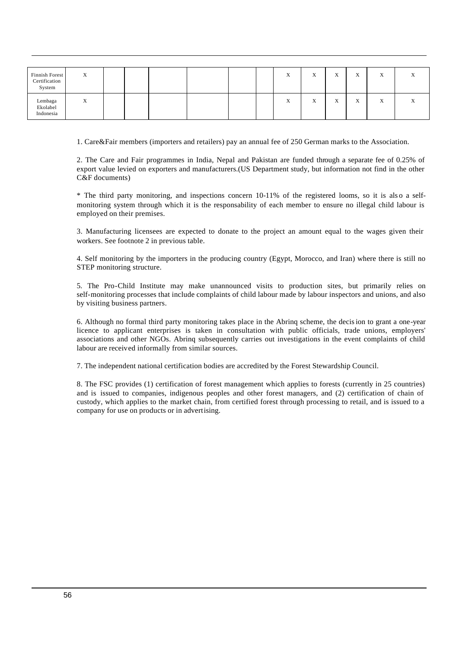| Finnish Forest<br>Certification<br>System | Χ |  |  |  | $\Lambda$ | $\mathbf{v}$<br>$\Lambda$ | <b>TP</b><br>$\Lambda$       | $\mathbf{v}$<br>A         | $\mathbf{v}$<br>$\Lambda$ |  |
|-------------------------------------------|---|--|--|--|-----------|---------------------------|------------------------------|---------------------------|---------------------------|--|
| Lembaga<br>Ekolabel<br>Indonesia          | Χ |  |  |  | $\Lambda$ | $\overline{r}$<br>A       | $\cdot$ $\cdot$<br>$\Lambda$ | $\mathbf{v}$<br>$\Lambda$ | $\mathbf{v}$<br>A         |  |

1. Care&Fair members (importers and retailers) pay an annual fee of 250 German marks to the Association.

2. The Care and Fair programmes in India, Nepal and Pakistan are funded through a separate fee of 0.25% of export value levied on exporters and manufacturers.(US Department study, but information not find in the other C&F documents)

\* The third party monitoring, and inspections concern 10-11% of the registered looms, so it is als o a selfmonitoring system through which it is the responsability of each member to ensure no illegal child labour is employed on their premises.

3. Manufacturing licensees are expected to donate to the project an amount equal to the wages given their workers. See footnote 2 in previous table.

4. Self monitoring by the importers in the producing country (Egypt, Morocco, and Iran) where there is still no STEP monitoring structure.

5. The Pro-Child Institute may make unannounced visits to production sites, but primarily relies on self-monitoring processes that include complaints of child labour made by labour inspectors and unions, and also by visiting business partners.

6. Although no formal third party monitoring takes place in the Abrinq scheme, the decision to grant a one-year licence to applicant enterprises is taken in consultation with public officials, trade unions, employers' associations and other NGOs. Abrinq subsequently carries out investigations in the event complaints of child labour are received informally from similar sources.

7. The independent national certification bodies are accredited by the Forest Stewardship Council.

8. The FSC provides (1) certification of forest management which applies to forests (currently in 25 countries) and is issued to companies, indigenous peoples and other forest managers, and (2) certification of chain of custody, which applies to the market chain, from certified forest through processing to retail, and is issued to a company for use on products or in advertising.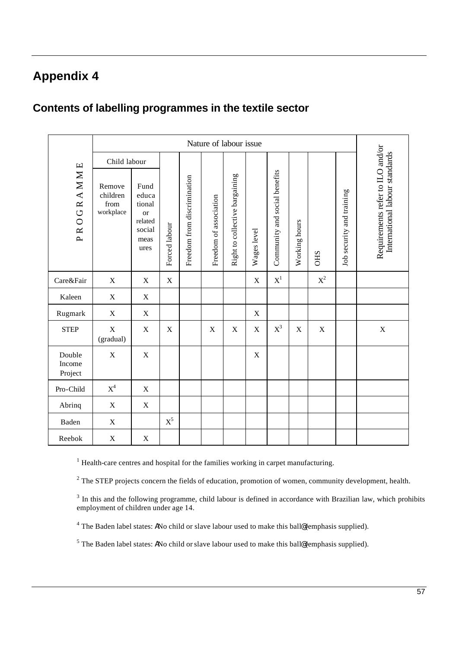# **Appendix 4**

### **Contents of labelling programmes in the textile sector**

|                             |                                         |                                                                           |                |                             | Nature of labour issue |                                |             |                               |               |             |                           |                                                                    |
|-----------------------------|-----------------------------------------|---------------------------------------------------------------------------|----------------|-----------------------------|------------------------|--------------------------------|-------------|-------------------------------|---------------|-------------|---------------------------|--------------------------------------------------------------------|
|                             | Child labour                            |                                                                           |                |                             |                        |                                |             |                               |               |             |                           |                                                                    |
| PROGRAMME                   | Remove<br>children<br>from<br>workplace | Fund<br>educa<br>tional<br><b>or</b><br>related<br>social<br>meas<br>ures | Forced labour  | Freedom from discrimination | Freedom of association | Right to collective bargaining | Wages level | Community and social benefits | Working hours | <b>CHS</b>  | Job security and training | Requirements refer to ILO and/or<br>International labour standards |
| Care&Fair                   | $\mathbf X$                             | $\mathbf X$                                                               | $\mathbf X$    |                             |                        |                                | $\mathbf X$ | $\boldsymbol{\mathrm{X}}^1$   |               | $X^2$       |                           |                                                                    |
| Kaleen                      | X                                       | X                                                                         |                |                             |                        |                                |             |                               |               |             |                           |                                                                    |
| Rugmark                     | $\mathbf X$                             | $\mathbf X$                                                               |                |                             |                        |                                | X           |                               |               |             |                           |                                                                    |
| <b>STEP</b>                 | $\mathbf X$<br>(gradual)                | $\mathbf X$                                                               | $\mathbf X$    |                             | $\mathbf X$            | $\mathbf X$                    | $\mathbf X$ | $X^3$                         | $\mathbf X$   | $\mathbf X$ |                           | $\mathbf X$                                                        |
| Double<br>Income<br>Project | $\mathbf X$                             | $\mathbf X$                                                               |                |                             |                        |                                | X           |                               |               |             |                           |                                                                    |
| Pro-Child                   | $\mathbf{X}^4$                          | $\mathbf X$                                                               |                |                             |                        |                                |             |                               |               |             |                           |                                                                    |
| Abrinq                      | $\mathbf X$                             | $\mathbf X$                                                               |                |                             |                        |                                |             |                               |               |             |                           |                                                                    |
| Baden                       | $\mathbf X$                             |                                                                           | $\mathbf{X}^5$ |                             |                        |                                |             |                               |               |             |                           |                                                                    |
| Reebok                      | $\mathbf X$                             | $\mathbf X$                                                               |                |                             |                        |                                |             |                               |               |             |                           |                                                                    |

 $<sup>1</sup>$  Health-care centres and hospital for the families working in carpet manufacturing.</sup>

 $2^2$  The STEP projects concern the fields of education, promotion of women, community development, health.

 $3$  In this and the following programme, child labour is defined in accordance with Brazilian law, which prohibits employment of children under age 14.

<sup>4</sup> The Baden label states: ANo child or slave labour used to make this ball@ (emphasis supplied).

<sup>5</sup> The Baden label states: ANo child or slave labour used to make this ball@ (emphasis supplied).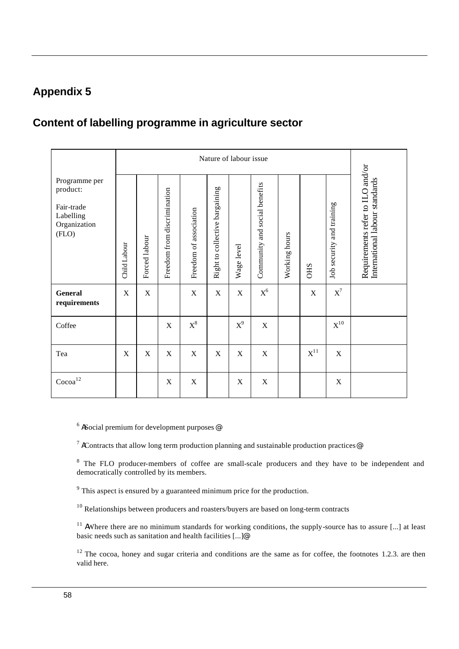### **Appendix 5**

# **Content of labelling programme in agriculture sector**

|                                                                               |              |               |                             |                        |                                | Nature of labour issue |                               |               |                   |                           |                                                                    |
|-------------------------------------------------------------------------------|--------------|---------------|-----------------------------|------------------------|--------------------------------|------------------------|-------------------------------|---------------|-------------------|---------------------------|--------------------------------------------------------------------|
| Programme per<br>product:<br>Fair-trade<br>Labelling<br>Organization<br>(FLO) | Child Labour | Forced labour | Freedom from discrimination | Freedom of association | Right to collective bargaining | Wage level             | Community and social benefits | Working hours | <b>CHS</b>        | Job security and training | Requirements refer to ILO and/or<br>International labour standards |
| <b>General</b><br>requirements                                                | $\mathbf X$  | $\mathbf X$   |                             | $\mathbf X$            | X                              | X                      | $\mathbf{X}^6$                |               | $\mathbf X$       | $\mathbf{X}^7$            |                                                                    |
| Coffee                                                                        |              |               | X                           | $\mathbf{X}^8$         |                                | $X^9$                  | X                             |               |                   | $\mathrm{X}^{10}$         |                                                                    |
| Tea                                                                           | X            | X             | X                           | X                      | X                              | $\mathbf X$            | $\mathbf X$                   |               | $\mathbf{X}^{11}$ | $\mathbf X$               |                                                                    |
| $\mbox{Cocoa}^{12}$                                                           |              |               | $\mathbf X$                 | $\mathbf X$            |                                | $\mathbf X$            | X                             |               |                   | X                         |                                                                    |

 $6$  ASocial premium for development purposes

<sup>7</sup> AContracts that allow long term production planning and sustainable production practices

<sup>8</sup> The FLO producer-members of coffee are small-scale producers and they have to be independent and democratically controlled by its members.

 $9^9$  This aspect is ensured by a guaranteed minimum price for the production.

<sup>10</sup> Relationships between producers and roasters/buyers are based on long-term contracts

<sup>11</sup> AWhere there are no minimum standards for working conditions, the supply-source has to assure [...] at least basic needs such as sanitation and health facilities [...]@

 $12$  The cocoa, honey and sugar criteria and conditions are the same as for coffee, the footnotes 1.2.3. are then valid here.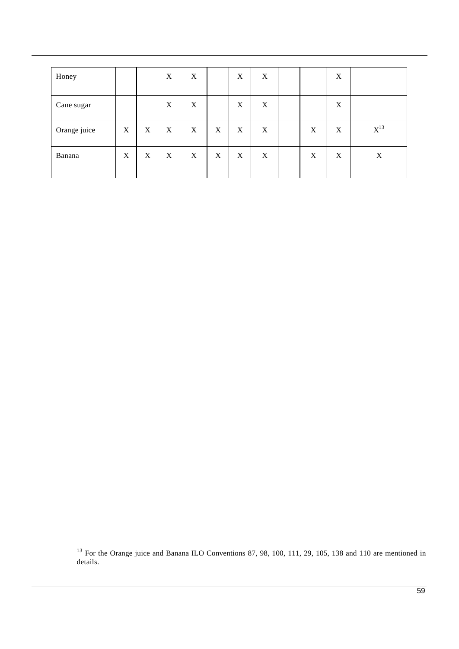| Honey        |   |             | $\boldsymbol{\mathrm{X}}$ | X |             | X           | X |   | X |          |
|--------------|---|-------------|---------------------------|---|-------------|-------------|---|---|---|----------|
| Cane sugar   |   |             | $\boldsymbol{\mathrm{X}}$ | X |             | $\mathbf X$ | X |   | X |          |
| Orange juice | X | $\mathbf X$ | $\mathbf X$               | X | $\mathbf X$ | X           | X | X | X | $X^{13}$ |
| Banana       | X | X           | X                         | X | $\mathbf X$ | X           | X | X | X | X        |

 $13$  For the Orange juice and Banana ILO Conventions 87, 98, 100, 111, 29, 105, 138 and 110 are mentioned in details.